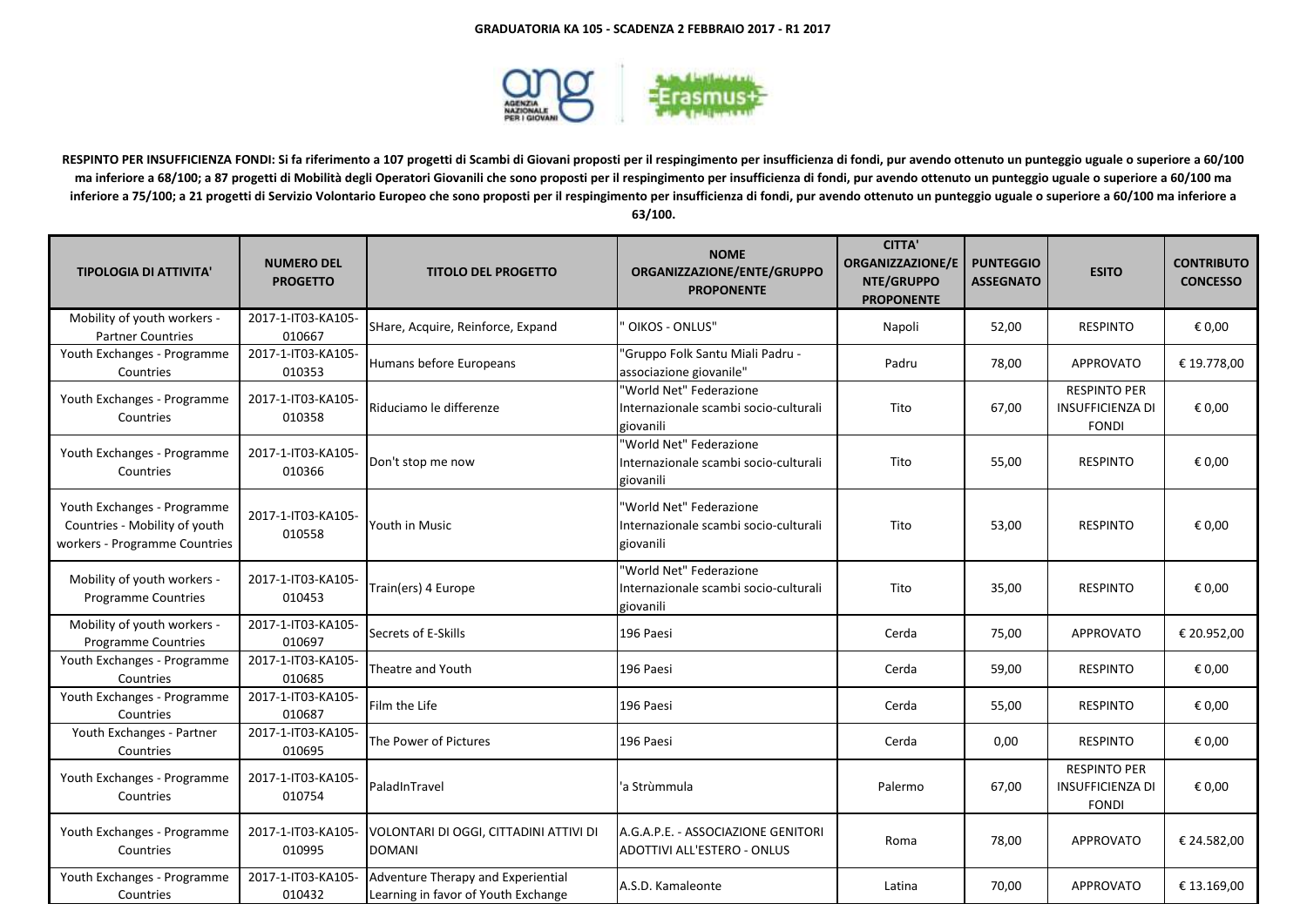

**RESPINTO PER INSUFFICIENZA FONDI: Si fa riferimento a 107 progetti di Scambi di Giovani proposti per il respingimento per insufficienza di fondi, pur avendo ottenuto un punteggio uguale o superiore a 60/100 ma inferiore a 68/100; a 87 progetti di Mobilità degli Operatori Giovanili che sono proposti per il respingimento per insufficienza di fondi, pur avendo ottenuto un punteggio uguale o superiore a 60/100 ma inferiore a 75/100; a 21 progetti di Servizio Volontario Europeo che sono proposti per il respingimento per insufficienza di fondi, pur avendo ottenuto un punteggio uguale o superiore a 60/100 ma inferiore a 63/100.**

| <b>TIPOLOGIA DI ATTIVITA'</b>                                                                 | <b>NUMERO DEL</b><br><b>PROGETTO</b> | <b>TITOLO DEL PROGETTO</b>                                                | <b>NOME</b><br>ORGANIZZAZIONE/ENTE/GRUPPO<br><b>PROPONENTE</b>                | <b>CITTA'</b><br><b>ORGANIZZAZIONE/E</b><br>NTE/GRUPPO<br><b>PROPONENTE</b> | <b>PUNTEGGIO</b><br><b>ASSEGNATO</b> | <b>ESITO</b>                                                   | <b>CONTRIBUTO</b><br><b>CONCESSO</b> |
|-----------------------------------------------------------------------------------------------|--------------------------------------|---------------------------------------------------------------------------|-------------------------------------------------------------------------------|-----------------------------------------------------------------------------|--------------------------------------|----------------------------------------------------------------|--------------------------------------|
| Mobility of youth workers -<br><b>Partner Countries</b>                                       | 2017-1-IT03-KA105-<br>010667         | SHare, Acquire, Reinforce, Expand                                         | OIKOS - ONLUS"                                                                | Napoli                                                                      | 52,00                                | <b>RESPINTO</b>                                                | € 0,00                               |
| Youth Exchanges - Programme<br>Countries                                                      | 2017-1-IT03-KA105-<br>010353         | Humans before Europeans                                                   | 'Gruppo Folk Santu Miali Padru -<br>associazione giovanile"                   | Padru                                                                       | 78,00                                | APPROVATO                                                      | € 19.778,00                          |
| Youth Exchanges - Programme<br>Countries                                                      | 2017-1-IT03-KA105-<br>010358         | Riduciamo le differenze                                                   | "World Net" Federazione<br>Internazionale scambi socio-culturali<br>giovanili | Tito                                                                        | 67,00                                | <b>RESPINTO PER</b><br><b>INSUFFICIENZA DI</b><br><b>FONDI</b> | € 0,00                               |
| Youth Exchanges - Programme<br>Countries                                                      | 2017-1-IT03-KA105-<br>010366         | Don't stop me now                                                         | "World Net" Federazione<br>Internazionale scambi socio-culturali<br>giovanili | Tito                                                                        | 55,00                                | <b>RESPINTO</b>                                                | € 0.00                               |
| Youth Exchanges - Programme<br>Countries - Mobility of youth<br>workers - Programme Countries | 2017-1-IT03-KA105-<br>010558         | Youth in Music                                                            | 'World Net" Federazione<br>Internazionale scambi socio-culturali<br>giovanili | Tito                                                                        | 53,00                                | <b>RESPINTO</b>                                                | € 0,00                               |
| Mobility of youth workers -<br>Programme Countries                                            | 2017-1-IT03-KA105-<br>010453         | Train(ers) 4 Europe                                                       | "World Net" Federazione<br>Internazionale scambi socio-culturali<br>giovanili | Tito                                                                        | 35,00                                | <b>RESPINTO</b>                                                | € 0,00                               |
| Mobility of youth workers -<br><b>Programme Countries</b>                                     | 2017-1-IT03-KA105-<br>010697         | Secrets of E-Skills                                                       | 196 Paesi                                                                     | Cerda                                                                       | 75,00                                | APPROVATO                                                      | € 20.952,00                          |
| Youth Exchanges - Programme<br>Countries                                                      | 2017-1-IT03-KA105-<br>010685         | Theatre and Youth                                                         | 196 Paesi                                                                     | Cerda                                                                       | 59,00                                | <b>RESPINTO</b>                                                | € 0,00                               |
| Youth Exchanges - Programme<br>Countries                                                      | 2017-1-IT03-KA105-<br>010687         | Film the Life                                                             | 196 Paesi                                                                     | Cerda                                                                       | 55,00                                | <b>RESPINTO</b>                                                | € 0,00                               |
| Youth Exchanges - Partner<br>Countries                                                        | 2017-1-IT03-KA105-<br>010695         | The Power of Pictures                                                     | 196 Paesi                                                                     | Cerda                                                                       | 0,00                                 | <b>RESPINTO</b>                                                | € 0,00                               |
| Youth Exchanges - Programme<br>Countries                                                      | 2017-1-IT03-KA105-<br>010754         | PaladInTravel                                                             | 'a Strùmmula                                                                  | Palermo                                                                     | 67,00                                | <b>RESPINTO PER</b><br><b>INSUFFICIENZA DI</b><br><b>FONDI</b> | € 0,00                               |
| Youth Exchanges - Programme<br>Countries                                                      | 2017-1-IT03-KA105-<br>010995         | VOLONTARI DI OGGI, CITTADINI ATTIVI DI<br><b>DOMANI</b>                   | A.G.A.P.E. - ASSOCIAZIONE GENITORI<br>ADOTTIVI ALL'ESTERO - ONLUS             | Roma                                                                        | 78,00                                | APPROVATO                                                      | € 24.582,00                          |
| Youth Exchanges - Programme<br>Countries                                                      | 2017-1-IT03-KA105-<br>010432         | Adventure Therapy and Experiential<br>Learning in favor of Youth Exchange | A.S.D. Kamaleonte                                                             | Latina                                                                      | 70,00                                | <b>APPROVATO</b>                                               | € 13.169,00                          |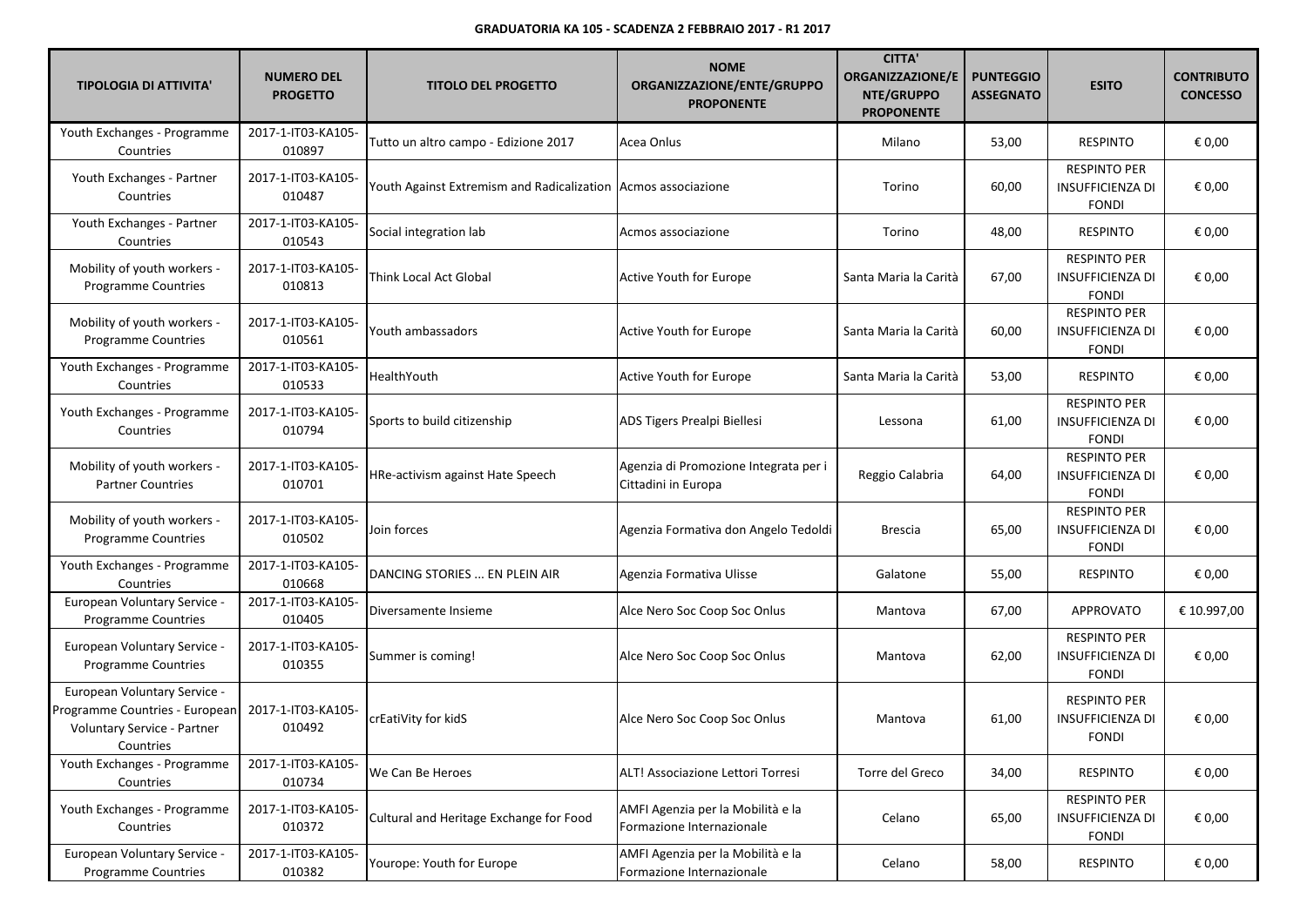| <b>TIPOLOGIA DI ATTIVITA'</b>                                                                                     | <b>NUMERO DEL</b><br><b>PROGETTO</b> | <b>TITOLO DEL PROGETTO</b>                                    | <b>NOME</b><br>ORGANIZZAZIONE/ENTE/GRUPPO<br><b>PROPONENTE</b> | <b>CITTA'</b><br><b>ORGANIZZAZIONE/E</b><br>NTE/GRUPPO<br><b>PROPONENTE</b> | <b>PUNTEGGIO</b><br><b>ASSEGNATO</b> | <b>ESITO</b>                                                   | <b>CONTRIBUTO</b><br><b>CONCESSO</b> |
|-------------------------------------------------------------------------------------------------------------------|--------------------------------------|---------------------------------------------------------------|----------------------------------------------------------------|-----------------------------------------------------------------------------|--------------------------------------|----------------------------------------------------------------|--------------------------------------|
| Youth Exchanges - Programme<br>Countries                                                                          | 2017-1-IT03-KA105-<br>010897         | Tutto un altro campo - Edizione 2017                          | Acea Onlus                                                     | Milano                                                                      | 53,00                                | <b>RESPINTO</b>                                                | € 0,00                               |
| Youth Exchanges - Partner<br>Countries                                                                            | 2017-1-IT03-KA105-<br>010487         | Youth Against Extremism and Radicalization Acmos associazione |                                                                | Torino                                                                      | 60,00                                | <b>RESPINTO PER</b><br><b>INSUFFICIENZA DI</b><br><b>FONDI</b> | € 0,00                               |
| Youth Exchanges - Partner<br>Countries                                                                            | 2017-1-IT03-KA105-<br>010543         | Social integration lab                                        | Acmos associazione                                             | Torino                                                                      | 48,00                                | <b>RESPINTO</b>                                                | € 0,00                               |
| Mobility of youth workers -<br><b>Programme Countries</b>                                                         | 2017-1-IT03-KA105-<br>010813         | <b>Think Local Act Global</b>                                 | Active Youth for Europe                                        | Santa Maria la Carità                                                       | 67,00                                | <b>RESPINTO PER</b><br><b>INSUFFICIENZA DI</b><br><b>FONDI</b> | € 0,00                               |
| Mobility of youth workers -<br><b>Programme Countries</b>                                                         | 2017-1-IT03-KA105-<br>010561         | Youth ambassadors                                             | Active Youth for Europe                                        | Santa Maria la Carità                                                       | 60,00                                | <b>RESPINTO PER</b><br><b>INSUFFICIENZA DI</b><br><b>FONDI</b> | € 0,00                               |
| Youth Exchanges - Programme<br>Countries                                                                          | 2017-1-IT03-KA105-<br>010533         | HealthYouth                                                   | <b>Active Youth for Europe</b>                                 | Santa Maria la Carità                                                       | 53,00                                | <b>RESPINTO</b>                                                | € 0,00                               |
| Youth Exchanges - Programme<br>Countries                                                                          | 2017-1-IT03-KA105-<br>010794         | Sports to build citizenship                                   | ADS Tigers Prealpi Biellesi                                    | Lessona                                                                     | 61,00                                | <b>RESPINTO PER</b><br><b>INSUFFICIENZA DI</b><br><b>FONDI</b> | € 0,00                               |
| Mobility of youth workers -<br><b>Partner Countries</b>                                                           | 2017-1-IT03-KA105-<br>010701         | HRe-activism against Hate Speech                              | Agenzia di Promozione Integrata per i<br>Cittadini in Europa   | Reggio Calabria                                                             | 64,00                                | <b>RESPINTO PER</b><br><b>INSUFFICIENZA DI</b><br><b>FONDI</b> | € 0,00                               |
| Mobility of youth workers -<br><b>Programme Countries</b>                                                         | 2017-1-IT03-KA105-<br>010502         | Join forces                                                   | Agenzia Formativa don Angelo Tedoldi                           | Brescia                                                                     | 65,00                                | <b>RESPINTO PER</b><br><b>INSUFFICIENZA DI</b><br><b>FONDI</b> | € 0,00                               |
| Youth Exchanges - Programme<br>Countries                                                                          | 2017-1-IT03-KA105-<br>010668         | DANCING STORIES  EN PLEIN AIR                                 | Agenzia Formativa Ulisse                                       | Galatone                                                                    | 55,00                                | <b>RESPINTO</b>                                                | € 0,00                               |
| European Voluntary Service -<br><b>Programme Countries</b>                                                        | 2017-1-IT03-KA105-<br>010405         | Diversamente Insieme                                          | Alce Nero Soc Coop Soc Onlus                                   | Mantova                                                                     | 67,00                                | APPROVATO                                                      | € 10.997,00                          |
| European Voluntary Service -<br><b>Programme Countries</b>                                                        | 2017-1-IT03-KA105-<br>010355         | Summer is coming!                                             | Alce Nero Soc Coop Soc Onlus                                   | Mantova                                                                     | 62,00                                | <b>RESPINTO PER</b><br><b>INSUFFICIENZA DI</b><br><b>FONDI</b> | € 0,00                               |
| European Voluntary Service -<br>Programme Countries - European<br><b>Voluntary Service - Partner</b><br>Countries | 2017-1-IT03-KA105-<br>010492         | crEatiVity for kidS                                           | Alce Nero Soc Coop Soc Onlus                                   | Mantova                                                                     | 61,00                                | <b>RESPINTO PER</b><br><b>INSUFFICIENZA DI</b><br><b>FONDI</b> | € 0,00                               |
| Youth Exchanges - Programme<br>Countries                                                                          | 2017-1-IT03-KA105-<br>010734         | We Can Be Heroes                                              | ALT! Associazione Lettori Torresi                              | Torre del Greco                                                             | 34,00                                | <b>RESPINTO</b>                                                | € 0,00                               |
| Youth Exchanges - Programme<br>Countries                                                                          | 2017-1-IT03-KA105-<br>010372         | Cultural and Heritage Exchange for Food                       | AMFI Agenzia per la Mobilità e la<br>Formazione Internazionale | Celano                                                                      | 65,00                                | <b>RESPINTO PER</b><br>INSUFFICIENZA DI<br><b>FONDI</b>        | € 0,00                               |
| European Voluntary Service -<br>Programme Countries                                                               | 2017-1-IT03-KA105-<br>010382         | Yourope: Youth for Europe                                     | AMFI Agenzia per la Mobilità e la<br>Formazione Internazionale | Celano                                                                      | 58,00                                | <b>RESPINTO</b>                                                | € 0,00                               |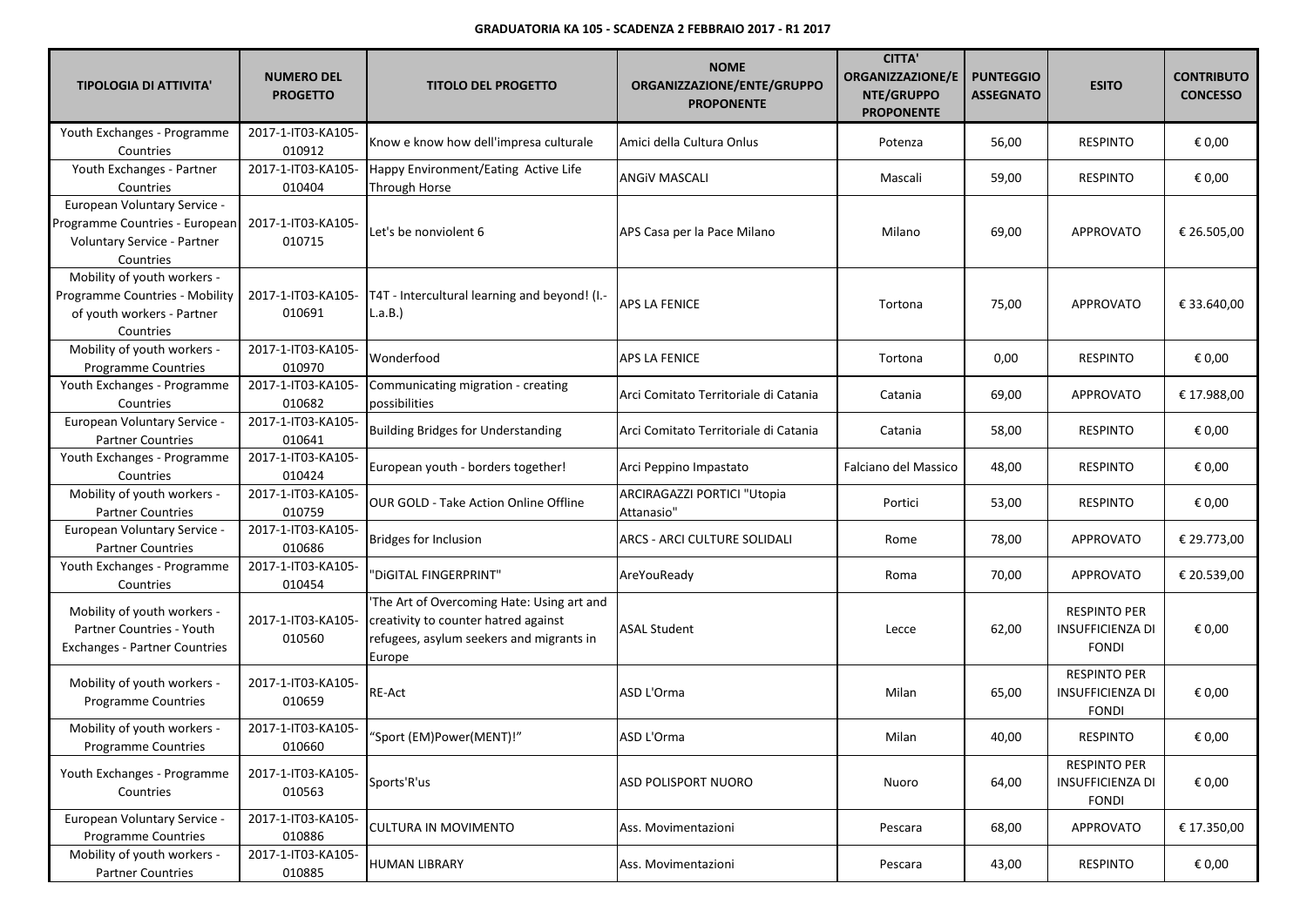| <b>TIPOLOGIA DI ATTIVITA'</b>                                                                              | <b>NUMERO DEL</b><br><b>PROGETTO</b> | <b>TITOLO DEL PROGETTO</b>                                                                                                              | <b>NOME</b><br>ORGANIZZAZIONE/ENTE/GRUPPO<br><b>PROPONENTE</b> | <b>CITTA'</b><br><b>ORGANIZZAZIONE/E</b><br>NTE/GRUPPO<br><b>PROPONENTE</b> | <b>PUNTEGGIO</b><br><b>ASSEGNATO</b> | <b>ESITO</b>                                                   | <b>CONTRIBUTO</b><br><b>CONCESSO</b> |
|------------------------------------------------------------------------------------------------------------|--------------------------------------|-----------------------------------------------------------------------------------------------------------------------------------------|----------------------------------------------------------------|-----------------------------------------------------------------------------|--------------------------------------|----------------------------------------------------------------|--------------------------------------|
| Youth Exchanges - Programme<br>Countries                                                                   | 2017-1-IT03-KA105-<br>010912         | Know e know how dell'impresa culturale                                                                                                  | Amici della Cultura Onlus                                      | Potenza                                                                     | 56,00                                | <b>RESPINTO</b>                                                | € 0,00                               |
| Youth Exchanges - Partner<br>Countries                                                                     | 2017-1-IT03-KA105-<br>010404         | Happy Environment/Eating Active Life<br>Through Horse                                                                                   | ANGIV MASCALI                                                  | Mascali                                                                     | 59,00                                | <b>RESPINTO</b>                                                | € 0,00                               |
| European Voluntary Service -<br>Programme Countries - European<br>Voluntary Service - Partner<br>Countries | 2017-1-IT03-KA105-<br>010715         | Let's be nonviolent 6                                                                                                                   | APS Casa per la Pace Milano                                    | Milano                                                                      | 69,00                                | <b>APPROVATO</b>                                               | € 26.505,00                          |
| Mobility of youth workers -<br>Programme Countries - Mobility<br>of youth workers - Partner<br>Countries   | 2017-1-IT03-KA105-<br>010691         | T4T - Intercultural learning and beyond! (I .-<br>L.a.B.                                                                                | APS LA FENICE                                                  | Tortona                                                                     | 75,00                                | <b>APPROVATO</b>                                               | € 33.640,00                          |
| Mobility of youth workers -<br><b>Programme Countries</b>                                                  | 2017-1-IT03-KA105-<br>010970         | Wonderfood                                                                                                                              | APS LA FENICE                                                  | Tortona                                                                     | 0,00                                 | <b>RESPINTO</b>                                                | € 0,00                               |
| Youth Exchanges - Programme<br>Countries                                                                   | 2017-1-IT03-KA105-<br>010682         | Communicating migration - creating<br>possibilities                                                                                     | Arci Comitato Territoriale di Catania                          | Catania                                                                     | 69,00                                | <b>APPROVATO</b>                                               | € 17.988,00                          |
| European Voluntary Service -<br><b>Partner Countries</b>                                                   | 2017-1-IT03-KA105-<br>010641         | <b>Building Bridges for Understanding</b>                                                                                               | Arci Comitato Territoriale di Catania                          | Catania                                                                     | 58,00                                | <b>RESPINTO</b>                                                | € 0,00                               |
| Youth Exchanges - Programme<br>Countries                                                                   | 2017-1-IT03-KA105-<br>010424         | European youth - borders together!                                                                                                      | Arci Peppino Impastato                                         | Falciano del Massico                                                        | 48,00                                | <b>RESPINTO</b>                                                | € 0,00                               |
| Mobility of youth workers -<br><b>Partner Countries</b>                                                    | 2017-1-IT03-KA105-<br>010759         | OUR GOLD - Take Action Online Offline                                                                                                   | ARCIRAGAZZI PORTICI "Utopia<br>Attanasio"                      | Portici                                                                     | 53,00                                | <b>RESPINTO</b>                                                | € 0,00                               |
| European Voluntary Service -<br><b>Partner Countries</b>                                                   | 2017-1-IT03-KA105-<br>010686         | <b>Bridges for Inclusion</b>                                                                                                            | ARCS - ARCI CULTURE SOLIDALI                                   | Rome                                                                        | 78,00                                | <b>APPROVATO</b>                                               | € 29.773,00                          |
| Youth Exchanges - Programme<br>Countries                                                                   | 2017-1-IT03-KA105-<br>010454         | 'DIGITAL FINGERPRINT"                                                                                                                   | AreYouReady                                                    | Roma                                                                        | 70,00                                | APPROVATO                                                      | € 20.539,00                          |
| Mobility of youth workers -<br>Partner Countries - Youth<br><b>Exchanges - Partner Countries</b>           | 2017-1-IT03-KA105-<br>010560         | The Art of Overcoming Hate: Using art and<br>creativity to counter hatred against<br>refugees, asylum seekers and migrants in<br>Europe | <b>ASAL Student</b>                                            | Lecce                                                                       | 62,00                                | <b>RESPINTO PER</b><br><b>INSUFFICIENZA DI</b><br><b>FONDI</b> | € 0,00                               |
| Mobility of youth workers -<br>Programme Countries                                                         | 2017-1-IT03-KA105-<br>010659         | RE-Act                                                                                                                                  | ASD L'Orma                                                     | Milan                                                                       | 65,00                                | <b>RESPINTO PER</b><br><b>INSUFFICIENZA DI</b><br><b>FONDI</b> | € 0,00                               |
| Mobility of youth workers -<br>Programme Countries                                                         | 2017-1-IT03-KA105-<br>010660         | 'Sport (EM)Power(MENT)!"                                                                                                                | ASD L'Orma                                                     | Milan                                                                       | 40,00                                | <b>RESPINTO</b>                                                | € 0,00                               |
| Youth Exchanges - Programme<br>Countries                                                                   | 2017-1-IT03-KA105-<br>010563         | Sports'R'us                                                                                                                             | <b>ASD POLISPORT NUORO</b>                                     | Nuoro                                                                       | 64,00                                | <b>RESPINTO PER</b><br><b>INSUFFICIENZA DI</b><br><b>FONDI</b> | € 0,00                               |
| European Voluntary Service -<br>Programme Countries                                                        | 2017-1-IT03-KA105-<br>010886         | <b>CULTURA IN MOVIMENTO</b>                                                                                                             | Ass. Movimentazioni                                            | Pescara                                                                     | 68,00                                | <b>APPROVATO</b>                                               | € 17.350,00                          |
| Mobility of youth workers -<br><b>Partner Countries</b>                                                    | 2017-1-IT03-KA105-<br>010885         | <b>HUMAN LIBRARY</b>                                                                                                                    | Ass. Movimentazioni                                            | Pescara                                                                     | 43,00                                | <b>RESPINTO</b>                                                | € 0,00                               |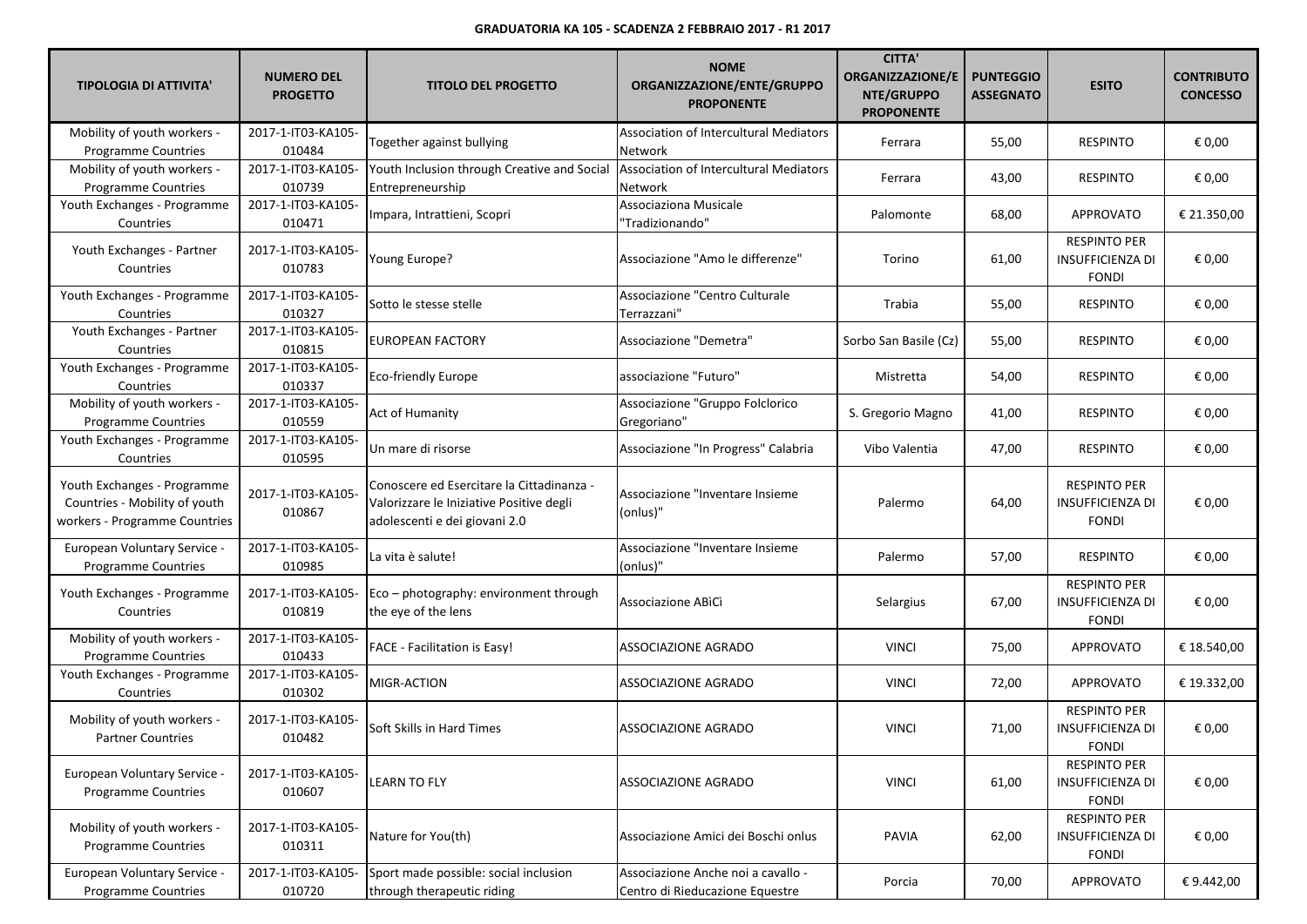| <b>TIPOLOGIA DI ATTIVITA'</b>                                                                 | <b>NUMERO DEL</b><br><b>PROGETTO</b> | <b>TITOLO DEL PROGETTO</b>                                                                                             | <b>NOME</b><br>ORGANIZZAZIONE/ENTE/GRUPPO<br><b>PROPONENTE</b>        | <b>CITTA'</b><br><b>ORGANIZZAZIONE/E</b><br>NTE/GRUPPO<br><b>PROPONENTE</b> | <b>PUNTEGGIO</b><br><b>ASSEGNATO</b> | <b>ESITO</b>                                                   | <b>CONTRIBUTO</b><br><b>CONCESSO</b> |
|-----------------------------------------------------------------------------------------------|--------------------------------------|------------------------------------------------------------------------------------------------------------------------|-----------------------------------------------------------------------|-----------------------------------------------------------------------------|--------------------------------------|----------------------------------------------------------------|--------------------------------------|
| Mobility of youth workers -<br>Programme Countries                                            | 2017-1-IT03-KA105-<br>010484         | Together against bullying                                                                                              | Association of Intercultural Mediators<br>Network                     | Ferrara                                                                     | 55,00                                | <b>RESPINTO</b>                                                | € 0,00                               |
| Mobility of youth workers -<br>Programme Countries                                            | 2017-1-IT03-KA105-<br>010739         | Youth Inclusion through Creative and Social<br>Entrepreneurship                                                        | Association of Intercultural Mediators<br>Network                     | Ferrara                                                                     | 43,00                                | <b>RESPINTO</b>                                                | € 0,00                               |
| Youth Exchanges - Programme<br>Countries                                                      | 2017-1-IT03-KA105-<br>010471         | Impara, Intrattieni, Scopri                                                                                            | Associaziona Musicale<br>"Tradizionando"                              | Palomonte                                                                   | 68,00                                | <b>APPROVATO</b>                                               | € 21.350,00                          |
| Youth Exchanges - Partner<br>Countries                                                        | 2017-1-IT03-KA105-<br>010783         | Young Europe?                                                                                                          | Associazione "Amo le differenze"                                      | Torino                                                                      | 61,00                                | <b>RESPINTO PER</b><br><b>INSUFFICIENZA DI</b><br><b>FONDI</b> | € 0,00                               |
| Youth Exchanges - Programme<br>Countries                                                      | 2017-1-IT03-KA105-<br>010327         | Sotto le stesse stelle                                                                                                 | Associazione "Centro Culturale<br>Terrazzani"                         | Trabia                                                                      | 55,00                                | <b>RESPINTO</b>                                                | € 0,00                               |
| Youth Exchanges - Partner<br>Countries                                                        | 2017-1-IT03-KA105-<br>010815         | <b>EUROPEAN FACTORY</b>                                                                                                | Associazione "Demetra"                                                | Sorbo San Basile (Cz)                                                       | 55,00                                | <b>RESPINTO</b>                                                | € 0,00                               |
| Youth Exchanges - Programme<br>Countries                                                      | 2017-1-IT03-KA105-<br>010337         | <b>Eco-friendly Europe</b>                                                                                             | associazione "Futuro"                                                 | Mistretta                                                                   | 54,00                                | <b>RESPINTO</b>                                                | € 0,00                               |
| Mobility of youth workers -<br><b>Programme Countries</b>                                     | 2017-1-IT03-KA105-<br>010559         | Act of Humanity                                                                                                        | Associazione "Gruppo Folclorico<br>Gregoriano"                        | S. Gregorio Magno                                                           | 41,00                                | <b>RESPINTO</b>                                                | € 0,00                               |
| Youth Exchanges - Programme<br>Countries                                                      | 2017-1-IT03-KA105-<br>010595         | Un mare di risorse                                                                                                     | Associazione "In Progress" Calabria                                   | Vibo Valentia                                                               | 47,00                                | <b>RESPINTO</b>                                                | € 0,00                               |
| Youth Exchanges - Programme<br>Countries - Mobility of youth<br>workers - Programme Countries | 2017-1-IT03-KA105-<br>010867         | Conoscere ed Esercitare la Cittadinanza -<br>Valorizzare le Iniziative Positive degli<br>adolescenti e dei giovani 2.0 | Associazione "Inventare Insieme<br>(onlus)"                           | Palermo                                                                     | 64,00                                | <b>RESPINTO PER</b><br><b>INSUFFICIENZA DI</b><br><b>FONDI</b> | € 0,00                               |
| <b>European Voluntary Service -</b><br>Programme Countries                                    | 2017-1-IT03-KA105-<br>010985         | La vita è salute!                                                                                                      | Associazione "Inventare Insieme<br>(onlus)"                           | Palermo                                                                     | 57,00                                | <b>RESPINTO</b>                                                | € 0,00                               |
| Youth Exchanges - Programme<br>Countries                                                      | 2017-1-IT03-KA105-<br>010819         | Eco - photography: environment through<br>the eye of the lens                                                          | Associazione ABICI                                                    | Selargius                                                                   | 67,00                                | <b>RESPINTO PER</b><br>INSUFFICIENZA DI<br><b>FONDI</b>        | € 0,00                               |
| Mobility of youth workers -<br><b>Programme Countries</b>                                     | 2017-1-IT03-KA105-<br>010433         | <b>FACE - Facilitation is Easy!</b>                                                                                    | ASSOCIAZIONE AGRADO                                                   | <b>VINCI</b>                                                                | 75,00                                | <b>APPROVATO</b>                                               | € 18.540,00                          |
| Youth Exchanges - Programme<br>Countries                                                      | 2017-1-IT03-KA105-<br>010302         | MIGR-ACTION                                                                                                            | ASSOCIAZIONE AGRADO                                                   | <b>VINCI</b>                                                                | 72,00                                | APPROVATO                                                      | € 19.332,00                          |
| Mobility of youth workers -<br><b>Partner Countries</b>                                       | 2017-1-IT03-KA105-<br>010482         | Soft Skills in Hard Times                                                                                              | ASSOCIAZIONE AGRADO                                                   | <b>VINCI</b>                                                                | 71,00                                | <b>RESPINTO PER</b><br><b>INSUFFICIENZA DI</b><br><b>FONDI</b> | € 0,00                               |
| European Voluntary Service -<br>Programme Countries                                           | 2017-1-IT03-KA105-<br>010607         | <b>LEARN TO FLY</b>                                                                                                    | ASSOCIAZIONE AGRADO                                                   | <b>VINCI</b>                                                                | 61,00                                | <b>RESPINTO PER</b><br><b>INSUFFICIENZA DI</b><br><b>FONDI</b> | € 0,00                               |
| Mobility of youth workers -<br>Programme Countries                                            | 2017-1-IT03-KA105-<br>010311         | Nature for You(th)                                                                                                     | Associazione Amici dei Boschi onlus                                   | PAVIA                                                                       | 62,00                                | <b>RESPINTO PER</b><br>INSUFFICIENZA DI<br><b>FONDI</b>        | € 0,00                               |
| European Voluntary Service -<br>Programme Countries                                           | 2017-1-IT03-KA105-<br>010720         | Sport made possible: social inclusion<br>through therapeutic riding                                                    | Associazione Anche noi a cavallo -<br>Centro di Rieducazione Equestre | Porcia                                                                      | 70,00                                | APPROVATO                                                      | € 9.442,00                           |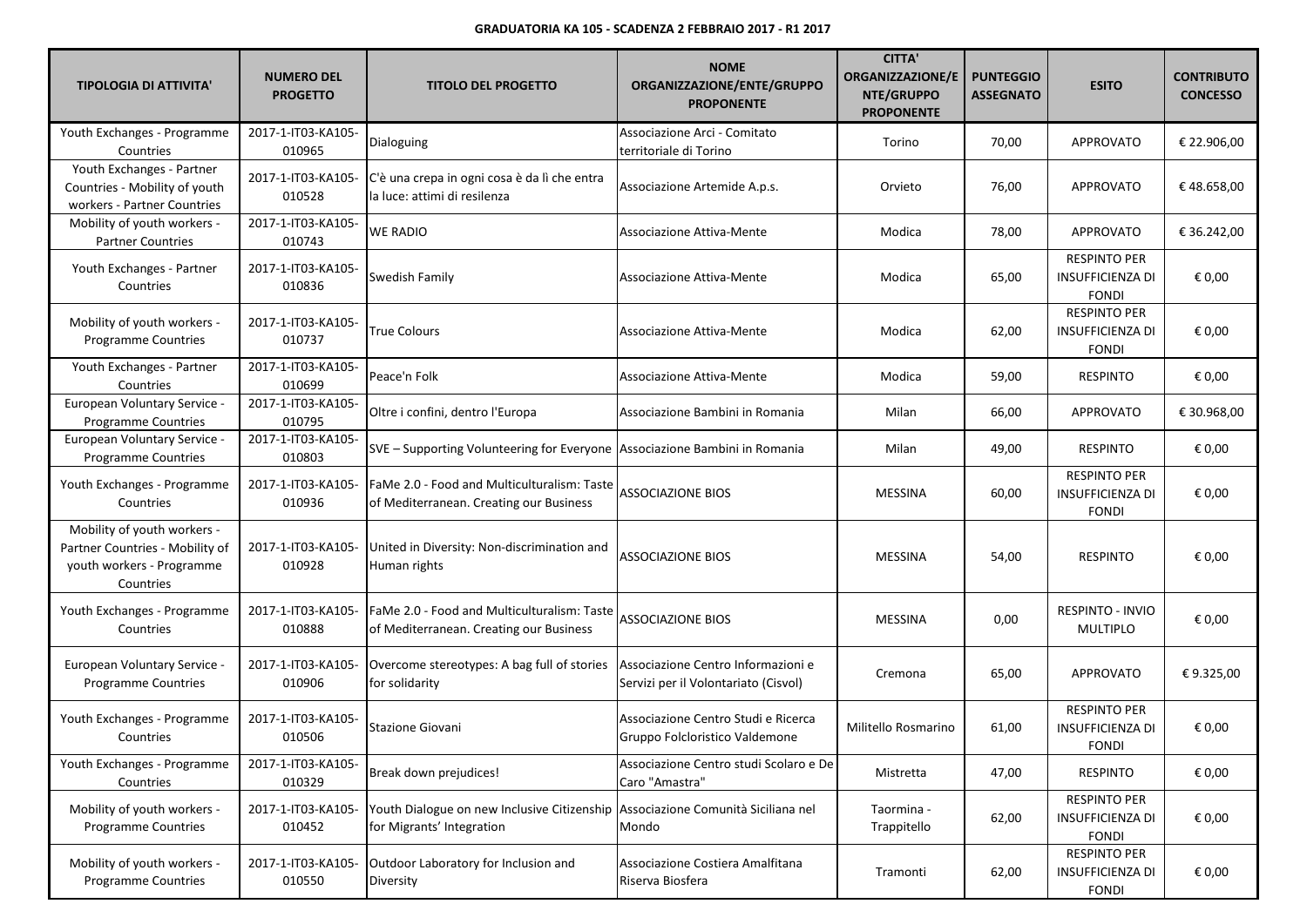| <b>TIPOLOGIA DI ATTIVITA'</b>                                                                            | <b>NUMERO DEL</b><br><b>PROGETTO</b> | <b>TITOLO DEL PROGETTO</b>                                                                                   | <b>NOME</b><br>ORGANIZZAZIONE/ENTE/GRUPPO<br><b>PROPONENTE</b>             | <b>CITTA'</b><br><b>ORGANIZZAZIONE/E</b><br>NTE/GRUPPO<br><b>PROPONENTE</b> | <b>PUNTEGGIO</b><br><b>ASSEGNATO</b> | <b>ESITO</b>                                                   | <b>CONTRIBUTO</b><br><b>CONCESSO</b> |
|----------------------------------------------------------------------------------------------------------|--------------------------------------|--------------------------------------------------------------------------------------------------------------|----------------------------------------------------------------------------|-----------------------------------------------------------------------------|--------------------------------------|----------------------------------------------------------------|--------------------------------------|
| Youth Exchanges - Programme<br>Countries                                                                 | 2017-1-IT03-KA105-<br>010965         | Dialoguing                                                                                                   | Associazione Arci - Comitato<br>territoriale di Torino                     | Torino                                                                      | 70,00                                | <b>APPROVATO</b>                                               | € 22.906,00                          |
| Youth Exchanges - Partner<br>Countries - Mobility of youth<br>workers - Partner Countries                | 2017-1-IT03-KA105-<br>010528         | C'è una crepa in ogni cosa è da lì che entra<br>la luce: attimi di resilenza                                 | Associazione Artemide A.p.s.                                               | Orvieto                                                                     | 76,00                                | <b>APPROVATO</b>                                               | €48.658,00                           |
| Mobility of youth workers -<br><b>Partner Countries</b>                                                  | 2017-1-IT03-KA105-<br>010743         | <b>WE RADIO</b>                                                                                              | Associazione Attiva-Mente                                                  | Modica                                                                      | 78,00                                | <b>APPROVATO</b>                                               | € 36.242,00                          |
| Youth Exchanges - Partner<br>Countries                                                                   | 2017-1-IT03-KA105-<br>010836         | Swedish Family                                                                                               | Associazione Attiva-Mente                                                  | Modica                                                                      | 65,00                                | <b>RESPINTO PER</b><br><b>INSUFFICIENZA DI</b><br><b>FONDI</b> | € 0,00                               |
| Mobility of youth workers -<br><b>Programme Countries</b>                                                | 2017-1-IT03-KA105-<br>010737         | True Colours                                                                                                 | Associazione Attiva-Mente                                                  | Modica                                                                      | 62,00                                | <b>RESPINTO PER</b><br><b>INSUFFICIENZA DI</b><br><b>FONDI</b> | € 0,00                               |
| Youth Exchanges - Partner<br>Countries                                                                   | 2017-1-IT03-KA105-<br>010699         | Peace'n Folk                                                                                                 | Associazione Attiva-Mente                                                  | Modica                                                                      | 59,00                                | <b>RESPINTO</b>                                                | € 0,00                               |
| European Voluntary Service -<br>Programme Countries                                                      | 2017-1-IT03-KA105-<br>010795         | Oltre i confini, dentro l'Europa                                                                             | Associazione Bambini in Romania                                            | Milan                                                                       | 66,00                                | <b>APPROVATO</b>                                               | € 30.968,00                          |
| European Voluntary Service -<br><b>Programme Countries</b>                                               | 2017-1-IT03-KA105-<br>010803         | SVE - Supporting Volunteering for Everyone Associazione Bambini in Romania                                   |                                                                            | Milan                                                                       | 49,00                                | <b>RESPINTO</b>                                                | € 0,00                               |
| Youth Exchanges - Programme<br>Countries                                                                 | 2017-1-IT03-KA105-<br>010936         | FaMe 2.0 - Food and Multiculturalism: Taste<br>of Mediterranean. Creating our Business                       | <b>ASSOCIAZIONE BIOS</b>                                                   | <b>MESSINA</b>                                                              | 60,00                                | <b>RESPINTO PER</b><br><b>INSUFFICIENZA DI</b><br><b>FONDI</b> | € 0,00                               |
| Mobility of youth workers -<br>Partner Countries - Mobility of<br>youth workers - Programme<br>Countries | 2017-1-IT03-KA105-<br>010928         | United in Diversity: Non-discrimination and<br>Human rights                                                  | ASSOCIAZIONE BIOS                                                          | <b>MESSINA</b>                                                              | 54,00                                | <b>RESPINTO</b>                                                | € 0,00                               |
| Youth Exchanges - Programme<br>Countries                                                                 | 2017-1-IT03-KA105-<br>010888         | FaMe 2.0 - Food and Multiculturalism: Taste<br>of Mediterranean. Creating our Business                       | ASSOCIAZIONE BIOS                                                          | <b>MESSINA</b>                                                              | 0,00                                 | RESPINTO - INVIO<br><b>MULTIPLO</b>                            | € 0,00                               |
| European Voluntary Service -<br>Programme Countries                                                      | 2017-1-IT03-KA105-<br>010906         | Overcome stereotypes: A bag full of stories<br>for solidarity                                                | Associazione Centro Informazioni e<br>Servizi per il Volontariato (Cisvol) | Cremona                                                                     | 65,00                                | <b>APPROVATO</b>                                               | € 9.325,00                           |
| Youth Exchanges - Programme<br>Countries                                                                 | 2017-1-IT03-KA105-<br>010506         | Stazione Giovani                                                                                             | Associazione Centro Studi e Ricerca<br>Gruppo Folcloristico Valdemone      | Militello Rosmarino                                                         | 61,00                                | <b>RESPINTO PER</b><br><b>INSUFFICIENZA DI</b><br><b>FONDI</b> | € 0,00                               |
| Youth Exchanges - Programme<br>Countries                                                                 | 2017-1-IT03-KA105-<br>010329         | Break down prejudices!                                                                                       | Associazione Centro studi Scolaro e De<br>Caro "Amastra"                   | Mistretta                                                                   | 47,00                                | <b>RESPINTO</b>                                                | € 0,00                               |
| Mobility of youth workers -<br><b>Programme Countries</b>                                                | 2017-1-IT03-KA105-<br>010452         | Youth Dialogue on new Inclusive Citizenship Associazione Comunità Siciliana nel<br>for Migrants' Integration | Mondo                                                                      | Taormina -<br>Trappitello                                                   | 62,00                                | <b>RESPINTO PER</b><br><b>INSUFFICIENZA DI</b><br><b>FONDI</b> | € 0,00                               |
| Mobility of youth workers -<br><b>Programme Countries</b>                                                | 2017-1-IT03-KA105-<br>010550         | Outdoor Laboratory for Inclusion and<br>Diversity                                                            | Associazione Costiera Amalfitana<br>Riserva Biosfera                       | Tramonti                                                                    | 62,00                                | <b>RESPINTO PER</b><br><b>INSUFFICIENZA DI</b><br><b>FONDI</b> | € 0,00                               |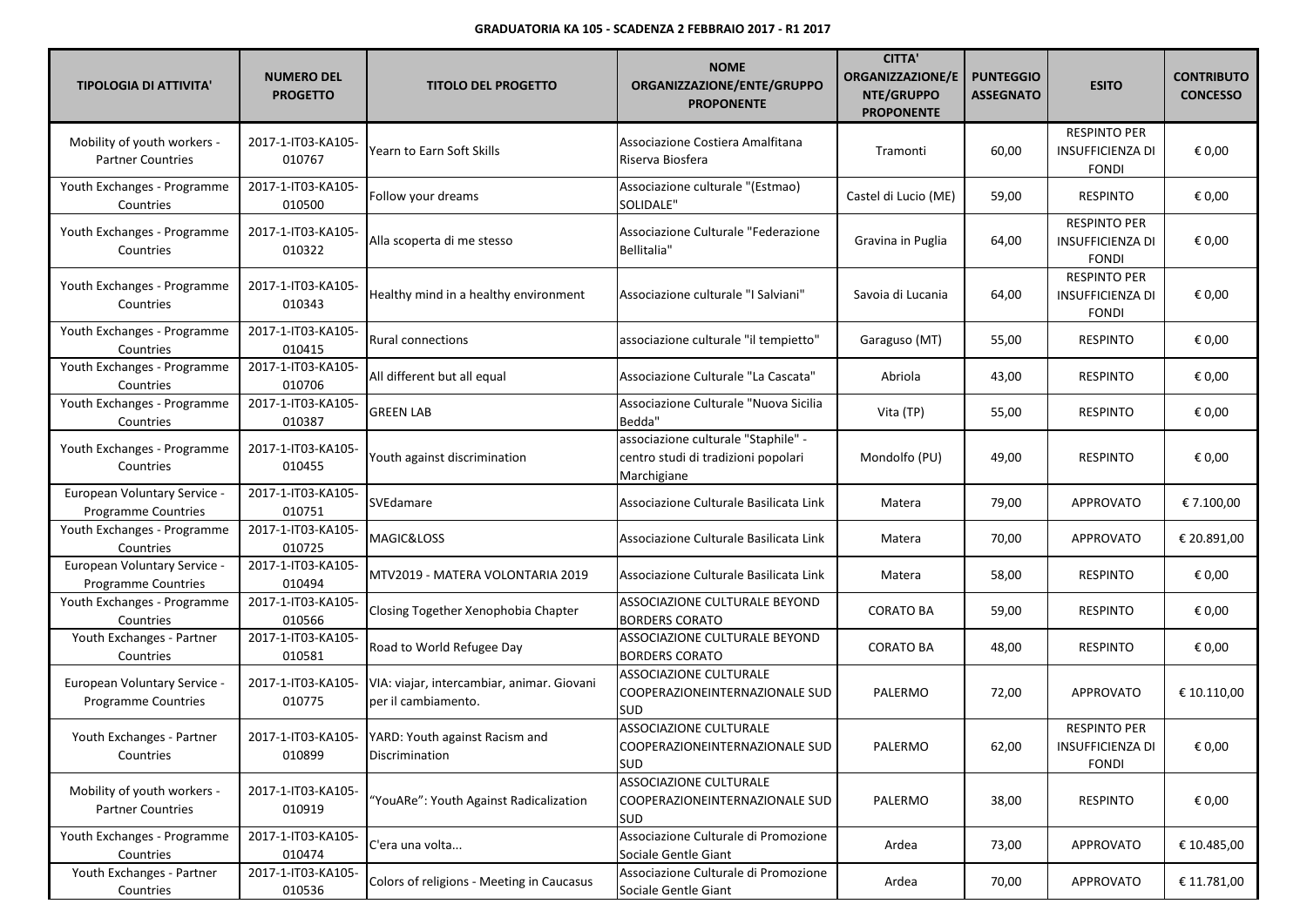| <b>TIPOLOGIA DI ATTIVITA'</b>                              | <b>NUMERO DEL</b><br><b>PROGETTO</b> | <b>TITOLO DEL PROGETTO</b>                                            | <b>NOME</b><br>ORGANIZZAZIONE/ENTE/GRUPPO<br><b>PROPONENTE</b>                            | <b>CITTA'</b><br><b>ORGANIZZAZIONE/E</b><br>NTE/GRUPPO<br><b>PROPONENTE</b> | <b>PUNTEGGIO</b><br><b>ASSEGNATO</b> | <b>ESITO</b>                                                   | <b>CONTRIBUTO</b><br><b>CONCESSO</b> |
|------------------------------------------------------------|--------------------------------------|-----------------------------------------------------------------------|-------------------------------------------------------------------------------------------|-----------------------------------------------------------------------------|--------------------------------------|----------------------------------------------------------------|--------------------------------------|
| Mobility of youth workers -<br><b>Partner Countries</b>    | 2017-1-IT03-KA105-<br>010767         | Yearn to Earn Soft Skills                                             | Associazione Costiera Amalfitana<br>Riserva Biosfera                                      | Tramonti                                                                    | 60,00                                | <b>RESPINTO PER</b><br><b>INSUFFICIENZA DI</b><br><b>FONDI</b> | € 0,00                               |
| Youth Exchanges - Programme<br>Countries                   | 2017-1-IT03-KA105-<br>010500         | Follow your dreams                                                    | Associazione culturale "(Estmao)<br>SOLIDALE"                                             | Castel di Lucio (ME)                                                        | 59,00                                | <b>RESPINTO</b>                                                | € 0,00                               |
| Youth Exchanges - Programme<br>Countries                   | 2017-1-IT03-KA105-<br>010322         | Alla scoperta di me stesso                                            | Associazione Culturale "Federazione<br>Bellitalia"                                        | Gravina in Puglia                                                           | 64,00                                | <b>RESPINTO PER</b><br><b>INSUFFICIENZA DI</b><br><b>FONDI</b> | € 0,00                               |
| Youth Exchanges - Programme<br>Countries                   | 2017-1-IT03-KA105-<br>010343         | Healthy mind in a healthy environment                                 | Associazione culturale "I Salviani"                                                       | Savoia di Lucania                                                           | 64,00                                | <b>RESPINTO PER</b><br><b>INSUFFICIENZA DI</b><br><b>FONDI</b> | € 0,00                               |
| Youth Exchanges - Programme<br>Countries                   | 2017-1-IT03-KA105-<br>010415         | Rural connections                                                     | associazione culturale "il tempietto"                                                     | Garaguso (MT)                                                               | 55,00                                | <b>RESPINTO</b>                                                | € 0,00                               |
| Youth Exchanges - Programme<br>Countries                   | 2017-1-IT03-KA105-<br>010706         | All different but all equal                                           | Associazione Culturale "La Cascata"                                                       | Abriola                                                                     | 43,00                                | <b>RESPINTO</b>                                                | € 0,00                               |
| Youth Exchanges - Programme<br>Countries                   | 2017-1-IT03-KA105-<br>010387         | <b>GREEN LAB</b>                                                      | Associazione Culturale "Nuova Sicilia<br>Bedda"                                           | Vita (TP)                                                                   | 55,00                                | <b>RESPINTO</b>                                                | € 0,00                               |
| Youth Exchanges - Programme<br>Countries                   | 2017-1-IT03-KA105-<br>010455         | Youth against discrimination                                          | associazione culturale "Staphile" -<br>centro studi di tradizioni popolari<br>Marchigiane | Mondolfo (PU)                                                               | 49,00                                | <b>RESPINTO</b>                                                | € 0,00                               |
| European Voluntary Service -<br>Programme Countries        | 2017-1-IT03-KA105-<br>010751         | SVEdamare                                                             | Associazione Culturale Basilicata Link                                                    | Matera                                                                      | 79,00                                | <b>APPROVATO</b>                                               | € 7.100,00                           |
| Youth Exchanges - Programme<br>Countries                   | 2017-1-IT03-KA105-<br>010725         | MAGIC&LOSS                                                            | Associazione Culturale Basilicata Link                                                    | Matera                                                                      | 70,00                                | <b>APPROVATO</b>                                               | € 20.891,00                          |
| European Voluntary Service -<br>Programme Countries        | 2017-1-IT03-KA105-<br>010494         | MTV2019 - MATERA VOLONTARIA 2019                                      | Associazione Culturale Basilicata Link                                                    | Matera                                                                      | 58,00                                | <b>RESPINTO</b>                                                | € 0,00                               |
| Youth Exchanges - Programme<br>Countries                   | 2017-1-IT03-KA105-<br>010566         | Closing Together Xenophobia Chapter                                   | ASSOCIAZIONE CULTURALE BEYOND<br><b>BORDERS CORATO</b>                                    | <b>CORATO BA</b>                                                            | 59,00                                | <b>RESPINTO</b>                                                | € 0,00                               |
| Youth Exchanges - Partner<br>Countries                     | 2017-1-IT03-KA105-<br>010581         | Road to World Refugee Day                                             | ASSOCIAZIONE CULTURALE BEYOND<br><b>BORDERS CORATO</b>                                    | <b>CORATO BA</b>                                                            | 48,00                                | <b>RESPINTO</b>                                                | € 0,00                               |
| European Voluntary Service -<br><b>Programme Countries</b> | 2017-1-IT03-KA105-<br>010775         | VIA: viajar, intercambiar, animar. Giovani<br>per il cambiamento.     | ASSOCIAZIONE CULTURALE<br>COOPERAZIONEINTERNAZIONALE SUD<br><b>SUD</b>                    | PALERMO                                                                     | 72,00                                | <b>APPROVATO</b>                                               | € 10.110,00                          |
| Youth Exchanges - Partner<br>Countries                     | 010899                               | 2017-1-IT03-KA105-   YARD: Youth against Racism and<br>Discrimination | <b>ASSOCIAZIONE CULTURALE</b><br>COOPERAZIONEINTERNAZIONALE SUD<br>SUD                    | PALERMO                                                                     | 62,00                                | <b>RESPINTO PER</b><br>INSUFFICIENZA DI<br><b>FONDI</b>        | € 0,00                               |
| Mobility of youth workers -<br><b>Partner Countries</b>    | 2017-1-IT03-KA105-<br>010919         | "YouARe": Youth Against Radicalization                                | ASSOCIAZIONE CULTURALE<br>COOPERAZIONEINTERNAZIONALE SUD<br><b>SUD</b>                    | PALERMO                                                                     | 38,00                                | <b>RESPINTO</b>                                                | € 0,00                               |
| Youth Exchanges - Programme<br>Countries                   | 2017-1-IT03-KA105-<br>010474         | C'era una volta                                                       | Associazione Culturale di Promozione<br>Sociale Gentle Giant                              | Ardea                                                                       | 73,00                                | APPROVATO                                                      | € 10.485,00                          |
| Youth Exchanges - Partner<br>Countries                     | 2017-1-IT03-KA105-<br>010536         | Colors of religions - Meeting in Caucasus                             | Associazione Culturale di Promozione<br>Sociale Gentle Giant                              | Ardea                                                                       | 70,00                                | <b>APPROVATO</b>                                               | € 11.781,00                          |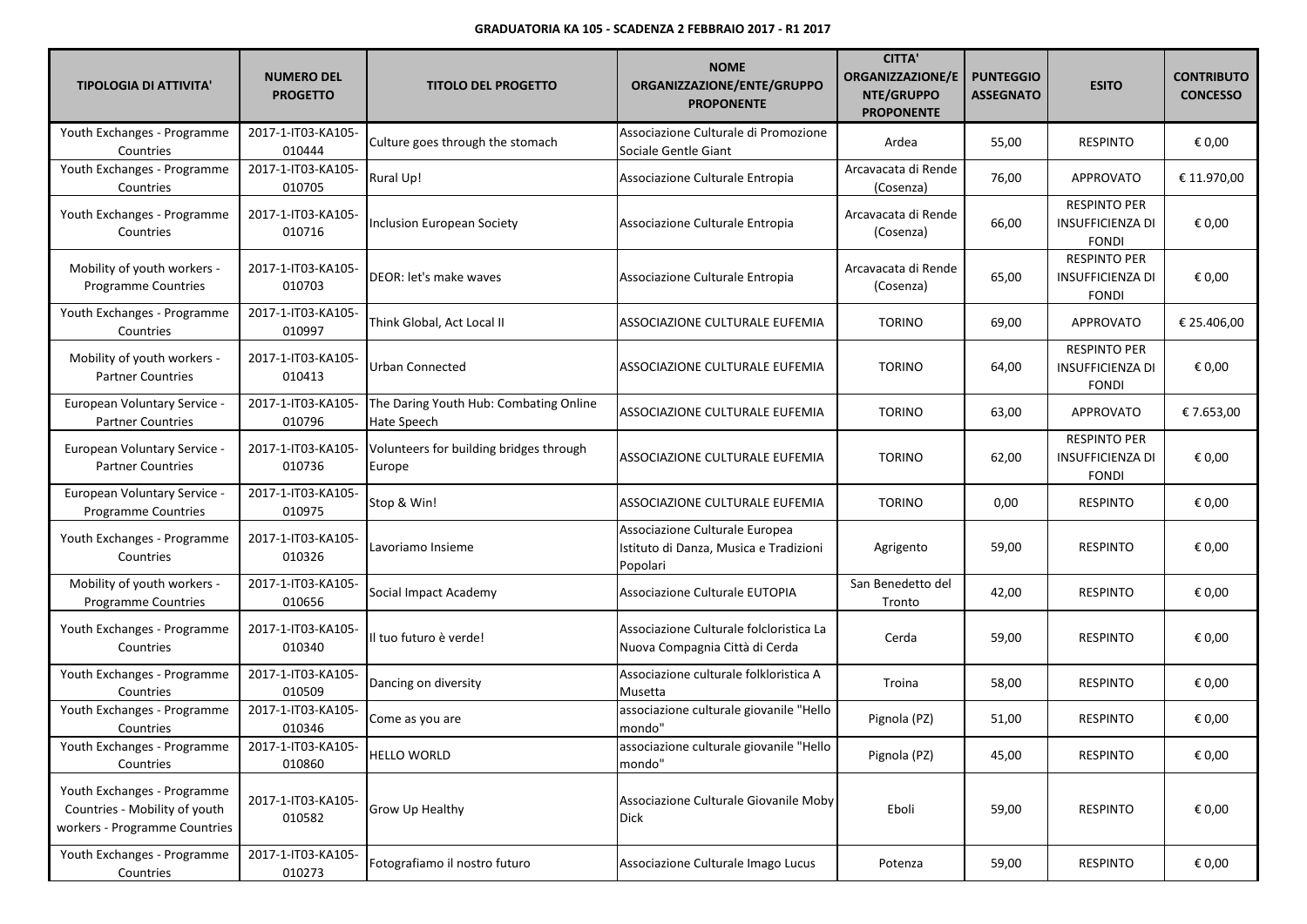| <b>TIPOLOGIA DI ATTIVITA'</b>                                                                 | <b>NUMERO DEL</b><br><b>PROGETTO</b> | <b>TITOLO DEL PROGETTO</b>                            | <b>NOME</b><br>ORGANIZZAZIONE/ENTE/GRUPPO<br><b>PROPONENTE</b>                       | <b>CITTA'</b><br><b>ORGANIZZAZIONE/E</b><br>NTE/GRUPPO<br><b>PROPONENTE</b> | <b>PUNTEGGIO</b><br><b>ASSEGNATO</b> | <b>ESITO</b>                                                   | <b>CONTRIBUTO</b><br><b>CONCESSO</b> |
|-----------------------------------------------------------------------------------------------|--------------------------------------|-------------------------------------------------------|--------------------------------------------------------------------------------------|-----------------------------------------------------------------------------|--------------------------------------|----------------------------------------------------------------|--------------------------------------|
| Youth Exchanges - Programme<br>Countries                                                      | 2017-1-IT03-KA105-<br>010444         | Culture goes through the stomach                      | Associazione Culturale di Promozione<br>Sociale Gentle Giant                         | Ardea                                                                       | 55,00                                | <b>RESPINTO</b>                                                | € 0,00                               |
| Youth Exchanges - Programme<br>Countries                                                      | 2017-1-IT03-KA105-<br>010705         | Rural Up!                                             | Associazione Culturale Entropia                                                      | Arcavacata di Rende<br>(Cosenza)                                            | 76,00                                | APPROVATO                                                      | € 11.970,00                          |
| Youth Exchanges - Programme<br>Countries                                                      | 2017-1-IT03-KA105-<br>010716         | Inclusion European Society                            | Associazione Culturale Entropia                                                      | Arcavacata di Rende<br>(Cosenza)                                            | 66,00                                | <b>RESPINTO PER</b><br><b>INSUFFICIENZA DI</b><br><b>FONDI</b> | € 0,00                               |
| Mobility of youth workers -<br><b>Programme Countries</b>                                     | 2017-1-IT03-KA105-<br>010703         | DEOR: let's make waves                                | Associazione Culturale Entropia                                                      | Arcavacata di Rende<br>(Cosenza)                                            | 65,00                                | <b>RESPINTO PER</b><br><b>INSUFFICIENZA DI</b><br><b>FONDI</b> | € 0,00                               |
| Youth Exchanges - Programme<br>Countries                                                      | 2017-1-IT03-KA105-<br>010997         | Think Global, Act Local II                            | ASSOCIAZIONE CULTURALE EUFEMIA                                                       | <b>TORINO</b>                                                               | 69,00                                | <b>APPROVATO</b>                                               | € 25.406,00                          |
| Mobility of youth workers -<br><b>Partner Countries</b>                                       | 2017-1-IT03-KA105-<br>010413         | Urban Connected                                       | ASSOCIAZIONE CULTURALE EUFEMIA                                                       | <b>TORINO</b>                                                               | 64,00                                | <b>RESPINTO PER</b><br><b>INSUFFICIENZA DI</b><br><b>FONDI</b> | € 0,00                               |
| European Voluntary Service -<br><b>Partner Countries</b>                                      | 2017-1-IT03-KA105-<br>010796         | The Daring Youth Hub: Combating Online<br>Hate Speech | ASSOCIAZIONE CULTURALE EUFEMIA                                                       | <b>TORINO</b>                                                               | 63,00                                | APPROVATO                                                      | € 7.653,00                           |
| European Voluntary Service -<br><b>Partner Countries</b>                                      | 2017-1-IT03-KA105-<br>010736         | Volunteers for building bridges through<br>Europe     | ASSOCIAZIONE CULTURALE EUFEMIA                                                       | <b>TORINO</b>                                                               | 62,00                                | <b>RESPINTO PER</b><br><b>INSUFFICIENZA DI</b><br><b>FONDI</b> | € 0,00                               |
| European Voluntary Service -<br>Programme Countries                                           | 2017-1-IT03-KA105-<br>010975         | Stop & Win!                                           | ASSOCIAZIONE CULTURALE EUFEMIA                                                       | <b>TORINO</b>                                                               | 0,00                                 | <b>RESPINTO</b>                                                | € 0,00                               |
| Youth Exchanges - Programme<br>Countries                                                      | 2017-1-IT03-KA105-<br>010326         | Lavoriamo Insieme                                     | Associazione Culturale Europea<br>Istituto di Danza, Musica e Tradizioni<br>Popolari | Agrigento                                                                   | 59,00                                | <b>RESPINTO</b>                                                | € 0,00                               |
| Mobility of youth workers -<br>Programme Countries                                            | 2017-1-IT03-KA105-<br>010656         | Social Impact Academy                                 | Associazione Culturale EUTOPIA                                                       | San Benedetto del<br>Tronto                                                 | 42,00                                | <b>RESPINTO</b>                                                | € 0,00                               |
| Youth Exchanges - Programme<br>Countries                                                      | 2017-1-IT03-KA105-<br>010340         | Il tuo futuro è verde!                                | Associazione Culturale folcloristica La<br>Nuova Compagnia Città di Cerda            | Cerda                                                                       | 59,00                                | <b>RESPINTO</b>                                                | € 0,00                               |
| Youth Exchanges - Programme<br>Countries                                                      | 2017-1-IT03-KA105-<br>010509         | Dancing on diversity                                  | Associazione culturale folkloristica A<br>Musetta                                    | Troina                                                                      | 58,00                                | <b>RESPINTO</b>                                                | € 0,00                               |
| Youth Exchanges - Programme<br>Countries                                                      | 2017-1-IT03-KA105-<br>010346         | Come as you are                                       | associazione culturale giovanile "Hello<br>mondo"                                    | Pignola (PZ)                                                                | 51,00                                | <b>RESPINTO</b>                                                | € 0,00                               |
| Youth Exchanges - Programme<br>Countries                                                      | 2017-1-IT03-KA105-<br>010860         | <b>HELLO WORLD</b>                                    | associazione culturale giovanile "Hello<br>mondo"                                    | Pignola (PZ)                                                                | 45,00                                | <b>RESPINTO</b>                                                | € 0,00                               |
| Youth Exchanges - Programme<br>Countries - Mobility of youth<br>workers - Programme Countries | 2017-1-IT03-KA105-<br>010582         | Grow Up Healthy                                       | Associazione Culturale Giovanile Moby<br><b>Dick</b>                                 | Eboli                                                                       | 59,00                                | <b>RESPINTO</b>                                                | € 0,00                               |
| Youth Exchanges - Programme<br>Countries                                                      | 2017-1-IT03-KA105-<br>010273         | Fotografiamo il nostro futuro                         | Associazione Culturale Imago Lucus                                                   | Potenza                                                                     | 59,00                                | <b>RESPINTO</b>                                                | € 0,00                               |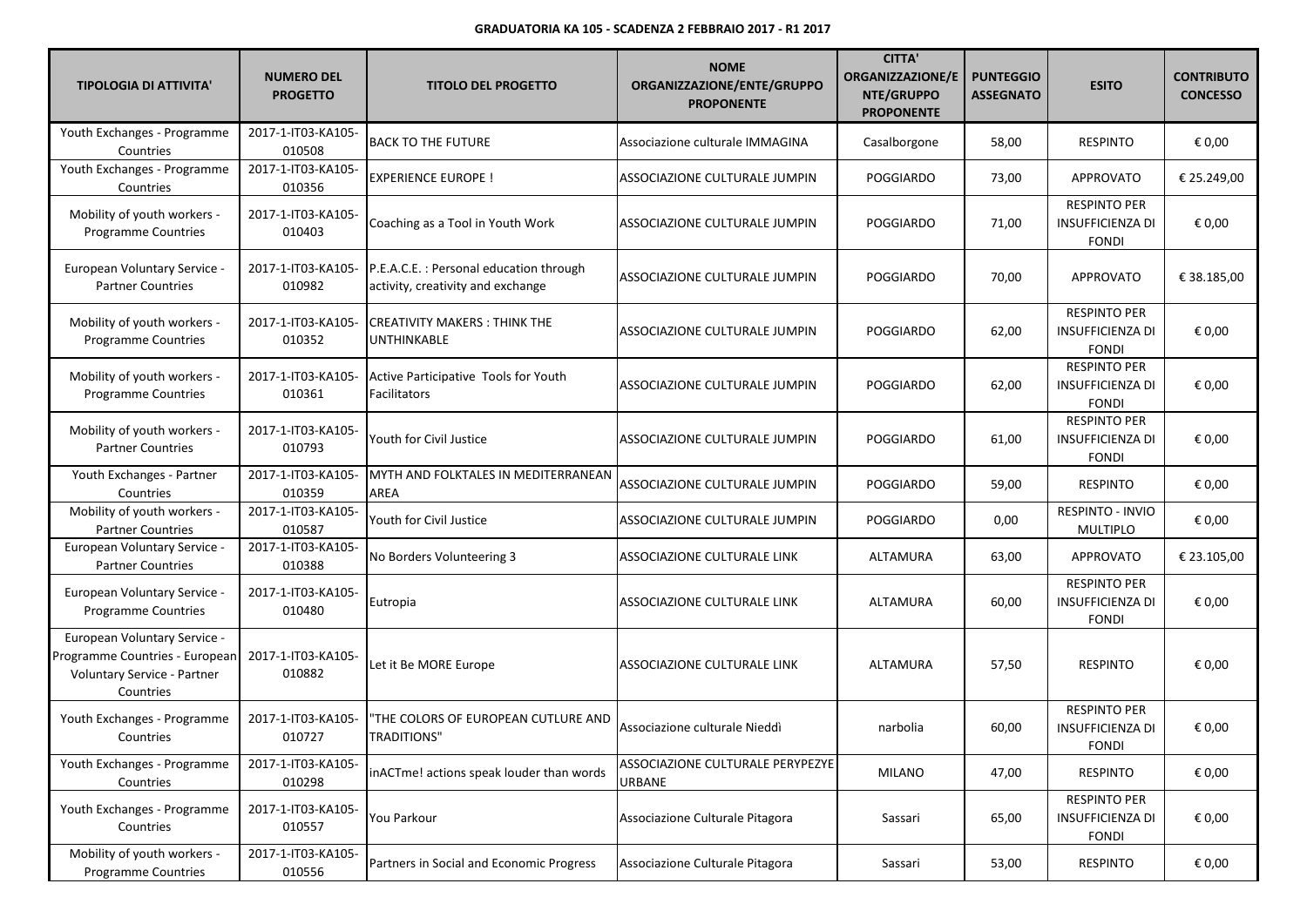| <b>TIPOLOGIA DI ATTIVITA'</b>                                                                              | <b>NUMERO DEL</b><br><b>PROGETTO</b> | <b>TITOLO DEL PROGETTO</b>                                                  | <b>NOME</b><br>ORGANIZZAZIONE/ENTE/GRUPPO<br><b>PROPONENTE</b> | <b>CITTA'</b><br><b>ORGANIZZAZIONE/E</b><br>NTE/GRUPPO<br><b>PROPONENTE</b> | <b>PUNTEGGIO</b><br><b>ASSEGNATO</b> | <b>ESITO</b>                                                   | <b>CONTRIBUTO</b><br><b>CONCESSO</b> |
|------------------------------------------------------------------------------------------------------------|--------------------------------------|-----------------------------------------------------------------------------|----------------------------------------------------------------|-----------------------------------------------------------------------------|--------------------------------------|----------------------------------------------------------------|--------------------------------------|
| Youth Exchanges - Programme<br>Countries                                                                   | 2017-1-IT03-KA105-<br>010508         | <b>BACK TO THE FUTURE</b>                                                   | Associazione culturale IMMAGINA                                | Casalborgone                                                                | 58,00                                | <b>RESPINTO</b>                                                | € 0,00                               |
| Youth Exchanges - Programme<br>Countries                                                                   | 2017-1-IT03-KA105-<br>010356         | <b>EXPERIENCE EUROPE!</b>                                                   | ASSOCIAZIONE CULTURALE JUMPIN                                  | <b>POGGIARDO</b>                                                            | 73,00                                | <b>APPROVATO</b>                                               | € 25.249,00                          |
| Mobility of youth workers -<br>Programme Countries                                                         | 2017-1-IT03-KA105-<br>010403         | Coaching as a Tool in Youth Work                                            | ASSOCIAZIONE CULTURALE JUMPIN                                  | <b>POGGIARDO</b>                                                            | 71,00                                | <b>RESPINTO PER</b><br><b>INSUFFICIENZA DI</b><br><b>FONDI</b> | € 0,00                               |
| European Voluntary Service -<br><b>Partner Countries</b>                                                   | 2017-1-IT03-KA105-<br>010982         | P.E.A.C.E.: Personal education through<br>activity, creativity and exchange | ASSOCIAZIONE CULTURALE JUMPIN                                  | POGGIARDO                                                                   | 70,00                                | APPROVATO                                                      | € 38.185,00                          |
| Mobility of youth workers -<br><b>Programme Countries</b>                                                  | 2017-1-IT03-KA105-<br>010352         | <b>CREATIVITY MAKERS: THINK THE</b><br><b>UNTHINKABLE</b>                   | ASSOCIAZIONE CULTURALE JUMPIN                                  | <b>POGGIARDO</b>                                                            | 62,00                                | <b>RESPINTO PER</b><br><b>INSUFFICIENZA DI</b><br><b>FONDI</b> | € 0,00                               |
| Mobility of youth workers -<br>Programme Countries                                                         | 2017-1-IT03-KA105-<br>010361         | Active Participative Tools for Youth<br>Facilitators                        | ASSOCIAZIONE CULTURALE JUMPIN                                  | <b>POGGIARDO</b>                                                            | 62,00                                | <b>RESPINTO PER</b><br><b>INSUFFICIENZA DI</b><br><b>FONDI</b> | € 0,00                               |
| Mobility of youth workers -<br><b>Partner Countries</b>                                                    | 2017-1-IT03-KA105-<br>010793         | Youth for Civil Justice                                                     | ASSOCIAZIONE CULTURALE JUMPIN                                  | POGGIARDO                                                                   | 61,00                                | <b>RESPINTO PER</b><br><b>INSUFFICIENZA DI</b><br><b>FONDI</b> | € 0,00                               |
| Youth Exchanges - Partner<br>Countries                                                                     | 2017-1-IT03-KA105-<br>010359         | MYTH AND FOLKTALES IN MEDITERRANEAN<br>AREA                                 | <b>ASSOCIAZIONE CULTURALE JUMPIN</b>                           | POGGIARDO                                                                   | 59,00                                | <b>RESPINTO</b>                                                | € 0,00                               |
| Mobility of youth workers -<br><b>Partner Countries</b>                                                    | 2017-1-IT03-KA105-<br>010587         | Youth for Civil Justice                                                     | ASSOCIAZIONE CULTURALE JUMPIN                                  | <b>POGGIARDO</b>                                                            | 0,00                                 | RESPINTO - INVIO<br><b>MULTIPLO</b>                            | € 0,00                               |
| European Voluntary Service -<br><b>Partner Countries</b>                                                   | 2017-1-IT03-KA105-<br>010388         | No Borders Volunteering 3                                                   | ASSOCIAZIONE CULTURALE LINK                                    | ALTAMURA                                                                    | 63,00                                | APPROVATO                                                      | € 23.105,00                          |
| <b>European Voluntary Service -</b><br><b>Programme Countries</b>                                          | 2017-1-IT03-KA105-<br>010480         | Eutropia                                                                    | ASSOCIAZIONE CULTURALE LINK                                    | ALTAMURA                                                                    | 60,00                                | <b>RESPINTO PER</b><br><b>INSUFFICIENZA DI</b><br><b>FONDI</b> | € 0,00                               |
| European Voluntary Service -<br>Programme Countries - European<br>Voluntary Service - Partner<br>Countries | 2017-1-IT03-KA105-<br>010882         | Let it Be MORE Europe                                                       | <b>ASSOCIAZIONE CULTURALE LINK</b>                             | ALTAMURA                                                                    | 57,50                                | <b>RESPINTO</b>                                                | € 0,00                               |
| Youth Exchanges - Programme<br>Countries                                                                   | 2017-1-IT03-KA105-<br>010727         | 'THE COLORS OF EUROPEAN CUTLURE AND<br><b>TRADITIONS"</b>                   | Associazione culturale Nieddì                                  | narbolia                                                                    | 60,00                                | <b>RESPINTO PER</b><br><b>INSUFFICIENZA DI</b><br><b>FONDI</b> | € 0,00                               |
| Youth Exchanges - Programme<br>Countries                                                                   | 2017-1-IT03-KA105-<br>010298         | inACTme! actions speak louder than words                                    | ASSOCIAZIONE CULTURALE PERYPEZYE<br>URBANE                     | <b>MILANO</b>                                                               | 47,00                                | <b>RESPINTO</b>                                                | € 0,00                               |
| Youth Exchanges - Programme<br>Countries                                                                   | 2017-1-IT03-KA105-<br>010557         | You Parkour                                                                 | Associazione Culturale Pitagora                                | Sassari                                                                     | 65,00                                | <b>RESPINTO PER</b><br><b>INSUFFICIENZA DI</b><br><b>FONDI</b> | € 0,00                               |
| Mobility of youth workers -<br>Programme Countries                                                         | 2017-1-IT03-KA105-<br>010556         | Partners in Social and Economic Progress                                    | Associazione Culturale Pitagora                                | Sassari                                                                     | 53,00                                | <b>RESPINTO</b>                                                | € 0,00                               |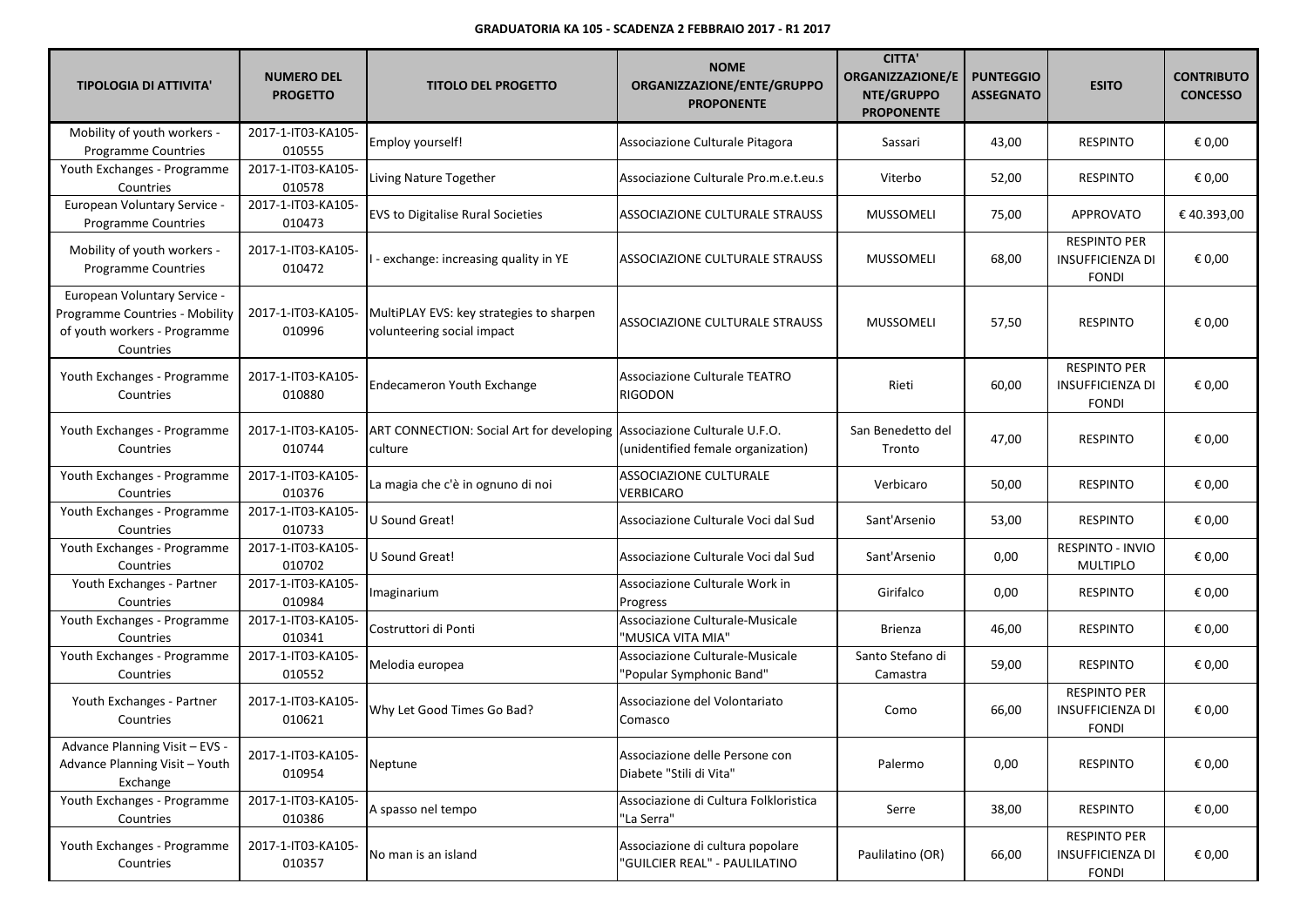| <b>TIPOLOGIA DI ATTIVITA'</b>                                                                               | <b>NUMERO DEL</b><br><b>PROGETTO</b> | <b>TITOLO DEL PROGETTO</b>                                                           | <b>NOME</b><br>ORGANIZZAZIONE/ENTE/GRUPPO<br><b>PROPONENTE</b>    | <b>CITTA'</b><br><b>ORGANIZZAZIONE/E</b><br>NTE/GRUPPO<br><b>PROPONENTE</b> | <b>PUNTEGGIO</b><br><b>ASSEGNATO</b> | <b>ESITO</b>                                                   | <b>CONTRIBUTO</b><br><b>CONCESSO</b> |
|-------------------------------------------------------------------------------------------------------------|--------------------------------------|--------------------------------------------------------------------------------------|-------------------------------------------------------------------|-----------------------------------------------------------------------------|--------------------------------------|----------------------------------------------------------------|--------------------------------------|
| Mobility of youth workers -<br><b>Programme Countries</b>                                                   | 2017-1-IT03-KA105-<br>010555         | Employ yourself!                                                                     | Associazione Culturale Pitagora                                   | Sassari                                                                     | 43,00                                | <b>RESPINTO</b>                                                | € 0,00                               |
| Youth Exchanges - Programme<br>Countries                                                                    | 2017-1-IT03-KA105-<br>010578         | Living Nature Together                                                               | Associazione Culturale Pro.m.e.t.eu.s                             | Viterbo                                                                     | 52,00                                | <b>RESPINTO</b>                                                | € 0,00                               |
| European Voluntary Service -<br>Programme Countries                                                         | 2017-1-IT03-KA105-<br>010473         | <b>EVS to Digitalise Rural Societies</b>                                             | <b>ASSOCIAZIONE CULTURALE STRAUSS</b>                             | <b>MUSSOMELI</b>                                                            | 75,00                                | APPROVATO                                                      | €40.393,00                           |
| Mobility of youth workers -<br>Programme Countries                                                          | 2017-1-IT03-KA105-<br>010472         | I - exchange: increasing quality in YE                                               | ASSOCIAZIONE CULTURALE STRAUSS                                    | <b>MUSSOMELI</b>                                                            | 68,00                                | <b>RESPINTO PER</b><br><b>INSUFFICIENZA DI</b><br><b>FONDI</b> | € 0,00                               |
| European Voluntary Service -<br>Programme Countries - Mobility<br>of youth workers - Programme<br>Countries | 2017-1-IT03-KA105-<br>010996         | MultiPLAY EVS: key strategies to sharpen<br>volunteering social impact               | <b>ASSOCIAZIONE CULTURALE STRAUSS</b>                             | <b>MUSSOMELI</b>                                                            | 57,50                                | <b>RESPINTO</b>                                                | € 0,00                               |
| Youth Exchanges - Programme<br>Countries                                                                    | 2017-1-IT03-KA105-<br>010880         | <b>Endecameron Youth Exchange</b>                                                    | <b>Associazione Culturale TEATRO</b><br>RIGODON                   | Rieti                                                                       | 60,00                                | <b>RESPINTO PER</b><br><b>INSUFFICIENZA DI</b><br><b>FONDI</b> | € 0,00                               |
| Youth Exchanges - Programme<br>Countries                                                                    | 2017-1-IT03-KA105-<br>010744         | ART CONNECTION: Social Art for developing   Associazione Culturale U.F.O.<br>culture | (unidentified female organization)                                | San Benedetto del<br>Tronto                                                 | 47,00                                | <b>RESPINTO</b>                                                | € 0,00                               |
| Youth Exchanges - Programme<br>Countries                                                                    | 2017-1-IT03-KA105-<br>010376         | La magia che c'è in ognuno di noi                                                    | ASSOCIAZIONE CULTURALE<br>VERBICARO                               | Verbicaro                                                                   | 50,00                                | <b>RESPINTO</b>                                                | € 0,00                               |
| Youth Exchanges - Programme<br>Countries                                                                    | 2017-1-IT03-KA105-<br>010733         | U Sound Great!                                                                       | Associazione Culturale Voci dal Sud                               | Sant'Arsenio                                                                | 53,00                                | <b>RESPINTO</b>                                                | € 0,00                               |
| Youth Exchanges - Programme<br>Countries                                                                    | 2017-1-IT03-KA105-<br>010702         | U Sound Great!                                                                       | Associazione Culturale Voci dal Sud                               | Sant'Arsenio                                                                | 0,00                                 | RESPINTO - INVIO<br><b>MULTIPLO</b>                            | € 0,00                               |
| Youth Exchanges - Partner<br>Countries                                                                      | 2017-1-IT03-KA105-<br>010984         | Imaginarium                                                                          | Associazione Culturale Work in<br>Progress                        | Girifalco                                                                   | 0,00                                 | <b>RESPINTO</b>                                                | € 0,00                               |
| Youth Exchanges - Programme<br>Countries                                                                    | 2017-1-IT03-KA105-<br>010341         | Costruttori di Ponti                                                                 | Associazione Culturale-Musicale<br>'MUSICA VITA MIA"              | <b>Brienza</b>                                                              | 46,00                                | <b>RESPINTO</b>                                                | € 0,00                               |
| Youth Exchanges - Programme<br>Countries                                                                    | 2017-1-IT03-KA105-<br>010552         | Melodia europea                                                                      | Associazione Culturale-Musicale<br>'Popular Symphonic Band"       | Santo Stefano di<br>Camastra                                                | 59,00                                | <b>RESPINTO</b>                                                | € 0,00                               |
| Youth Exchanges - Partner<br>Countries                                                                      | 2017-1-IT03-KA105-<br>010621         | Why Let Good Times Go Bad?                                                           | Associazione del Volontariato<br>Comasco                          | Como                                                                        | 66,00                                | <b>RESPINTO PER</b><br><b>INSUFFICIENZA DI</b><br><b>FONDI</b> | € 0,00                               |
| Advance Planning Visit - EVS -<br>Advance Planning Visit - Youth<br>Exchange                                | 2017-1-IT03-KA105-<br>010954         | Neptune                                                                              | Associazione delle Persone con<br>Diabete "Stili di Vita"         | Palermo                                                                     | 0,00                                 | RESPINTO                                                       | € 0,00                               |
| Youth Exchanges - Programme<br>Countries                                                                    | 2017-1-IT03-KA105-<br>010386         | A spasso nel tempo                                                                   | Associazione di Cultura Folkloristica<br>"La Serra"               | Serre                                                                       | 38,00                                | <b>RESPINTO</b>                                                | € 0,00                               |
| Youth Exchanges - Programme<br>Countries                                                                    | 2017-1-IT03-KA105-<br>010357         | No man is an island                                                                  | Associazione di cultura popolare<br>'GUILCIER REAL" - PAULILATINO | Paulilatino (OR)                                                            | 66,00                                | <b>RESPINTO PER</b><br><b>INSUFFICIENZA DI</b><br><b>FONDI</b> | € 0,00                               |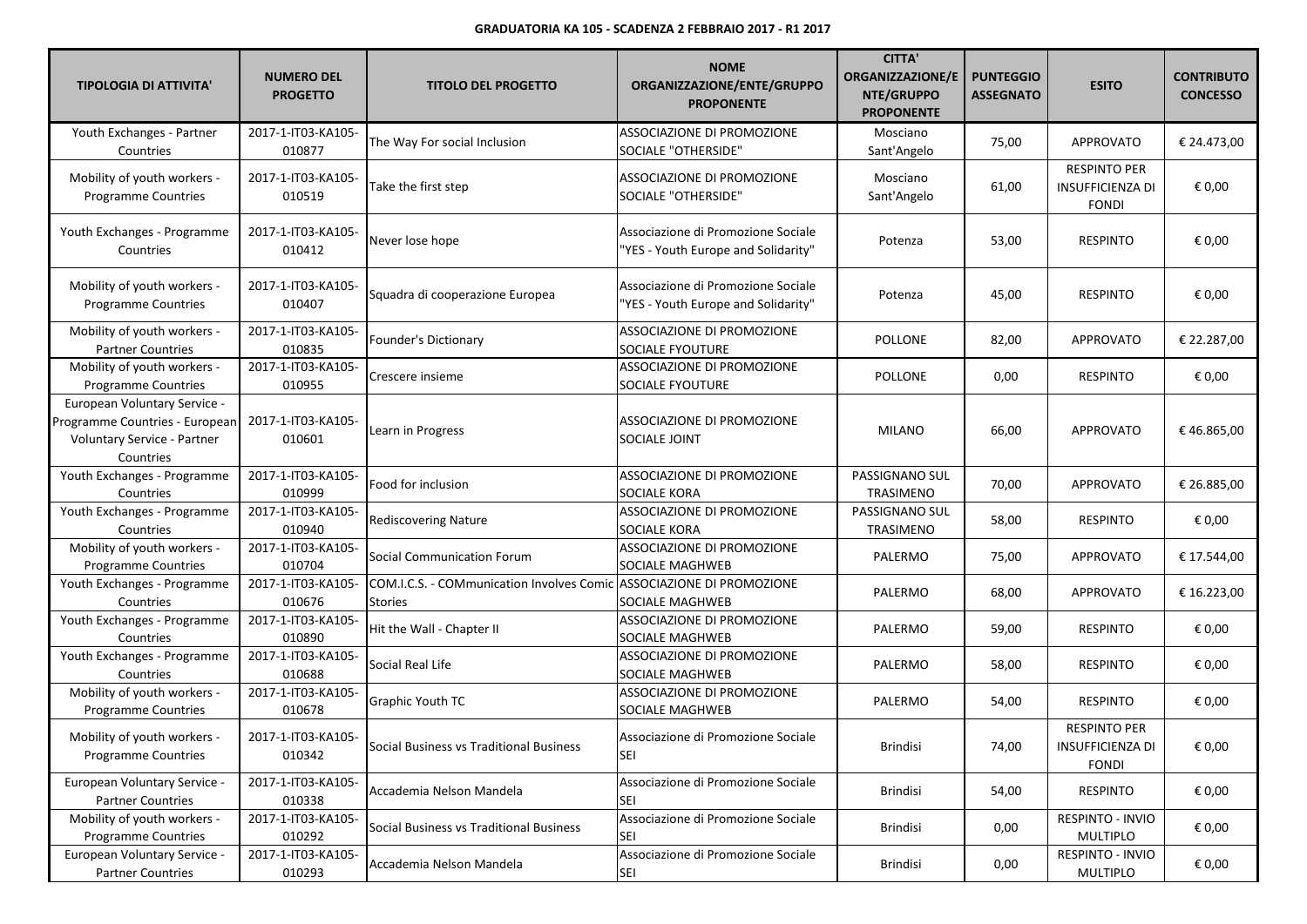| <b>TIPOLOGIA DI ATTIVITA'</b>                                                                              | <b>NUMERO DEL</b><br><b>PROGETTO</b> | <b>TITOLO DEL PROGETTO</b>                                  | <b>NOME</b><br>ORGANIZZAZIONE/ENTE/GRUPPO<br><b>PROPONENTE</b>            | <b>CITTA'</b><br><b>ORGANIZZAZIONE/E</b><br>NTE/GRUPPO<br><b>PROPONENTE</b> | <b>PUNTEGGIO</b><br><b>ASSEGNATO</b> | <b>ESITO</b>                                                   | <b>CONTRIBUTO</b><br><b>CONCESSO</b> |
|------------------------------------------------------------------------------------------------------------|--------------------------------------|-------------------------------------------------------------|---------------------------------------------------------------------------|-----------------------------------------------------------------------------|--------------------------------------|----------------------------------------------------------------|--------------------------------------|
| Youth Exchanges - Partner<br>Countries                                                                     | 2017-1-IT03-KA105-<br>010877         | The Way For social Inclusion                                | ASSOCIAZIONE DI PROMOZIONE<br>SOCIALE "OTHERSIDE"                         | Mosciano<br>Sant'Angelo                                                     | 75,00                                | APPROVATO                                                      | € 24.473,00                          |
| Mobility of youth workers -<br>Programme Countries                                                         | 2017-1-IT03-KA105-<br>010519         | Take the first step                                         | ASSOCIAZIONE DI PROMOZIONE<br>SOCIALE "OTHERSIDE"                         | Mosciano<br>Sant'Angelo                                                     | 61,00                                | <b>RESPINTO PER</b><br><b>INSUFFICIENZA DI</b><br><b>FONDI</b> | € 0,00                               |
| Youth Exchanges - Programme<br>Countries                                                                   | 2017-1-IT03-KA105-<br>010412         | Never lose hope                                             | Associazione di Promozione Sociale<br>'YES - Youth Europe and Solidarity" | Potenza                                                                     | 53,00                                | <b>RESPINTO</b>                                                | € 0,00                               |
| Mobility of youth workers -<br>Programme Countries                                                         | 2017-1-IT03-KA105-<br>010407         | Squadra di cooperazione Europea                             | Associazione di Promozione Sociale<br>'YES - Youth Europe and Solidarity" | Potenza                                                                     | 45,00                                | <b>RESPINTO</b>                                                | € 0,00                               |
| Mobility of youth workers -<br><b>Partner Countries</b>                                                    | 2017-1-IT03-KA105-<br>010835         | Founder's Dictionary                                        | ASSOCIAZIONE DI PROMOZIONE<br>SOCIALE FYOUTURE                            | <b>POLLONE</b>                                                              | 82,00                                | <b>APPROVATO</b>                                               | € 22.287,00                          |
| Mobility of youth workers -<br>Programme Countries                                                         | 2017-1-IT03-KA105-<br>010955         | Crescere insieme                                            | ASSOCIAZIONE DI PROMOZIONE<br>SOCIALE FYOUTURE                            | POLLONE                                                                     | 0,00                                 | <b>RESPINTO</b>                                                | € 0,00                               |
| European Voluntary Service -<br>Programme Countries - European<br>Voluntary Service - Partner<br>Countries | 2017-1-IT03-KA105-<br>010601         | Learn in Progress                                           | <b>ASSOCIAZIONE DI PROMOZIONE</b><br>SOCIALE JOINT                        | <b>MILANO</b>                                                               | 66,00                                | <b>APPROVATO</b>                                               | €46.865,00                           |
| Youth Exchanges - Programme<br>Countries                                                                   | 2017-1-IT03-KA105-<br>010999         | Food for inclusion                                          | ASSOCIAZIONE DI PROMOZIONE<br>SOCIALE KORA                                | PASSIGNANO SUL<br>TRASIMENO                                                 | 70,00                                | APPROVATO                                                      | € 26.885,00                          |
| Youth Exchanges - Programme<br>Countries                                                                   | 2017-1-IT03-KA105-<br>010940         | <b>Rediscovering Nature</b>                                 | ASSOCIAZIONE DI PROMOZIONE<br>SOCIALE KORA                                | PASSIGNANO SUL<br>TRASIMENO                                                 | 58,00                                | <b>RESPINTO</b>                                                | € 0,00                               |
| Mobility of youth workers -<br>Programme Countries                                                         | 2017-1-IT03-KA105-<br>010704         | <b>Social Communication Forum</b>                           | ASSOCIAZIONE DI PROMOZIONE<br>SOCIALE MAGHWEB                             | PALERMO                                                                     | 75,00                                | <b>APPROVATO</b>                                               | € 17.544,00                          |
| Youth Exchanges - Programme<br>Countries                                                                   | 2017-1-IT03-KA105-<br>010676         | COM.I.C.S. - COMmunication Involves Comic<br><b>Stories</b> | ASSOCIAZIONE DI PROMOZIONE<br>SOCIALE MAGHWEB                             | PALERMO                                                                     | 68,00                                | <b>APPROVATO</b>                                               | € 16.223,00                          |
| Youth Exchanges - Programme<br>Countries                                                                   | 2017-1-IT03-KA105-<br>010890         | Hit the Wall - Chapter II                                   | ASSOCIAZIONE DI PROMOZIONE<br>SOCIALE MAGHWEB                             | PALERMO                                                                     | 59,00                                | RESPINTO                                                       | € 0,00                               |
| Youth Exchanges - Programme<br>Countries                                                                   | 2017-1-IT03-KA105-<br>010688         | Social Real Life                                            | ASSOCIAZIONE DI PROMOZIONE<br>SOCIALE MAGHWEB                             | PALERMO                                                                     | 58,00                                | <b>RESPINTO</b>                                                | € 0,00                               |
| Mobility of youth workers -<br>Programme Countries                                                         | 2017-1-IT03-KA105-<br>010678         | <b>Graphic Youth TC</b>                                     | ASSOCIAZIONE DI PROMOZIONE<br>SOCIALE MAGHWEB                             | PALERMO                                                                     | 54,00                                | <b>RESPINTO</b>                                                | € 0,00                               |
| Mobility of youth workers -<br><b>Programme Countries</b>                                                  | 2017-1-IT03-KA105-<br>010342         | Social Business vs Traditional Business                     | Associazione di Promozione Sociale<br><b>SEI</b>                          | Brindisi                                                                    | 74,00                                | <b>RESPINTO PER</b><br><b>INSUFFICIENZA DI</b><br><b>FONDI</b> | € 0,00                               |
| European Voluntary Service -<br><b>Partner Countries</b>                                                   | 2017-1-IT03-KA105-<br>010338         | Accademia Nelson Mandela                                    | Associazione di Promozione Sociale<br><b>SEI</b>                          | Brindisi                                                                    | 54,00                                | <b>RESPINTO</b>                                                | € 0,00                               |
| Mobility of youth workers -<br><b>Programme Countries</b>                                                  | 2017-1-IT03-KA105-<br>010292         | Social Business vs Traditional Business                     | Associazione di Promozione Sociale<br><b>SEI</b>                          | <b>Brindisi</b>                                                             | 0,00                                 | RESPINTO - INVIO<br><b>MULTIPLO</b>                            | € 0,00                               |
| European Voluntary Service -<br><b>Partner Countries</b>                                                   | 2017-1-IT03-KA105-<br>010293         | Accademia Nelson Mandela                                    | Associazione di Promozione Sociale<br>SEI                                 | <b>Brindisi</b>                                                             | 0,00                                 | RESPINTO - INVIO<br>MULTIPLO                                   | € 0,00                               |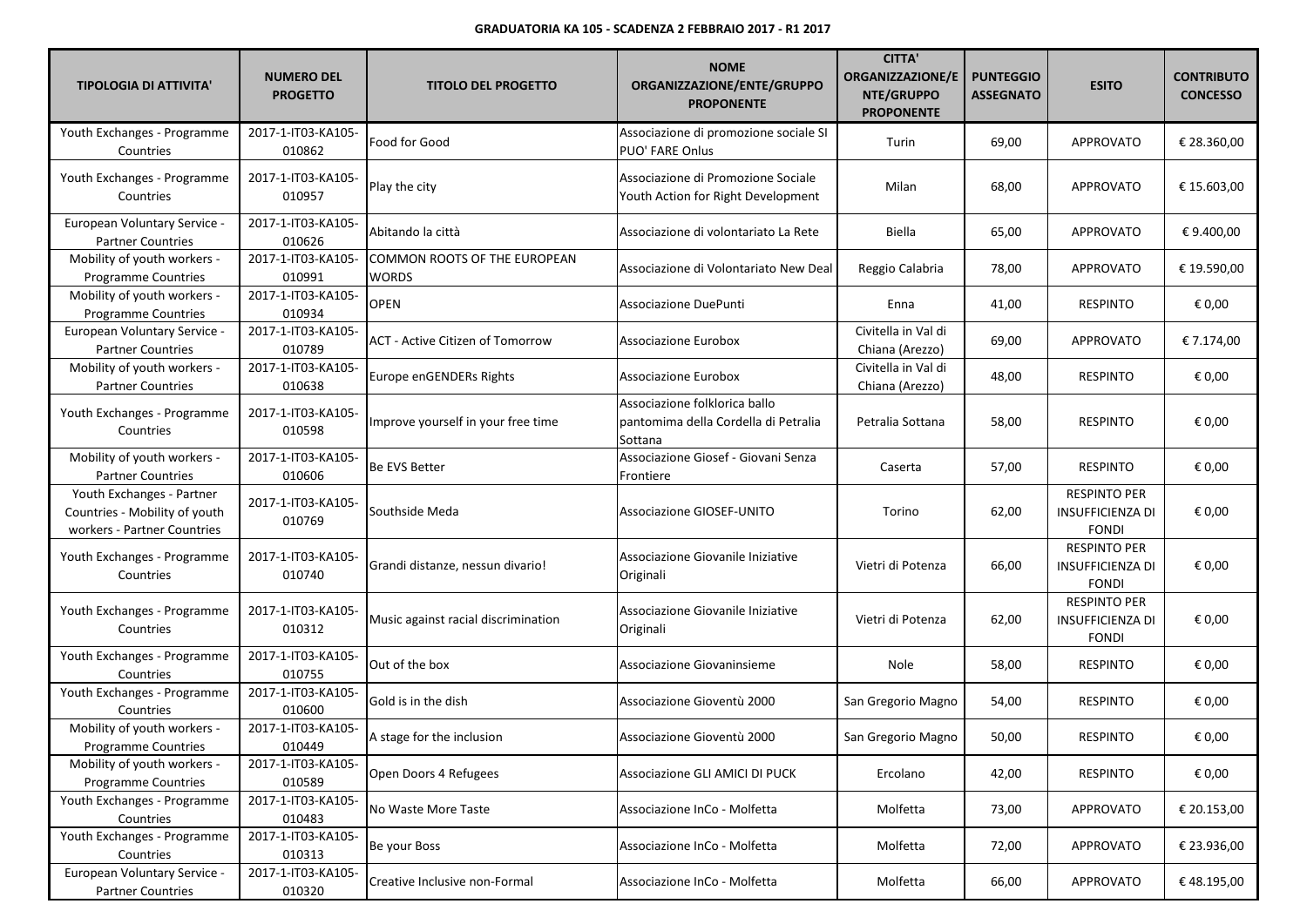| <b>TIPOLOGIA DI ATTIVITA'</b>                                                             | <b>NUMERO DEL</b><br><b>PROGETTO</b> | <b>TITOLO DEL PROGETTO</b>            | <b>NOME</b><br>ORGANIZZAZIONE/ENTE/GRUPPO<br><b>PROPONENTE</b>                   | <b>CITTA'</b><br><b>ORGANIZZAZIONE/E</b><br>NTE/GRUPPO<br><b>PROPONENTE</b> | <b>PUNTEGGIO</b><br><b>ASSEGNATO</b> | <b>ESITO</b>                                                   | <b>CONTRIBUTO</b><br><b>CONCESSO</b> |
|-------------------------------------------------------------------------------------------|--------------------------------------|---------------------------------------|----------------------------------------------------------------------------------|-----------------------------------------------------------------------------|--------------------------------------|----------------------------------------------------------------|--------------------------------------|
| Youth Exchanges - Programme<br>Countries                                                  | 2017-1-IT03-KA105-<br>010862         | Food for Good                         | Associazione di promozione sociale SI<br>PUO' FARE Onlus                         | Turin                                                                       | 69,00                                | <b>APPROVATO</b>                                               | € 28.360,00                          |
| Youth Exchanges - Programme<br>Countries                                                  | 2017-1-IT03-KA105-<br>010957         | Play the city                         | Associazione di Promozione Sociale<br>Youth Action for Right Development         | Milan                                                                       | 68,00                                | <b>APPROVATO</b>                                               | € 15.603,00                          |
| European Voluntary Service -<br><b>Partner Countries</b>                                  | 2017-1-IT03-KA105-<br>010626         | Abitando la città                     | Associazione di volontariato La Rete                                             | Biella                                                                      | 65,00                                | <b>APPROVATO</b>                                               | €9.400,00                            |
| Mobility of youth workers -<br><b>Programme Countries</b>                                 | 2017-1-IT03-KA105-<br>010991         | COMMON ROOTS OF THE EUROPEAN<br>WORDS | Associazione di Volontariato New Deal                                            | Reggio Calabria                                                             | 78,00                                | APPROVATO                                                      | € 19.590,00                          |
| Mobility of youth workers -<br>Programme Countries                                        | 2017-1-IT03-KA105-<br>010934         | <b>OPEN</b>                           | Associazione DuePunti                                                            | Enna                                                                        | 41,00                                | <b>RESPINTO</b>                                                | € 0,00                               |
| European Voluntary Service -<br><b>Partner Countries</b>                                  | 2017-1-IT03-KA105-<br>010789         | ACT - Active Citizen of Tomorrow      | Associazione Eurobox                                                             | Civitella in Val di<br>Chiana (Arezzo)                                      | 69,00                                | APPROVATO                                                      | € 7.174,00                           |
| Mobility of youth workers -<br><b>Partner Countries</b>                                   | 2017-1-IT03-KA105-<br>010638         | Europe enGENDERs Rights               | Associazione Eurobox                                                             | Civitella in Val di<br>Chiana (Arezzo)                                      | 48,00                                | <b>RESPINTO</b>                                                | € 0,00                               |
| Youth Exchanges - Programme<br>Countries                                                  | 2017-1-IT03-KA105-<br>010598         | Improve yourself in your free time    | Associazione folklorica ballo<br>pantomima della Cordella di Petralia<br>Sottana | Petralia Sottana                                                            | 58,00                                | <b>RESPINTO</b>                                                | € 0,00                               |
| Mobility of youth workers -<br><b>Partner Countries</b>                                   | 2017-1-IT03-KA105-<br>010606         | Be EVS Better                         | Associazione Giosef - Giovani Senza<br>Frontiere                                 | Caserta                                                                     | 57,00                                | <b>RESPINTO</b>                                                | € 0,00                               |
| Youth Exchanges - Partner<br>Countries - Mobility of youth<br>workers - Partner Countries | 2017-1-IT03-KA105-<br>010769         | Southside Meda                        | <b>Associazione GIOSEF-UNITO</b>                                                 | Torino                                                                      | 62,00                                | <b>RESPINTO PER</b><br><b>INSUFFICIENZA DI</b><br><b>FONDI</b> | € 0,00                               |
| Youth Exchanges - Programme<br>Countries                                                  | 2017-1-IT03-KA105-<br>010740         | Grandi distanze, nessun divario!      | Associazione Giovanile Iniziative<br>Originali                                   | Vietri di Potenza                                                           | 66,00                                | <b>RESPINTO PER</b><br><b>INSUFFICIENZA DI</b><br><b>FONDI</b> | € 0,00                               |
| Youth Exchanges - Programme<br>Countries                                                  | 2017-1-IT03-KA105-<br>010312         | Music against racial discrimination   | Associazione Giovanile Iniziative<br>Originali                                   | Vietri di Potenza                                                           | 62,00                                | <b>RESPINTO PER</b><br><b>INSUFFICIENZA DI</b><br><b>FONDI</b> | € 0,00                               |
| Youth Exchanges - Programme<br>Countries                                                  | 2017-1-IT03-KA105-<br>010755         | Out of the box                        | Associazione Giovaninsieme                                                       | Nole                                                                        | 58,00                                | <b>RESPINTO</b>                                                | € 0,00                               |
| Youth Exchanges - Programme<br>Countries                                                  | 2017-1-IT03-KA105-<br>010600         | Gold is in the dish                   | Associazione Gioventù 2000                                                       | San Gregorio Magno                                                          | 54,00                                | <b>RESPINTO</b>                                                | € 0,00                               |
| Mobility of youth workers -<br>Programme Countries                                        | 2017-1-IT03-KA105-<br>010449         | A stage for the inclusion             | Associazione Gioventù 2000                                                       | San Gregorio Magno                                                          | 50,00                                | <b>RESPINTO</b>                                                | € 0,00                               |
| Mobility of youth workers -<br><b>Programme Countries</b>                                 | 2017-1-IT03-KA105-<br>010589         | Open Doors 4 Refugees                 | Associazione GLI AMICI DI PUCK                                                   | Ercolano                                                                    | 42,00                                | <b>RESPINTO</b>                                                | € 0,00                               |
| Youth Exchanges - Programme<br>Countries                                                  | 2017-1-IT03-KA105-<br>010483         | No Waste More Taste                   | Associazione InCo - Molfetta                                                     | Molfetta                                                                    | 73,00                                | APPROVATO                                                      | € 20.153,00                          |
| Youth Exchanges - Programme<br>Countries                                                  | 2017-1-IT03-KA105-<br>010313         | Be your Boss                          | Associazione InCo - Molfetta                                                     | Molfetta                                                                    | 72,00                                | APPROVATO                                                      | € 23.936,00                          |
| European Voluntary Service -<br><b>Partner Countries</b>                                  | 2017-1-IT03-KA105-<br>010320         | Creative Inclusive non-Formal         | Associazione InCo - Molfetta                                                     | Molfetta                                                                    | 66,00                                | <b>APPROVATO</b>                                               | €48.195,00                           |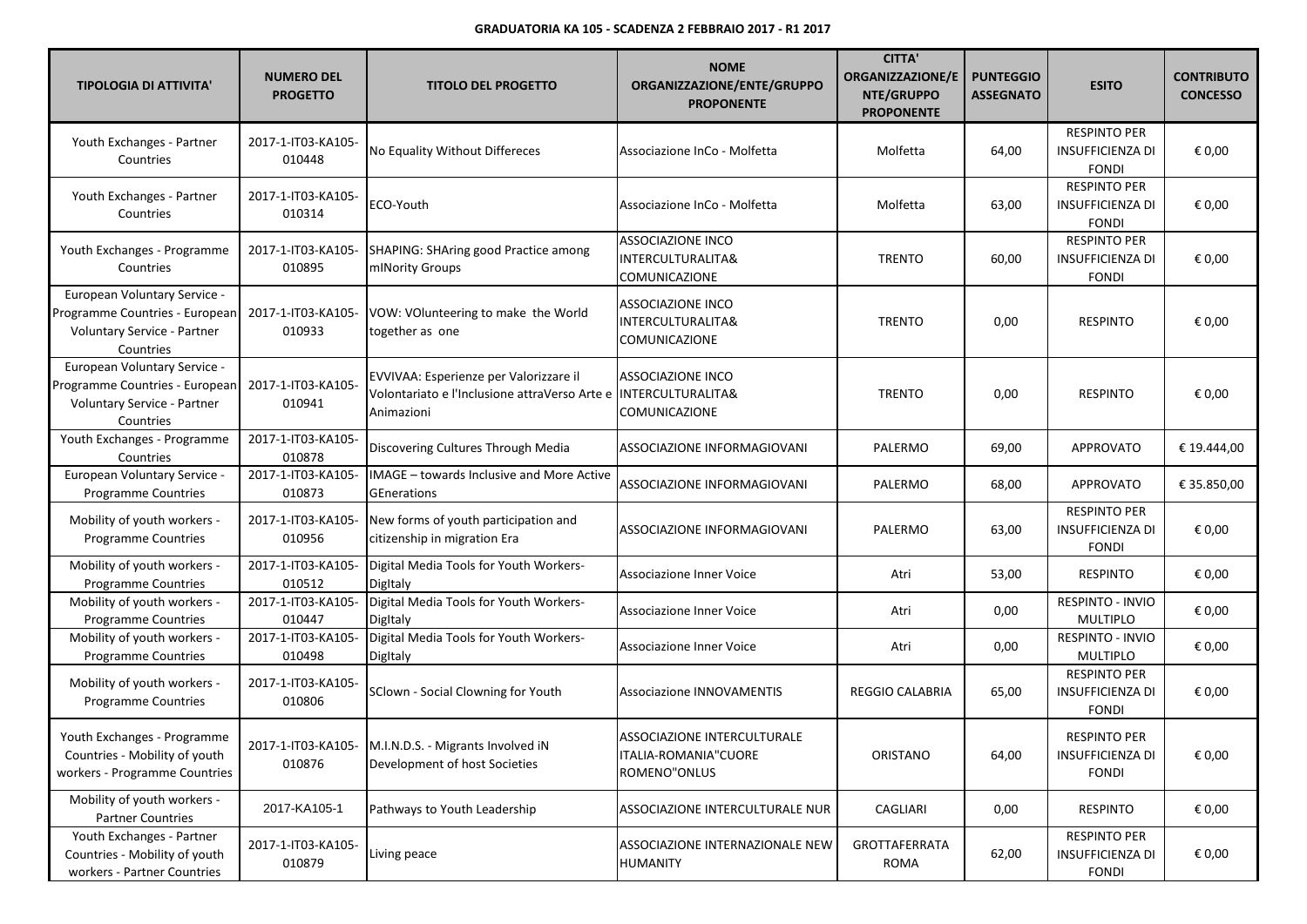| <b>TIPOLOGIA DI ATTIVITA'</b>                                                                              | <b>NUMERO DEL</b><br><b>PROGETTO</b> | <b>TITOLO DEL PROGETTO</b>                                                                            | <b>NOME</b><br>ORGANIZZAZIONE/ENTE/GRUPPO<br><b>PROPONENTE</b>            | <b>CITTA'</b><br><b>ORGANIZZAZIONE/E</b><br>NTE/GRUPPO<br><b>PROPONENTE</b> | <b>PUNTEGGIO</b><br><b>ASSEGNATO</b> | <b>ESITO</b>                                                   | <b>CONTRIBUTO</b><br><b>CONCESSO</b> |
|------------------------------------------------------------------------------------------------------------|--------------------------------------|-------------------------------------------------------------------------------------------------------|---------------------------------------------------------------------------|-----------------------------------------------------------------------------|--------------------------------------|----------------------------------------------------------------|--------------------------------------|
| Youth Exchanges - Partner<br>Countries                                                                     | 2017-1-IT03-KA105-<br>010448         | No Equality Without Differeces                                                                        | Associazione InCo - Molfetta                                              | Molfetta                                                                    | 64,00                                | <b>RESPINTO PER</b><br><b>INSUFFICIENZA DI</b><br><b>FONDI</b> | € 0,00                               |
| Youth Exchanges - Partner<br>Countries                                                                     | 2017-1-IT03-KA105-<br>010314         | ECO-Youth                                                                                             | Associazione InCo - Molfetta                                              | Molfetta                                                                    | 63,00                                | <b>RESPINTO PER</b><br><b>INSUFFICIENZA DI</b><br><b>FONDI</b> | € 0,00                               |
| Youth Exchanges - Programme<br>Countries                                                                   | 2017-1-IT03-KA105-<br>010895         | SHAPING: SHAring good Practice among<br>mINority Groups                                               | <b>ASSOCIAZIONE INCO</b><br>INTERCULTURALITA&<br>COMUNICAZIONE            | <b>TRENTO</b>                                                               | 60,00                                | <b>RESPINTO PER</b><br><b>INSUFFICIENZA DI</b><br><b>FONDI</b> | € 0,00                               |
| European Voluntary Service -<br>Programme Countries - European<br>Voluntary Service - Partner<br>Countries | 2017-1-IT03-KA105-<br>010933         | VOW: VOlunteering to make the World<br>together as one                                                | <b>ASSOCIAZIONE INCO</b><br>INTERCULTURALITA&<br>COMUNICAZIONE            | <b>TRENTO</b>                                                               | 0,00                                 | <b>RESPINTO</b>                                                | € 0,00                               |
| European Voluntary Service -<br>Programme Countries - European<br>Voluntary Service - Partner<br>Countries | 2017-1-IT03-KA105-<br>010941         | EVVIVAA: Esperienze per Valorizzare il<br>Volontariato e l'Inclusione attraVerso Arte e<br>Animazioni | <b>ASSOCIAZIONE INCO</b><br><b>INTERCULTURALITA&amp;</b><br>COMUNICAZIONE | <b>TRENTO</b>                                                               | 0,00                                 | <b>RESPINTO</b>                                                | € 0,00                               |
| Youth Exchanges - Programme<br>Countries                                                                   | 2017-1-IT03-KA105-<br>010878         | Discovering Cultures Through Media                                                                    | ASSOCIAZIONE INFORMAGIOVANI                                               | PALERMO                                                                     | 69,00                                | <b>APPROVATO</b>                                               | € 19.444,00                          |
| <b>European Voluntary Service -</b><br>Programme Countries                                                 | 2017-1-IT03-KA105-<br>010873         | <b>IMAGE</b> – towards Inclusive and More Active<br>GEnerations                                       | ASSOCIAZIONE INFORMAGIOVANI                                               | PALERMO                                                                     | 68,00                                | <b>APPROVATO</b>                                               | € 35.850,00                          |
| Mobility of youth workers -<br>Programme Countries                                                         | 2017-1-IT03-KA105-<br>010956         | New forms of youth participation and<br>citizenship in migration Era                                  | ASSOCIAZIONE INFORMAGIOVANI                                               | PALERMO                                                                     | 63,00                                | <b>RESPINTO PER</b><br><b>INSUFFICIENZA DI</b><br><b>FONDI</b> | € 0,00                               |
| Mobility of youth workers -<br><b>Programme Countries</b>                                                  | 2017-1-IT03-KA105-<br>010512         | Digital Media Tools for Youth Workers-<br>Digitaly                                                    | Associazione Inner Voice                                                  | Atri                                                                        | 53,00                                | <b>RESPINTO</b>                                                | € 0,00                               |
| Mobility of youth workers -<br>Programme Countries                                                         | 2017-1-IT03-KA105-<br>010447         | Digital Media Tools for Youth Workers-<br>Digitaly                                                    | Associazione Inner Voice                                                  | Atri                                                                        | 0,00                                 | RESPINTO - INVIO<br><b>MULTIPLO</b>                            | € 0,00                               |
| Mobility of youth workers -<br>Programme Countries                                                         | 2017-1-IT03-KA105-<br>010498         | Digital Media Tools for Youth Workers-<br>Digitaly                                                    | Associazione Inner Voice                                                  | Atri                                                                        | 0,00                                 | RESPINTO - INVIO<br>MULTIPLO                                   | € 0,00                               |
| Mobility of youth workers -<br>Programme Countries                                                         | 2017-1-IT03-KA105-<br>010806         | SClown - Social Clowning for Youth                                                                    | <b>Associazione INNOVAMENTIS</b>                                          | <b>REGGIO CALABRIA</b>                                                      | 65,00                                | <b>RESPINTO PER</b><br><b>INSUFFICIENZA DI</b><br><b>FONDI</b> | € 0,00                               |
| Youth Exchanges - Programme<br>Countries - Mobility of youth<br>workers - Programme Countries              | 010876                               | 2017-1-IT03-KA105- M.I.N.D.S. - Migrants Involved iN<br>Development of host Societies                 | ASSOCIAZIONE INTERCULTURALE<br>ITALIA-ROMANIA"CUORE<br>ROMENO"ONLUS       | ORISTANO                                                                    | 64,00                                | <b>RESPINTO PER</b><br><b>INSUFFICIENZA DI</b><br><b>FONDI</b> | € 0,00                               |
| Mobility of youth workers -<br><b>Partner Countries</b>                                                    | 2017-KA105-1                         | Pathways to Youth Leadership                                                                          | ASSOCIAZIONE INTERCULTURALE NUR                                           | CAGLIARI                                                                    | 0,00                                 | <b>RESPINTO</b>                                                | € 0,00                               |
| Youth Exchanges - Partner<br>Countries - Mobility of youth<br>workers - Partner Countries                  | 2017-1-IT03-KA105-<br>010879         | Living peace                                                                                          | ASSOCIAZIONE INTERNAZIONALE NEW<br>HUMANITY                               | GROTTAFERRATA<br>ROMA                                                       | 62,00                                | <b>RESPINTO PER</b><br><b>INSUFFICIENZA DI</b><br><b>FONDI</b> | € 0,00                               |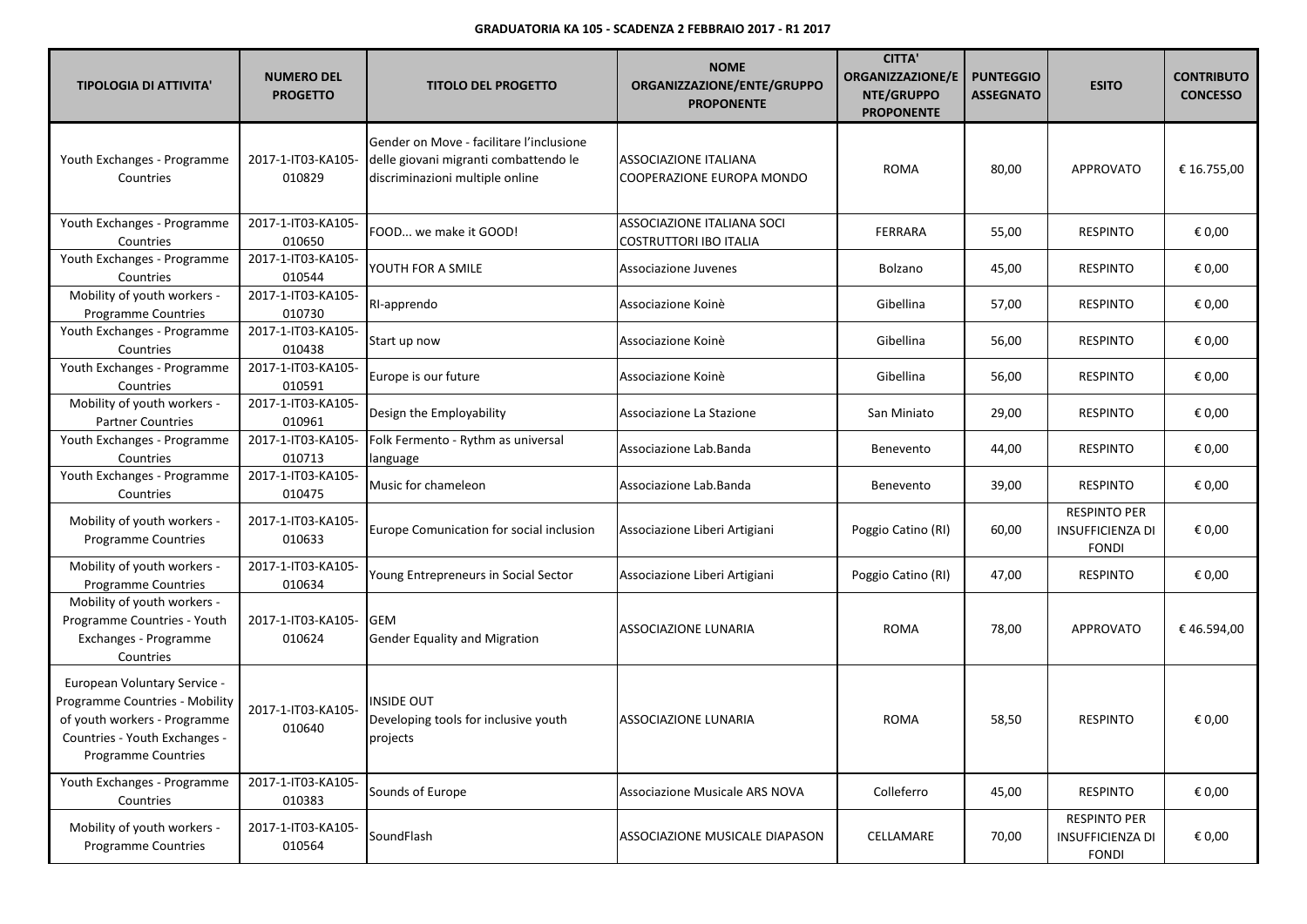| <b>TIPOLOGIA DI ATTIVITA'</b>                                                                                                                                 | <b>NUMERO DEL</b><br><b>PROGETTO</b> | <b>TITOLO DEL PROGETTO</b>                                                                                           | <b>NOME</b><br>ORGANIZZAZIONE/ENTE/GRUPPO<br><b>PROPONENTE</b>     | <b>CITTA'</b><br><b>ORGANIZZAZIONE/E</b><br>NTE/GRUPPO<br><b>PROPONENTE</b> | <b>PUNTEGGIO</b><br><b>ASSEGNATO</b> | <b>ESITO</b>                                                   | <b>CONTRIBUTO</b><br><b>CONCESSO</b> |
|---------------------------------------------------------------------------------------------------------------------------------------------------------------|--------------------------------------|----------------------------------------------------------------------------------------------------------------------|--------------------------------------------------------------------|-----------------------------------------------------------------------------|--------------------------------------|----------------------------------------------------------------|--------------------------------------|
| Youth Exchanges - Programme<br>Countries                                                                                                                      | 2017-1-IT03-KA105-<br>010829         | Gender on Move - facilitare l'inclusione<br>delle giovani migranti combattendo le<br>discriminazioni multiple online | ASSOCIAZIONE ITALIANA<br>COOPERAZIONE EUROPA MONDO                 | <b>ROMA</b>                                                                 | 80,00                                | <b>APPROVATO</b>                                               | € 16.755,00                          |
| Youth Exchanges - Programme<br>Countries                                                                                                                      | 2017-1-IT03-KA105-<br>010650         | FOOD we make it GOOD!                                                                                                | <b>ASSOCIAZIONE ITALIANA SOCI</b><br><b>COSTRUTTORI IBO ITALIA</b> | <b>FERRARA</b>                                                              | 55,00                                | <b>RESPINTO</b>                                                | € 0,00                               |
| Youth Exchanges - Programme<br>Countries                                                                                                                      | 2017-1-IT03-KA105-<br>010544         | YOUTH FOR A SMILE                                                                                                    | Associazione Juvenes                                               | Bolzano                                                                     | 45,00                                | <b>RESPINTO</b>                                                | € 0,00                               |
| Mobility of youth workers -<br>Programme Countries                                                                                                            | 2017-1-IT03-KA105-<br>010730         | RI-apprendo                                                                                                          | Associazione Koinè                                                 | Gibellina                                                                   | 57,00                                | <b>RESPINTO</b>                                                | € 0,00                               |
| Youth Exchanges - Programme<br>Countries                                                                                                                      | 2017-1-IT03-KA105-<br>010438         | Start up now                                                                                                         | Associazione Koinè                                                 | Gibellina                                                                   | 56,00                                | <b>RESPINTO</b>                                                | € 0,00                               |
| Youth Exchanges - Programme<br>Countries                                                                                                                      | 2017-1-IT03-KA105-<br>010591         | Europe is our future                                                                                                 | Associazione Koinè                                                 | Gibellina                                                                   | 56,00                                | <b>RESPINTO</b>                                                | € 0,00                               |
| Mobility of youth workers -<br><b>Partner Countries</b>                                                                                                       | 2017-1-IT03-KA105-<br>010961         | Design the Employability                                                                                             | Associazione La Stazione                                           | San Miniato                                                                 | 29,00                                | <b>RESPINTO</b>                                                | € 0,00                               |
| Youth Exchanges - Programme<br>Countries                                                                                                                      | 2017-1-IT03-KA105-<br>010713         | Folk Fermento - Rythm as universal<br>language                                                                       | Associazione Lab.Banda                                             | Benevento                                                                   | 44,00                                | <b>RESPINTO</b>                                                | € 0,00                               |
| Youth Exchanges - Programme<br>Countries                                                                                                                      | 2017-1-IT03-KA105-<br>010475         | Music for chameleon                                                                                                  | Associazione Lab.Banda                                             | Benevento                                                                   | 39,00                                | <b>RESPINTO</b>                                                | € 0,00                               |
| Mobility of youth workers -<br><b>Programme Countries</b>                                                                                                     | 2017-1-IT03-KA105-<br>010633         | Europe Comunication for social inclusion                                                                             | Associazione Liberi Artigiani                                      | Poggio Catino (RI)                                                          | 60,00                                | <b>RESPINTO PER</b><br><b>INSUFFICIENZA DI</b><br><b>FONDI</b> | € 0,00                               |
| Mobility of youth workers -<br>Programme Countries                                                                                                            | 2017-1-IT03-KA105-<br>010634         | Young Entrepreneurs in Social Sector                                                                                 | Associazione Liberi Artigiani                                      | Poggio Catino (RI)                                                          | 47,00                                | <b>RESPINTO</b>                                                | € 0,00                               |
| Mobility of youth workers -<br>Programme Countries - Youth<br>Exchanges - Programme<br>Countries                                                              | 2017-1-IT03-KA105-<br>010624         | GEM<br><b>Gender Equality and Migration</b>                                                                          | <b>ASSOCIAZIONE LUNARIA</b>                                        | <b>ROMA</b>                                                                 | 78,00                                | <b>APPROVATO</b>                                               | €46.594,00                           |
| European Voluntary Service -<br>Programme Countries - Mobility<br>of youth workers - Programme<br>Countries - Youth Exchanges -<br><b>Programme Countries</b> | 2017-1-IT03-KA105-<br>010640         | <b>INSIDE OUT</b><br>Developing tools for inclusive youth<br>projects                                                | ASSOCIAZIONE LUNARIA                                               | <b>ROMA</b>                                                                 | 58,50                                | <b>RESPINTO</b>                                                | € 0,00                               |
| Youth Exchanges - Programme<br>Countries                                                                                                                      | 2017-1-IT03-KA105-<br>010383         | Sounds of Europe                                                                                                     | Associazione Musicale ARS NOVA                                     | Colleferro                                                                  | 45,00                                | <b>RESPINTO</b>                                                | € 0,00                               |
| Mobility of youth workers -<br><b>Programme Countries</b>                                                                                                     | 2017-1-IT03-KA105-<br>010564         | SoundFlash                                                                                                           | ASSOCIAZIONE MUSICALE DIAPASON                                     | CELLAMARE                                                                   | 70,00                                | <b>RESPINTO PER</b><br><b>INSUFFICIENZA DI</b><br><b>FONDI</b> | € 0,00                               |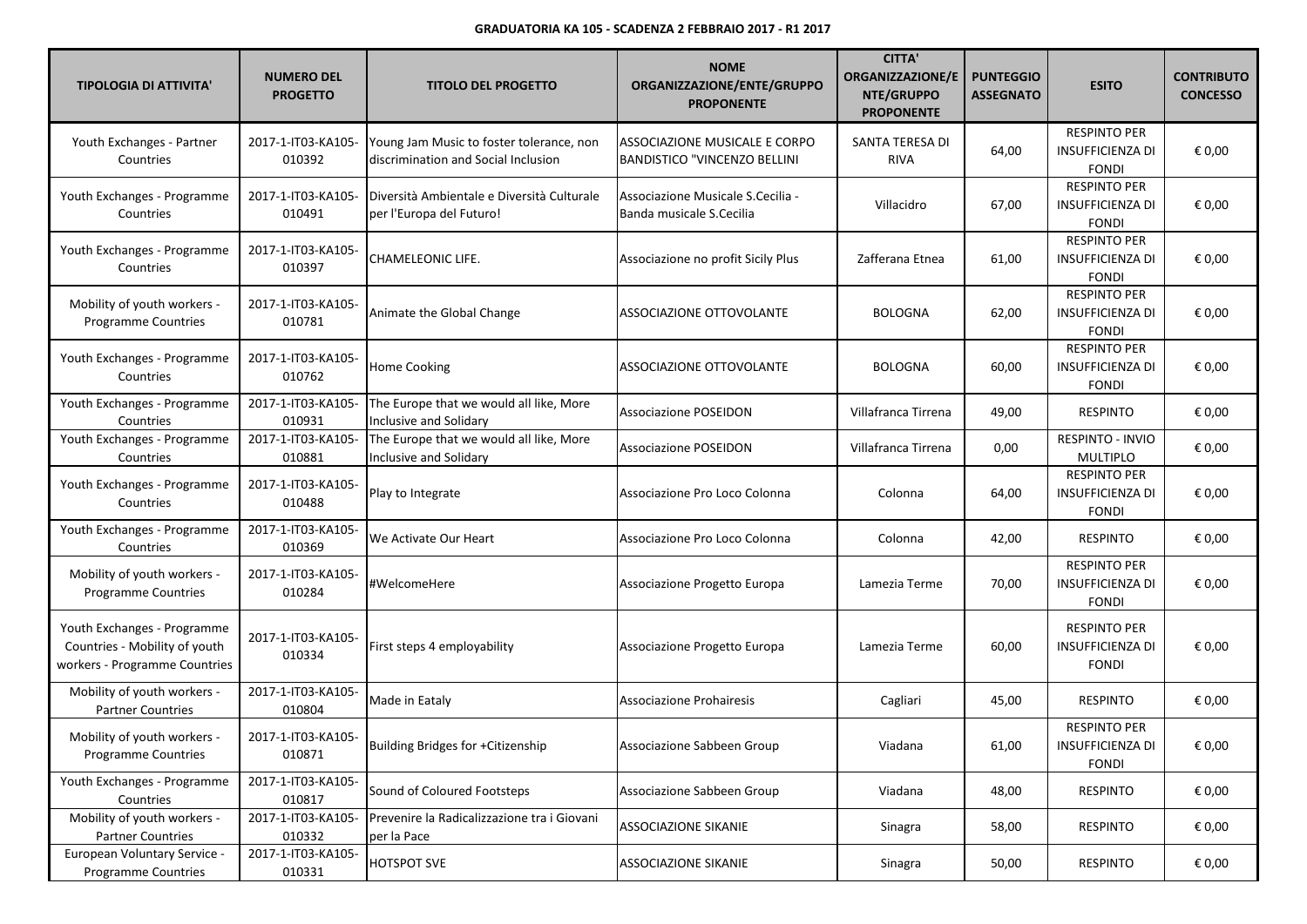| <b>TIPOLOGIA DI ATTIVITA'</b>                                                                 | <b>NUMERO DEL</b><br><b>PROGETTO</b> | <b>TITOLO DEL PROGETTO</b>                                                      | <b>NOME</b><br>ORGANIZZAZIONE/ENTE/GRUPPO<br><b>PROPONENTE</b>       | <b>CITTA'</b><br><b>ORGANIZZAZIONE/E</b><br>NTE/GRUPPO<br><b>PROPONENTE</b> | <b>PUNTEGGIO</b><br><b>ASSEGNATO</b> | <b>ESITO</b>                                                   | <b>CONTRIBUTO</b><br><b>CONCESSO</b> |
|-----------------------------------------------------------------------------------------------|--------------------------------------|---------------------------------------------------------------------------------|----------------------------------------------------------------------|-----------------------------------------------------------------------------|--------------------------------------|----------------------------------------------------------------|--------------------------------------|
| Youth Exchanges - Partner<br>Countries                                                        | 2017-1-IT03-KA105-<br>010392         | Young Jam Music to foster tolerance, non<br>discrimination and Social Inclusion | ASSOCIAZIONE MUSICALE E CORPO<br><b>BANDISTICO "VINCENZO BELLINI</b> | SANTA TERESA DI<br>RIVA                                                     | 64,00                                | <b>RESPINTO PER</b><br><b>INSUFFICIENZA DI</b><br><b>FONDI</b> | € 0,00                               |
| Youth Exchanges - Programme<br>Countries                                                      | 2017-1-IT03-KA105-<br>010491         | l Diversità Ambientale e Diversità Culturale<br>per l'Europa del Futuro!        | Associazione Musicale S.Cecilia -<br>Banda musicale S.Cecilia        | Villacidro                                                                  | 67,00                                | <b>RESPINTO PER</b><br><b>INSUFFICIENZA DI</b><br><b>FONDI</b> | € 0,00                               |
| Youth Exchanges - Programme<br>Countries                                                      | 2017-1-IT03-KA105-<br>010397         | <b>CHAMELEONIC LIFE.</b>                                                        | Associazione no profit Sicily Plus                                   | Zafferana Etnea                                                             | 61,00                                | <b>RESPINTO PER</b><br><b>INSUFFICIENZA DI</b><br><b>FONDI</b> | € 0,00                               |
| Mobility of youth workers -<br><b>Programme Countries</b>                                     | 2017-1-IT03-KA105-<br>010781         | Animate the Global Change                                                       | ASSOCIAZIONE OTTOVOLANTE                                             | <b>BOLOGNA</b>                                                              | 62,00                                | <b>RESPINTO PER</b><br><b>INSUFFICIENZA DI</b><br><b>FONDI</b> | € 0,00                               |
| Youth Exchanges - Programme<br>Countries                                                      | 2017-1-IT03-KA105-<br>010762         | Home Cooking                                                                    | ASSOCIAZIONE OTTOVOLANTE                                             | <b>BOLOGNA</b>                                                              | 60,00                                | <b>RESPINTO PER</b><br><b>INSUFFICIENZA DI</b><br><b>FONDI</b> | € 0,00                               |
| Youth Exchanges - Programme<br>Countries                                                      | 2017-1-IT03-KA105-<br>010931         | The Europe that we would all like, More<br>Inclusive and Solidary               | Associazione POSEIDON                                                | Villafranca Tirrena                                                         | 49,00                                | <b>RESPINTO</b>                                                | € 0,00                               |
| Youth Exchanges - Programme<br>Countries                                                      | 2017-1-IT03-KA105-<br>010881         | The Europe that we would all like, More<br>Inclusive and Solidary               | <b>Associazione POSEIDON</b>                                         | Villafranca Tirrena                                                         | 0,00                                 | <b>RESPINTO - INVIO</b><br><b>MULTIPLO</b>                     | € 0,00                               |
| Youth Exchanges - Programme<br>Countries                                                      | 2017-1-IT03-KA105-<br>010488         | Play to Integrate                                                               | Associazione Pro Loco Colonna                                        | Colonna                                                                     | 64,00                                | <b>RESPINTO PER</b><br><b>INSUFFICIENZA DI</b><br><b>FONDI</b> | € 0,00                               |
| Youth Exchanges - Programme<br>Countries                                                      | 2017-1-IT03-KA105-<br>010369         | We Activate Our Heart                                                           | Associazione Pro Loco Colonna                                        | Colonna                                                                     | 42,00                                | <b>RESPINTO</b>                                                | € 0,00                               |
| Mobility of youth workers -<br>Programme Countries                                            | 2017-1-IT03-KA105-<br>010284         | #WelcomeHere                                                                    | Associazione Progetto Europa                                         | Lamezia Terme                                                               | 70,00                                | <b>RESPINTO PER</b><br><b>INSUFFICIENZA DI</b><br><b>FONDI</b> | € 0,00                               |
| Youth Exchanges - Programme<br>Countries - Mobility of youth<br>workers - Programme Countries | 2017-1-IT03-KA105-<br>010334         | First steps 4 employability                                                     | Associazione Progetto Europa                                         | Lamezia Terme                                                               | 60,00                                | <b>RESPINTO PER</b><br><b>INSUFFICIENZA DI</b><br><b>FONDI</b> | € 0,00                               |
| Mobility of youth workers -<br><b>Partner Countries</b>                                       | 2017-1-IT03-KA105-<br>010804         | Made in Eataly                                                                  | Associazione Prohairesis                                             | Cagliari                                                                    | 45,00                                | <b>RESPINTO</b>                                                | € 0,00                               |
| Mobility of youth workers -<br><b>Programme Countries</b>                                     | 2017-1-IT03-KA105-<br>010871         | Building Bridges for +Citizenship                                               | Associazione Sabbeen Group                                           | Viadana                                                                     | 61,00                                | <b>RESPINTO PER</b><br>INSUFFICIENZA DI<br><b>FONDI</b>        | € 0,00                               |
| Youth Exchanges - Programme<br>Countries                                                      | 2017-1-IT03-KA105-<br>010817         | Sound of Coloured Footsteps                                                     | Associazione Sabbeen Group                                           | Viadana                                                                     | 48,00                                | <b>RESPINTO</b>                                                | € 0,00                               |
| Mobility of youth workers -<br><b>Partner Countries</b>                                       | 2017-1-IT03-KA105-<br>010332         | Prevenire la Radicalizzazione tra i Giovani<br>per la Pace                      | <b>ASSOCIAZIONE SIKANIE</b>                                          | Sinagra                                                                     | 58,00                                | <b>RESPINTO</b>                                                | € 0,00                               |
| European Voluntary Service -<br><b>Programme Countries</b>                                    | 2017-1-IT03-KA105-<br>010331         | <b>HOTSPOT SVE</b>                                                              | <b>ASSOCIAZIONE SIKANIE</b>                                          | Sinagra                                                                     | 50,00                                | <b>RESPINTO</b>                                                | € 0,00                               |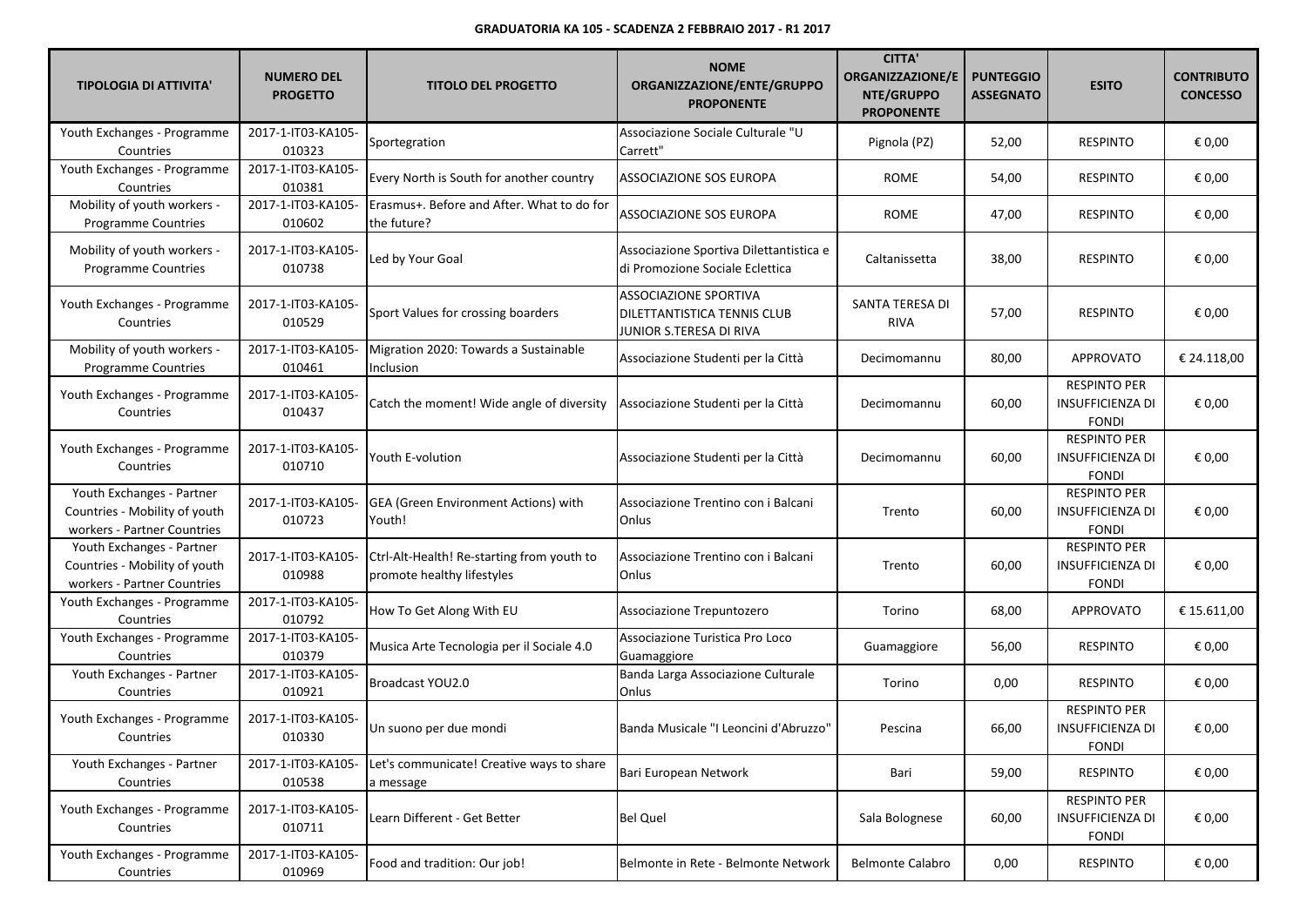| <b>TIPOLOGIA DI ATTIVITA'</b>                                                             | <b>NUMERO DEL</b><br><b>PROGETTO</b> | <b>TITOLO DEL PROGETTO</b>                                               | <b>NOME</b><br>ORGANIZZAZIONE/ENTE/GRUPPO<br><b>PROPONENTE</b>                         | <b>CITTA'</b><br><b>ORGANIZZAZIONE/E</b><br>NTE/GRUPPO<br><b>PROPONENTE</b> | <b>PUNTEGGIO</b><br><b>ASSEGNATO</b> | <b>ESITO</b>                                                   | <b>CONTRIBUTO</b><br><b>CONCESSO</b> |
|-------------------------------------------------------------------------------------------|--------------------------------------|--------------------------------------------------------------------------|----------------------------------------------------------------------------------------|-----------------------------------------------------------------------------|--------------------------------------|----------------------------------------------------------------|--------------------------------------|
| Youth Exchanges - Programme<br>Countries                                                  | 2017-1-IT03-KA105-<br>010323         | Sportegration                                                            | Associazione Sociale Culturale "U<br>Carrett"                                          | Pignola (PZ)                                                                | 52,00                                | <b>RESPINTO</b>                                                | € 0,00                               |
| Youth Exchanges - Programme<br>Countries                                                  | 2017-1-IT03-KA105-<br>010381         | Every North is South for another country                                 | ASSOCIAZIONE SOS EUROPA                                                                | ROME                                                                        | 54,00                                | <b>RESPINTO</b>                                                | € 0,00                               |
| Mobility of youth workers -<br><b>Programme Countries</b>                                 | 2017-1-IT03-KA105-<br>010602         | Erasmus+. Before and After. What to do for<br>the future?                | <b>ASSOCIAZIONE SOS EUROPA</b>                                                         | ROME                                                                        | 47,00                                | <b>RESPINTO</b>                                                | € 0,00                               |
| Mobility of youth workers -<br>Programme Countries                                        | 2017-1-IT03-KA105-<br>010738         | Led by Your Goal                                                         | Associazione Sportiva Dilettantistica e<br>di Promozione Sociale Eclettica             | Caltanissetta                                                               | 38,00                                | <b>RESPINTO</b>                                                | € 0,00                               |
| Youth Exchanges - Programme<br>Countries                                                  | 2017-1-IT03-KA105-<br>010529         | Sport Values for crossing boarders                                       | <b>ASSOCIAZIONE SPORTIVA</b><br>DILETTANTISTICA TENNIS CLUB<br>JUNIOR S.TERESA DI RIVA | SANTA TERESA DI<br><b>RIVA</b>                                              | 57,00                                | <b>RESPINTO</b>                                                | € 0,00                               |
| Mobility of youth workers -<br>Programme Countries                                        | 2017-1-IT03-KA105-<br>010461         | Migration 2020: Towards a Sustainable<br>Inclusion                       | Associazione Studenti per la Città                                                     | Decimomannu                                                                 | 80,00                                | <b>APPROVATO</b>                                               | € 24.118,00                          |
| Youth Exchanges - Programme<br>Countries                                                  | 2017-1-IT03-KA105-<br>010437         | Catch the moment! Wide angle of diversity                                | Associazione Studenti per la Città                                                     | Decimomannu                                                                 | 60,00                                | <b>RESPINTO PER</b><br><b>INSUFFICIENZA DI</b><br><b>FONDI</b> | € 0,00                               |
| Youth Exchanges - Programme<br>Countries                                                  | 2017-1-IT03-KA105-<br>010710         | Youth E-volution                                                         | Associazione Studenti per la Città                                                     | Decimomannu                                                                 | 60,00                                | <b>RESPINTO PER</b><br><b>INSUFFICIENZA DI</b><br><b>FONDI</b> | € 0,00                               |
| Youth Exchanges - Partner<br>Countries - Mobility of youth<br>workers - Partner Countries | 2017-1-IT03-KA105-<br>010723         | <b>GEA</b> (Green Environment Actions) with<br>Youth!                    | Associazione Trentino con i Balcani<br>Onlus                                           | Trento                                                                      | 60,00                                | <b>RESPINTO PER</b><br><b>INSUFFICIENZA DI</b><br><b>FONDI</b> | € 0,00                               |
| Youth Exchanges - Partner<br>Countries - Mobility of youth<br>workers - Partner Countries | 2017-1-IT03-KA105-<br>010988         | Ctrl-Alt-Health! Re-starting from youth to<br>promote healthy lifestyles | Associazione Trentino con i Balcani<br>Onlus                                           | Trento                                                                      | 60,00                                | <b>RESPINTO PER</b><br><b>INSUFFICIENZA DI</b><br><b>FONDI</b> | € 0,00                               |
| Youth Exchanges - Programme<br>Countries                                                  | 2017-1-IT03-KA105-<br>010792         | How To Get Along With EU                                                 | Associazione Trepuntozero                                                              | Torino                                                                      | 68,00                                | APPROVATO                                                      | € 15.611,00                          |
| Youth Exchanges - Programme<br>Countries                                                  | 2017-1-IT03-KA105-<br>010379         | Musica Arte Tecnologia per il Sociale 4.0                                | Associazione Turistica Pro Loco<br>Guamaggiore                                         | Guamaggiore                                                                 | 56,00                                | <b>RESPINTO</b>                                                | € 0,00                               |
| Youth Exchanges - Partner<br>Countries                                                    | 2017-1-IT03-KA105-<br>010921         | Broadcast YOU2.0                                                         | Banda Larga Associazione Culturale<br>Onlus                                            | Torino                                                                      | 0,00                                 | <b>RESPINTO</b>                                                | € 0,00                               |
| Youth Exchanges - Programme<br>Countries                                                  | 2017-1-IT03-KA105-<br>010330         | Un suono per due mondi                                                   | Banda Musicale "I Leoncini d'Abruzzo"                                                  | Pescina                                                                     | 66,00                                | <b>RESPINTO PER</b><br><b>INSUFFICIENZA DI</b><br><b>FONDI</b> | € 0,00                               |
| Youth Exchanges - Partner<br>Countries                                                    | 2017-1-IT03-KA105-<br>010538         | Let's communicate! Creative ways to share<br>a message                   | Bari European Network                                                                  | Bari                                                                        | 59,00                                | <b>RESPINTO</b>                                                | € 0,00                               |
| Youth Exchanges - Programme<br>Countries                                                  | 2017-1-IT03-KA105-<br>010711         | Learn Different - Get Better                                             | <b>Bel Quel</b>                                                                        | Sala Bolognese                                                              | 60,00                                | <b>RESPINTO PER</b><br><b>INSUFFICIENZA DI</b><br><b>FONDI</b> | € 0,00                               |
| Youth Exchanges - Programme<br>Countries                                                  | 2017-1-IT03-KA105-<br>010969         | Food and tradition: Our job!                                             | Belmonte in Rete - Belmonte Network                                                    | <b>Belmonte Calabro</b>                                                     | 0,00                                 | <b>RESPINTO</b>                                                | € 0,00                               |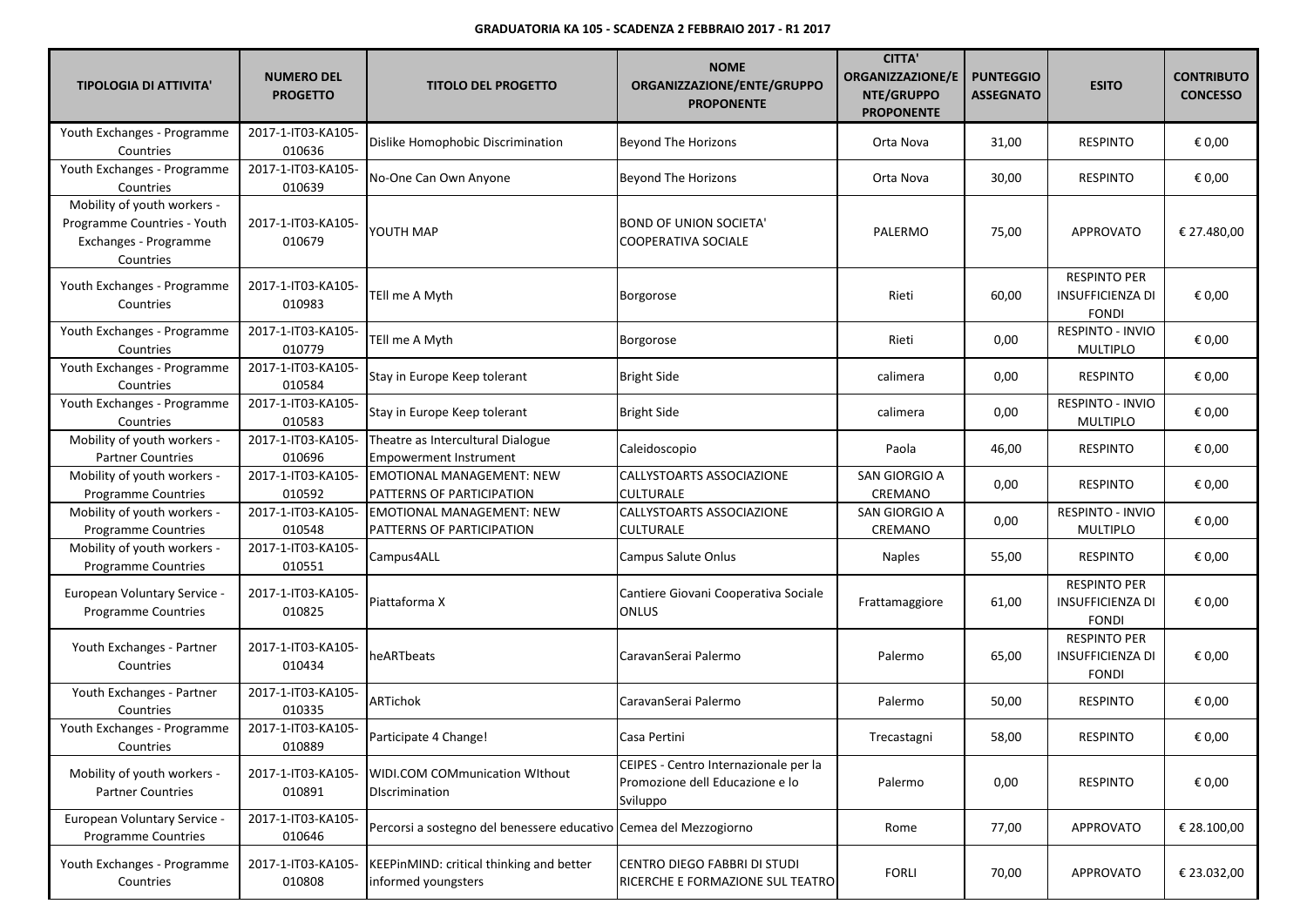| <b>TIPOLOGIA DI ATTIVITA'</b>                                                                    | <b>NUMERO DEL</b><br><b>PROGETTO</b> | <b>TITOLO DEL PROGETTO</b>                                         | <b>NOME</b><br>ORGANIZZAZIONE/ENTE/GRUPPO<br><b>PROPONENTE</b>                       | <b>CITTA'</b><br><b>ORGANIZZAZIONE/E</b><br>NTE/GRUPPO<br><b>PROPONENTE</b> | <b>PUNTEGGIO</b><br><b>ASSEGNATO</b> | <b>ESITO</b>                                                   | <b>CONTRIBUTO</b><br><b>CONCESSO</b> |
|--------------------------------------------------------------------------------------------------|--------------------------------------|--------------------------------------------------------------------|--------------------------------------------------------------------------------------|-----------------------------------------------------------------------------|--------------------------------------|----------------------------------------------------------------|--------------------------------------|
| Youth Exchanges - Programme<br>Countries                                                         | 2017-1-IT03-KA105-<br>010636         | Dislike Homophobic Discrimination                                  | <b>Beyond The Horizons</b>                                                           | Orta Nova                                                                   | 31,00                                | <b>RESPINTO</b>                                                | € 0,00                               |
| Youth Exchanges - Programme<br>Countries                                                         | 2017-1-IT03-KA105-<br>010639         | No-One Can Own Anyone                                              | <b>Beyond The Horizons</b>                                                           | Orta Nova                                                                   | 30,00                                | <b>RESPINTO</b>                                                | € 0,00                               |
| Mobility of youth workers -<br>Programme Countries - Youth<br>Exchanges - Programme<br>Countries | 2017-1-IT03-KA105-<br>010679         | YOUTH MAP                                                          | <b>BOND OF UNION SOCIETA'</b><br>COOPERATIVA SOCIALE                                 | PALERMO                                                                     | 75,00                                | <b>APPROVATO</b>                                               | € 27.480,00                          |
| Youth Exchanges - Programme<br>Countries                                                         | 2017-1-IT03-KA105-<br>010983         | TEll me A Myth                                                     | Borgorose                                                                            | Rieti                                                                       | 60,00                                | <b>RESPINTO PER</b><br><b>INSUFFICIENZA DI</b><br><b>FONDI</b> | € 0,00                               |
| Youth Exchanges - Programme<br>Countries                                                         | 2017-1-IT03-KA105-<br>010779         | TEII me A Myth                                                     | Borgorose                                                                            | Rieti                                                                       | 0,00                                 | RESPINTO - INVIO<br><b>MULTIPLO</b>                            | € 0,00                               |
| Youth Exchanges - Programme<br>Countries                                                         | 2017-1-IT03-KA105-<br>010584         | Stay in Europe Keep tolerant                                       | <b>Bright Side</b>                                                                   | calimera                                                                    | 0,00                                 | <b>RESPINTO</b>                                                | € 0,00                               |
| Youth Exchanges - Programme<br>Countries                                                         | 2017-1-IT03-KA105-<br>010583         | Stay in Europe Keep tolerant                                       | <b>Bright Side</b>                                                                   | calimera                                                                    | 0,00                                 | RESPINTO - INVIO<br><b>MULTIPLO</b>                            | € 0,00                               |
| Mobility of youth workers -<br><b>Partner Countries</b>                                          | 2017-1-IT03-KA105-<br>010696         | Theatre as Intercultural Dialogue<br><b>Empowerment Instrument</b> | Caleidoscopio                                                                        | Paola                                                                       | 46,00                                | <b>RESPINTO</b>                                                | € 0,00                               |
| Mobility of youth workers -<br><b>Programme Countries</b>                                        | 2017-1-IT03-KA105-<br>010592         | <b>EMOTIONAL MANAGEMENT: NEW</b><br>PATTERNS OF PARTICIPATION      | CALLYSTOARTS ASSOCIAZIONE<br><b>CULTURALE</b>                                        | SAN GIORGIO A<br>CREMANO                                                    | 0,00                                 | <b>RESPINTO</b>                                                | € 0,00                               |
| Mobility of youth workers -<br>Programme Countries                                               | 2017-1-IT03-KA105-<br>010548         | <b>EMOTIONAL MANAGEMENT: NEW</b><br>PATTERNS OF PARTICIPATION      | CALLYSTOARTS ASSOCIAZIONE<br><b>CULTURALE</b>                                        | SAN GIORGIO A<br>CREMANO                                                    | 0,00                                 | RESPINTO - INVIO<br><b>MULTIPLO</b>                            | € 0,00                               |
| Mobility of youth workers -<br>Programme Countries                                               | 2017-1-IT03-KA105-<br>010551         | Campus4ALL                                                         | Campus Salute Onlus                                                                  | <b>Naples</b>                                                               | 55,00                                | <b>RESPINTO</b>                                                | € 0,00                               |
| European Voluntary Service -<br>Programme Countries                                              | 2017-1-IT03-KA105-<br>010825         | Piattaforma X                                                      | Cantiere Giovani Cooperativa Sociale<br>ONLUS                                        | Frattamaggiore                                                              | 61,00                                | <b>RESPINTO PER</b><br><b>INSUFFICIENZA DI</b><br><b>FONDI</b> | € 0,00                               |
| Youth Exchanges - Partner<br>Countries                                                           | 2017-1-IT03-KA105-<br>010434         | heARTbeats                                                         | CaravanSerai Palermo                                                                 | Palermo                                                                     | 65,00                                | <b>RESPINTO PER</b><br><b>INSUFFICIENZA DI</b><br><b>FONDI</b> | € 0,00                               |
| Youth Exchanges - Partner<br>Countries                                                           | 2017-1-IT03-KA105-<br>010335         | ARTichok                                                           | CaravanSerai Palermo                                                                 | Palermo                                                                     | 50,00                                | <b>RESPINTO</b>                                                | € 0,00                               |
| Youth Exchanges - Programme<br>Countries                                                         | 2017-1-IT03-KA105-<br>010889         | Participate 4 Change!                                              | Casa Pertini                                                                         | Trecastagni                                                                 | 58,00                                | <b>RESPINTO</b>                                                | € 0,00                               |
| Mobility of youth workers -<br><b>Partner Countries</b>                                          | 2017-1-IT03-KA105-<br>010891         | <b>WIDI.COM COMmunication WIthout</b><br><b>DIscrimination</b>     | CEIPES - Centro Internazionale per la<br>Promozione dell Educazione e lo<br>Sviluppo | Palermo                                                                     | 0,00                                 | <b>RESPINTO</b>                                                | € 0,00                               |
| European Voluntary Service -<br><b>Programme Countries</b>                                       | 2017-1-IT03-KA105-<br>010646         | Percorsi a sostegno del benessere educativo Cemea del Mezzogiorno  |                                                                                      | Rome                                                                        | 77,00                                | <b>APPROVATO</b>                                               | € 28.100,00                          |
| Youth Exchanges - Programme<br>Countries                                                         | 2017-1-IT03-KA105-<br>010808         | KEEPinMIND: critical thinking and better<br>informed youngsters    | CENTRO DIEGO FABBRI DI STUDI<br>RICERCHE E FORMAZIONE SUL TEATRO                     | <b>FORLI</b>                                                                | 70,00                                | <b>APPROVATO</b>                                               | € 23.032,00                          |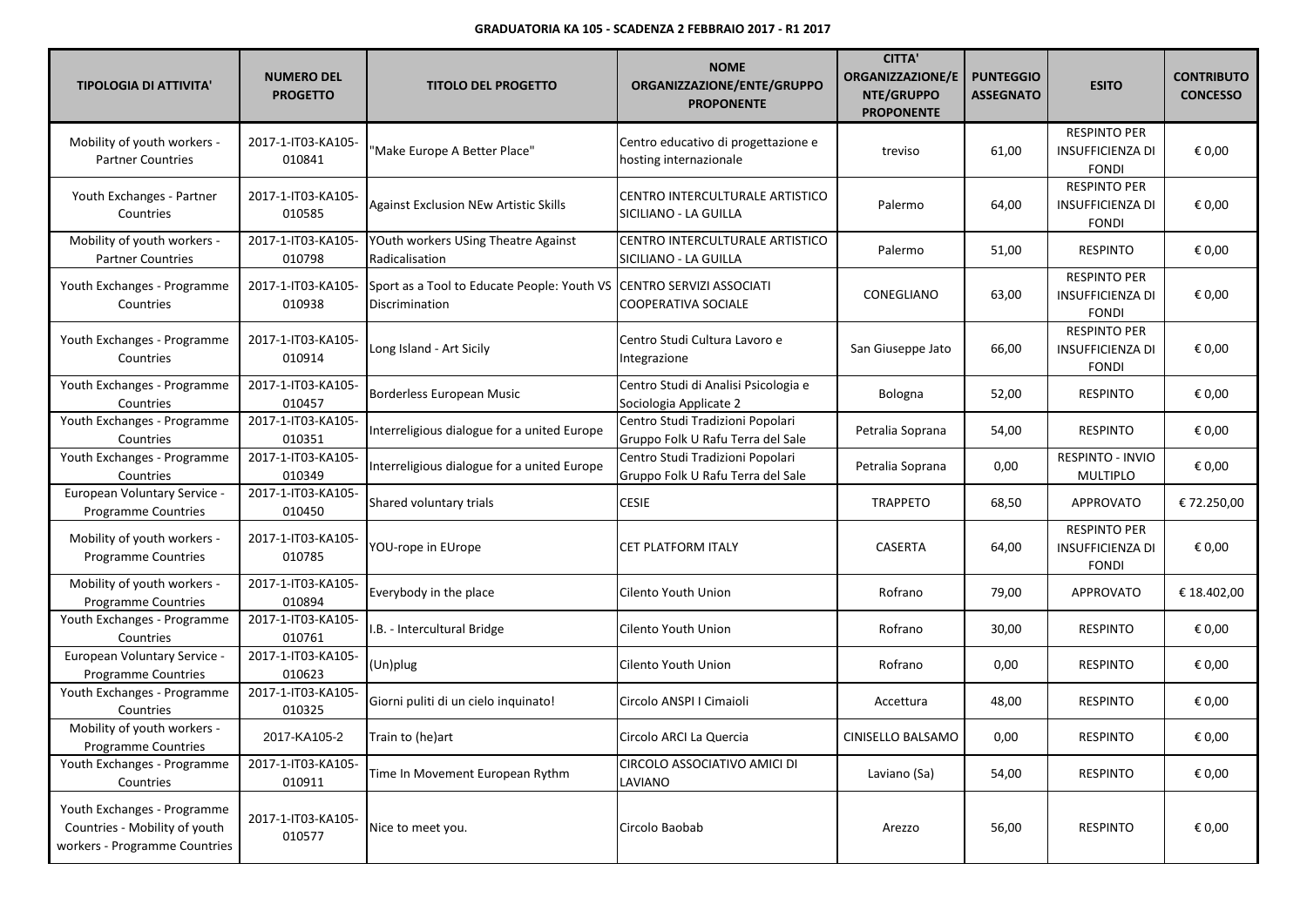| <b>TIPOLOGIA DI ATTIVITA'</b>                                                                 | <b>NUMERO DEL</b><br><b>PROGETTO</b> | <b>TITOLO DEL PROGETTO</b>                                                             | <b>NOME</b><br>ORGANIZZAZIONE/ENTE/GRUPPO<br><b>PROPONENTE</b>        | <b>CITTA'</b><br><b>ORGANIZZAZIONE/E</b><br>NTE/GRUPPO<br><b>PROPONENTE</b> | <b>PUNTEGGIO</b><br><b>ASSEGNATO</b> | <b>ESITO</b>                                                   | <b>CONTRIBUTO</b><br><b>CONCESSO</b> |
|-----------------------------------------------------------------------------------------------|--------------------------------------|----------------------------------------------------------------------------------------|-----------------------------------------------------------------------|-----------------------------------------------------------------------------|--------------------------------------|----------------------------------------------------------------|--------------------------------------|
| Mobility of youth workers -<br><b>Partner Countries</b>                                       | 2017-1-IT03-KA105-<br>010841         | 'Make Europe A Better Place"                                                           | Centro educativo di progettazione e<br>hosting internazionale         | treviso                                                                     | 61,00                                | <b>RESPINTO PER</b><br><b>INSUFFICIENZA DI</b><br><b>FONDI</b> | € 0,00                               |
| Youth Exchanges - Partner<br>Countries                                                        | 2017-1-IT03-KA105-<br>010585         | <b>Against Exclusion NEw Artistic Skills</b>                                           | CENTRO INTERCULTURALE ARTISTICO<br>SICILIANO - LA GUILLA              | Palermo                                                                     | 64,00                                | <b>RESPINTO PER</b><br><b>INSUFFICIENZA DI</b><br><b>FONDI</b> | € 0,00                               |
| Mobility of youth workers -<br><b>Partner Countries</b>                                       | 2017-1-IT03-KA105-<br>010798         | YOuth workers USing Theatre Against<br>Radicalisation                                  | CENTRO INTERCULTURALE ARTISTICO<br>SICILIANO - LA GUILLA              | Palermo                                                                     | 51,00                                | <b>RESPINTO</b>                                                | € 0,00                               |
| Youth Exchanges - Programme<br>Countries                                                      | 2017-1-IT03-KA105-<br>010938         | Sport as a Tool to Educate People: Youth VS CENTRO SERVIZI ASSOCIATI<br>Discrimination | COOPERATIVA SOCIALE                                                   | CONEGLIANO                                                                  | 63,00                                | <b>RESPINTO PER</b><br><b>INSUFFICIENZA DI</b><br><b>FONDI</b> | € 0,00                               |
| Youth Exchanges - Programme<br>Countries                                                      | 2017-1-IT03-KA105-<br>010914         | Long Island - Art Sicily                                                               | Centro Studi Cultura Lavoro e<br>Integrazione                         | San Giuseppe Jato                                                           | 66,00                                | <b>RESPINTO PER</b><br><b>INSUFFICIENZA DI</b><br><b>FONDI</b> | € 0,00                               |
| Youth Exchanges - Programme<br>Countries                                                      | 2017-1-IT03-KA105-<br>010457         | Borderless European Music                                                              | Centro Studi di Analisi Psicologia e<br>Sociologia Applicate 2        | Bologna                                                                     | 52,00                                | <b>RESPINTO</b>                                                | € 0,00                               |
| Youth Exchanges - Programme<br>Countries                                                      | 2017-1-IT03-KA105-<br>010351         | Interreligious dialogue for a united Europe                                            | Centro Studi Tradizioni Popolari<br>Gruppo Folk U Rafu Terra del Sale | Petralia Soprana                                                            | 54,00                                | <b>RESPINTO</b>                                                | € 0,00                               |
| Youth Exchanges - Programme<br>Countries                                                      | 2017-1-IT03-KA105-<br>010349         | Interreligious dialogue for a united Europe                                            | Centro Studi Tradizioni Popolari<br>Gruppo Folk U Rafu Terra del Sale | Petralia Soprana                                                            | 0,00                                 | RESPINTO - INVIO<br><b>MULTIPLO</b>                            | € 0,00                               |
| European Voluntary Service -<br><b>Programme Countries</b>                                    | 2017-1-IT03-KA105-<br>010450         | Shared voluntary trials                                                                | <b>CESIE</b>                                                          | <b>TRAPPETO</b>                                                             | 68,50                                | <b>APPROVATO</b>                                               | € 72.250,00                          |
| Mobility of youth workers -<br><b>Programme Countries</b>                                     | 2017-1-IT03-KA105-<br>010785         | YOU-rope in EUrope                                                                     | CET PLATFORM ITALY                                                    | CASERTA                                                                     | 64,00                                | <b>RESPINTO PER</b><br><b>INSUFFICIENZA DI</b><br><b>FONDI</b> | € 0,00                               |
| Mobility of youth workers -<br><b>Programme Countries</b>                                     | 2017-1-IT03-KA105-<br>010894         | Everybody in the place                                                                 | Cilento Youth Union                                                   | Rofrano                                                                     | 79,00                                | APPROVATO                                                      | € 18.402,00                          |
| Youth Exchanges - Programme<br>Countries                                                      | 2017-1-IT03-KA105-<br>010761         | I.B. - Intercultural Bridge                                                            | Cilento Youth Union                                                   | Rofrano                                                                     | 30,00                                | <b>RESPINTO</b>                                                | € 0,00                               |
| European Voluntary Service -<br><b>Programme Countries</b>                                    | 2017-1-IT03-KA105-<br>010623         | (Un)plug                                                                               | Cilento Youth Union                                                   | Rofrano                                                                     | 0,00                                 | <b>RESPINTO</b>                                                | € 0,00                               |
| Youth Exchanges - Programme<br>Countries                                                      | 2017-1-IT03-KA105-<br>010325         | Giorni puliti di un cielo inquinato!                                                   | Circolo ANSPI I Cimaioli                                              | Accettura                                                                   | 48,00                                | <b>RESPINTO</b>                                                | € 0,00                               |
| Mobility of youth workers -<br>Programme Countries                                            | 2017-KA105-2                         | Train to (he)art                                                                       | Circolo ARCI La Quercia                                               | CINISELLO BALSAMO                                                           | 0,00                                 | <b>RESPINTO</b>                                                | € 0,00                               |
| Youth Exchanges - Programme<br>Countries                                                      | 2017-1-IT03-KA105-<br>010911         | Time In Movement European Rythm                                                        | CIRCOLO ASSOCIATIVO AMICI DI<br>LAVIANO                               | Laviano (Sa)                                                                | 54,00                                | <b>RESPINTO</b>                                                | € 0,00                               |
| Youth Exchanges - Programme<br>Countries - Mobility of youth<br>workers - Programme Countries | 2017-1-IT03-KA105-<br>010577         | Nice to meet you.                                                                      | Circolo Baobab                                                        | Arezzo                                                                      | 56,00                                | <b>RESPINTO</b>                                                | € 0,00                               |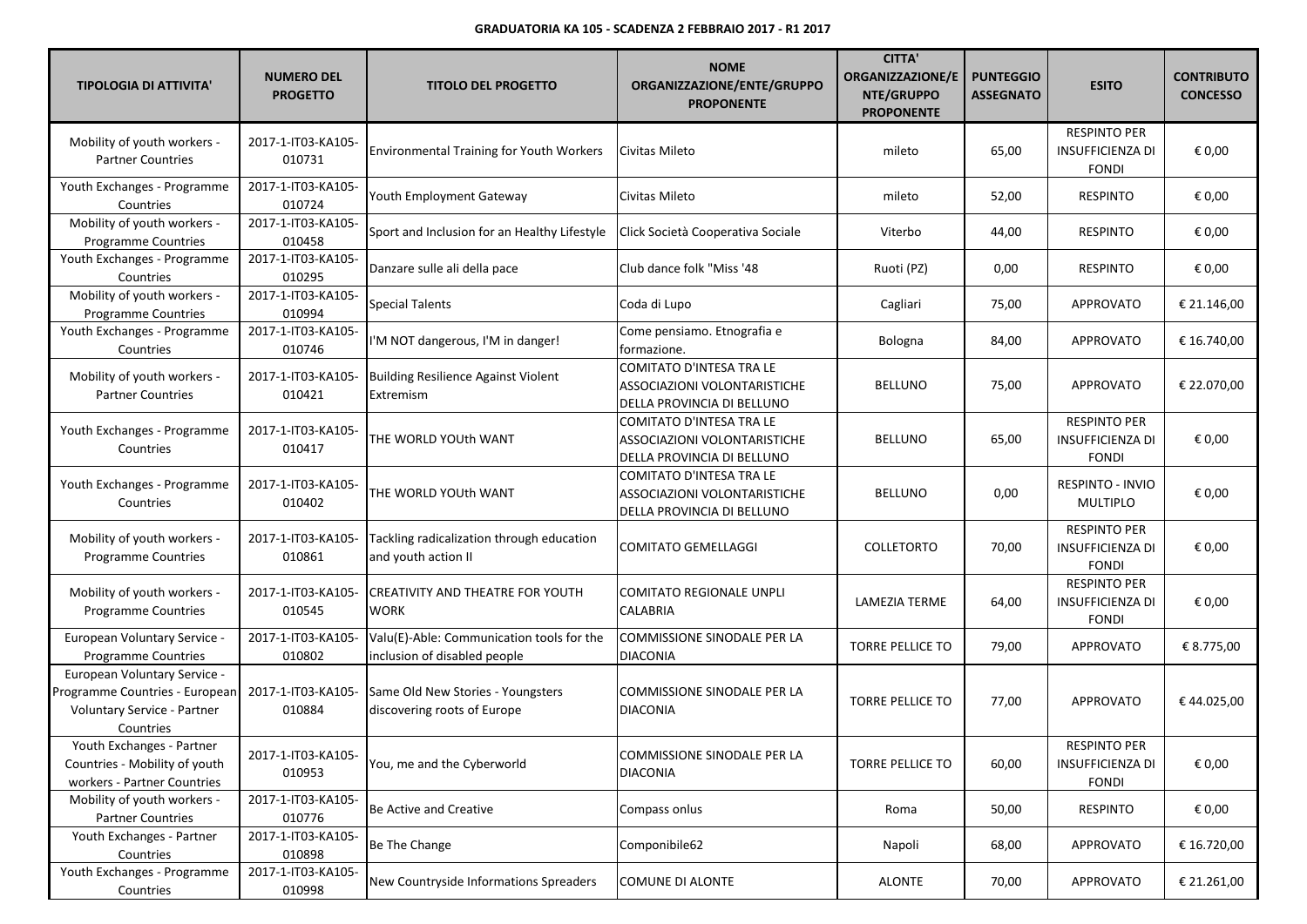| <b>TIPOLOGIA DI ATTIVITA'</b>                                                                              | <b>NUMERO DEL</b><br><b>PROGETTO</b> | <b>TITOLO DEL PROGETTO</b>                                                | <b>NOME</b><br>ORGANIZZAZIONE/ENTE/GRUPPO<br><b>PROPONENTE</b>                                | <b>CITTA'</b><br><b>ORGANIZZAZIONE/E</b><br>NTE/GRUPPO<br><b>PROPONENTE</b> | <b>PUNTEGGIO</b><br><b>ASSEGNATO</b> | <b>ESITO</b>                                                   | <b>CONTRIBUTO</b><br><b>CONCESSO</b> |
|------------------------------------------------------------------------------------------------------------|--------------------------------------|---------------------------------------------------------------------------|-----------------------------------------------------------------------------------------------|-----------------------------------------------------------------------------|--------------------------------------|----------------------------------------------------------------|--------------------------------------|
| Mobility of youth workers -<br><b>Partner Countries</b>                                                    | 2017-1-IT03-KA105-<br>010731         | <b>Environmental Training for Youth Workers</b>                           | Civitas Mileto                                                                                | mileto                                                                      | 65,00                                | <b>RESPINTO PER</b><br><b>INSUFFICIENZA DI</b><br><b>FONDI</b> | € 0,00                               |
| Youth Exchanges - Programme<br>Countries                                                                   | 2017-1-IT03-KA105-<br>010724         | Youth Employment Gateway                                                  | Civitas Mileto                                                                                | mileto                                                                      | 52,00                                | <b>RESPINTO</b>                                                | € 0,00                               |
| Mobility of youth workers -<br>Programme Countries                                                         | 2017-1-IT03-KA105-<br>010458         | Sport and Inclusion for an Healthy Lifestyle                              | Click Società Cooperativa Sociale                                                             | Viterbo                                                                     | 44,00                                | <b>RESPINTO</b>                                                | € 0,00                               |
| Youth Exchanges - Programme<br>Countries                                                                   | 2017-1-IT03-KA105-<br>010295         | Danzare sulle ali della pace                                              | Club dance folk "Miss '48                                                                     | Ruoti (PZ)                                                                  | 0,00                                 | <b>RESPINTO</b>                                                | € 0,00                               |
| Mobility of youth workers -<br>Programme Countries                                                         | 2017-1-IT03-KA105-<br>010994         | <b>Special Talents</b>                                                    | Coda di Lupo                                                                                  | Cagliari                                                                    | 75,00                                | <b>APPROVATO</b>                                               | € 21.146,00                          |
| Youth Exchanges - Programme<br>Countries                                                                   | 2017-1-IT03-KA105-<br>010746         | I'M NOT dangerous, I'M in danger!                                         | Come pensiamo. Etnografia e<br>formazione.                                                    | Bologna                                                                     | 84,00                                | APPROVATO                                                      | € 16.740,00                          |
| Mobility of youth workers -<br><b>Partner Countries</b>                                                    | 2017-1-IT03-KA105-<br>010421         | <b>Building Resilience Against Violent</b><br>Extremism                   | COMITATO D'INTESA TRA LE<br>ASSOCIAZIONI VOLONTARISTICHE<br>DELLA PROVINCIA DI BELLUNO        | <b>BELLUNO</b>                                                              | 75,00                                | APPROVATO                                                      | € 22.070,00                          |
| Youth Exchanges - Programme<br>Countries                                                                   | 2017-1-IT03-KA105-<br>010417         | THE WORLD YOUth WANT                                                      | <b>COMITATO D'INTESA TRA LE</b><br>ASSOCIAZIONI VOLONTARISTICHE<br>DELLA PROVINCIA DI BELLUNO | <b>BELLUNO</b>                                                              | 65,00                                | <b>RESPINTO PER</b><br>INSUFFICIENZA DI<br><b>FONDI</b>        | € 0,00                               |
| Youth Exchanges - Programme<br>Countries                                                                   | 2017-1-IT03-KA105-<br>010402         | THE WORLD YOUth WANT                                                      | COMITATO D'INTESA TRA LE<br>ASSOCIAZIONI VOLONTARISTICHE<br>DELLA PROVINCIA DI BELLUNO        | <b>BELLUNO</b>                                                              | 0,00                                 | <b>RESPINTO - INVIO</b><br><b>MULTIPLO</b>                     | € 0,00                               |
| Mobility of youth workers -<br>Programme Countries                                                         | 2017-1-IT03-KA105-<br>010861         | Tackling radicalization through education<br>and youth action II          | <b>COMITATO GEMELLAGGI</b>                                                                    | <b>COLLETORTO</b>                                                           | 70,00                                | <b>RESPINTO PER</b><br><b>INSUFFICIENZA DI</b><br><b>FONDI</b> | € 0,00                               |
| Mobility of youth workers -<br><b>Programme Countries</b>                                                  | 2017-1-IT03-KA105-<br>010545         | <b>CREATIVITY AND THEATRE FOR YOUTH</b><br><b>WORK</b>                    | <b>COMITATO REGIONALE UNPLI</b><br><b>CALABRIA</b>                                            | LAMEZIA TERME                                                               | 64,00                                | <b>RESPINTO PER</b><br><b>INSUFFICIENZA DI</b><br><b>FONDI</b> | € 0,00                               |
| European Voluntary Service -<br><b>Programme Countries</b>                                                 | 2017-1-IT03-KA105-<br>010802         | Valu(E)-Able: Communication tools for the<br>inclusion of disabled people | COMMISSIONE SINODALE PER LA<br><b>DIACONIA</b>                                                | <b>TORRE PELLICE TO</b>                                                     | 79,00                                | <b>APPROVATO</b>                                               | € 8.775,00                           |
| European Voluntary Service -<br>Programme Countries - European<br>Voluntary Service - Partner<br>Countries | 2017-1-IT03-KA105-<br>010884         | Same Old New Stories - Youngsters<br>discovering roots of Europe          | COMMISSIONE SINODALE PER LA<br><b>DIACONIA</b>                                                | <b>TORRE PELLICE TO</b>                                                     | 77,00                                | <b>APPROVATO</b>                                               | €44.025,00                           |
| Youth Exchanges - Partner<br>Countries - Mobility of youth<br>workers - Partner Countries                  | 2017-1-IT03-KA105-<br>010953         | You, me and the Cyberworld                                                | COMMISSIONE SINODALE PER LA<br><b>DIACONIA</b>                                                | <b>TORRE PELLICE TO</b>                                                     | 60,00                                | <b>RESPINTO PER</b><br><b>INSUFFICIENZA DI</b><br><b>FONDI</b> | € 0,00                               |
| Mobility of youth workers -<br><b>Partner Countries</b>                                                    | 2017-1-IT03-KA105-<br>010776         | Be Active and Creative                                                    | Compass onlus                                                                                 | Roma                                                                        | 50,00                                | <b>RESPINTO</b>                                                | € 0,00                               |
| Youth Exchanges - Partner<br>Countries                                                                     | 2017-1-IT03-KA105-<br>010898         | Be The Change                                                             | Componibile62                                                                                 | Napoli                                                                      | 68,00                                | APPROVATO                                                      | € 16.720,00                          |
| Youth Exchanges - Programme<br>Countries                                                                   | 2017-1-IT03-KA105-<br>010998         | New Countryside Informations Spreaders                                    | <b>COMUNE DI ALONTE</b>                                                                       | <b>ALONTE</b>                                                               | 70,00                                | <b>APPROVATO</b>                                               | € 21.261,00                          |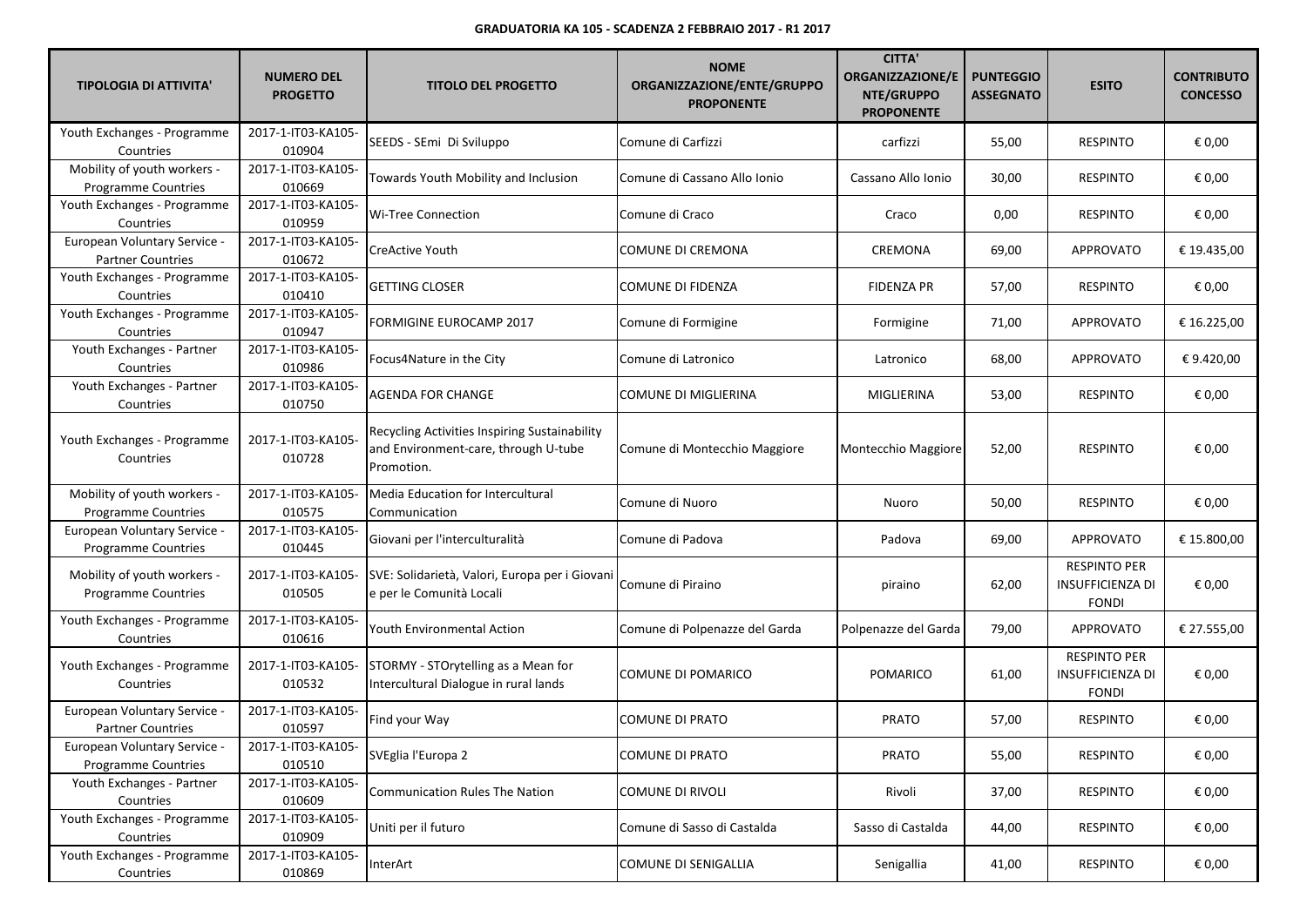| <b>TIPOLOGIA DI ATTIVITA'</b>                              | <b>NUMERO DEL</b><br><b>PROGETTO</b> | <b>TITOLO DEL PROGETTO</b>                                                                          | <b>NOME</b><br>ORGANIZZAZIONE/ENTE/GRUPPO<br><b>PROPONENTE</b> | <b>CITTA'</b><br><b>ORGANIZZAZIONE/E</b><br>NTE/GRUPPO<br><b>PROPONENTE</b> | <b>PUNTEGGIO</b><br><b>ASSEGNATO</b> | <b>ESITO</b>                                                   | <b>CONTRIBUTO</b><br><b>CONCESSO</b> |
|------------------------------------------------------------|--------------------------------------|-----------------------------------------------------------------------------------------------------|----------------------------------------------------------------|-----------------------------------------------------------------------------|--------------------------------------|----------------------------------------------------------------|--------------------------------------|
| Youth Exchanges - Programme<br>Countries                   | 2017-1-IT03-KA105-<br>010904         | SEEDS - SEmi Di Sviluppo                                                                            | Comune di Carfizzi                                             | carfizzi                                                                    | 55,00                                | <b>RESPINTO</b>                                                | € 0,00                               |
| Mobility of youth workers -<br>Programme Countries         | 2017-1-IT03-KA105-<br>010669         | Towards Youth Mobility and Inclusion                                                                | Comune di Cassano Allo Ionio                                   | Cassano Allo Ionio                                                          | 30,00                                | <b>RESPINTO</b>                                                | € 0,00                               |
| Youth Exchanges - Programme<br>Countries                   | 2017-1-IT03-KA105-<br>010959         | <b>Wi-Tree Connection</b>                                                                           | Comune di Craco                                                | Craco                                                                       | 0,00                                 | <b>RESPINTO</b>                                                | € 0,00                               |
| European Voluntary Service -<br><b>Partner Countries</b>   | 2017-1-IT03-KA105-<br>010672         | CreActive Youth                                                                                     | COMUNE DI CREMONA                                              | CREMONA                                                                     | 69,00                                | APPROVATO                                                      | € 19.435,00                          |
| Youth Exchanges - Programme<br>Countries                   | 2017-1-IT03-KA105-<br>010410         | <b>GETTING CLOSER</b>                                                                               | COMUNE DI FIDENZA                                              | <b>FIDENZA PR</b>                                                           | 57,00                                | <b>RESPINTO</b>                                                | € 0,00                               |
| Youth Exchanges - Programme<br>Countries                   | 2017-1-IT03-KA105-<br>010947         | FORMIGINE EUROCAMP 2017                                                                             | Comune di Formigine                                            | Formigine                                                                   | 71,00                                | APPROVATO                                                      | € 16.225,00                          |
| Youth Exchanges - Partner<br>Countries                     | 2017-1-IT03-KA105-<br>010986         | Focus4Nature in the City                                                                            | Comune di Latronico                                            | Latronico                                                                   | 68,00                                | APPROVATO                                                      | €9.420,00                            |
| Youth Exchanges - Partner<br>Countries                     | 2017-1-IT03-KA105-<br>010750         | <b>AGENDA FOR CHANGE</b>                                                                            | COMUNE DI MIGLIERINA                                           | MIGLIERINA                                                                  | 53,00                                | <b>RESPINTO</b>                                                | € 0,00                               |
| Youth Exchanges - Programme<br>Countries                   | 2017-1-IT03-KA105-<br>010728         | Recycling Activities Inspiring Sustainability<br>and Environment-care, through U-tube<br>Promotion. | Comune di Montecchio Maggiore                                  | Montecchio Maggiore                                                         | 52,00                                | <b>RESPINTO</b>                                                | € 0,00                               |
| Mobility of youth workers -<br><b>Programme Countries</b>  | 2017-1-IT03-KA105-<br>010575         | Media Education for Intercultural<br>Communication                                                  | Comune di Nuoro                                                | Nuoro                                                                       | 50,00                                | <b>RESPINTO</b>                                                | € 0,00                               |
| European Voluntary Service -<br>Programme Countries        | 2017-1-IT03-KA105-<br>010445         | Giovani per l'interculturalità                                                                      | Comune di Padova                                               | Padova                                                                      | 69,00                                | APPROVATO                                                      | € 15.800,00                          |
| Mobility of youth workers -<br><b>Programme Countries</b>  | 2017-1-IT03-KA105-<br>010505         | SVE: Solidarietà, Valori, Europa per i Giovani<br>e per le Comunità Locali                          | Comune di Piraino                                              | piraino                                                                     | 62,00                                | <b>RESPINTO PER</b><br><b>INSUFFICIENZA DI</b><br><b>FONDI</b> | € 0,00                               |
| Youth Exchanges - Programme<br>Countries                   | 2017-1-IT03-KA105-<br>010616         | Youth Environmental Action                                                                          | Comune di Polpenazze del Garda                                 | Polpenazze del Garda                                                        | 79,00                                | APPROVATO                                                      | € 27.555,00                          |
| Youth Exchanges - Programme<br>Countries                   | 2017-1-IT03-KA105-<br>010532         | STORMY - STOrytelling as a Mean for<br>Intercultural Dialogue in rural lands                        | COMUNE DI POMARICO                                             | POMARICO                                                                    | 61,00                                | <b>RESPINTO PER</b><br><b>INSUFFICIENZA DI</b><br><b>FONDI</b> | € 0,00                               |
| European Voluntary Service -<br><b>Partner Countries</b>   | 2017-1-IT03-KA105-<br>010597         | Find your Way                                                                                       | COMUNE DI PRATO                                                | <b>PRATO</b>                                                                | 57,00                                | <b>RESPINTO</b>                                                | € 0,00                               |
| European Voluntary Service -<br><b>Programme Countries</b> | 2017-1-IT03-KA105-<br>010510         | SVEglia l'Europa 2                                                                                  | COMUNE DI PRATO                                                | PRATO                                                                       | 55,00                                | <b>RESPINTO</b>                                                | € 0,00                               |
| Youth Exchanges - Partner<br>Countries                     | 2017-1-IT03-KA105-<br>010609         | <b>Communication Rules The Nation</b>                                                               | <b>COMUNE DI RIVOLI</b>                                        | Rivoli                                                                      | 37,00                                | <b>RESPINTO</b>                                                | € 0,00                               |
| Youth Exchanges - Programme<br>Countries                   | 2017-1-IT03-KA105-<br>010909         | Uniti per il futuro                                                                                 | Comune di Sasso di Castalda                                    | Sasso di Castalda                                                           | 44,00                                | <b>RESPINTO</b>                                                | € 0,00                               |
| Youth Exchanges - Programme<br>Countries                   | 2017-1-IT03-KA105-<br>010869         | InterArt                                                                                            | COMUNE DI SENIGALLIA                                           | Senigallia                                                                  | 41,00                                | <b>RESPINTO</b>                                                | € 0,00                               |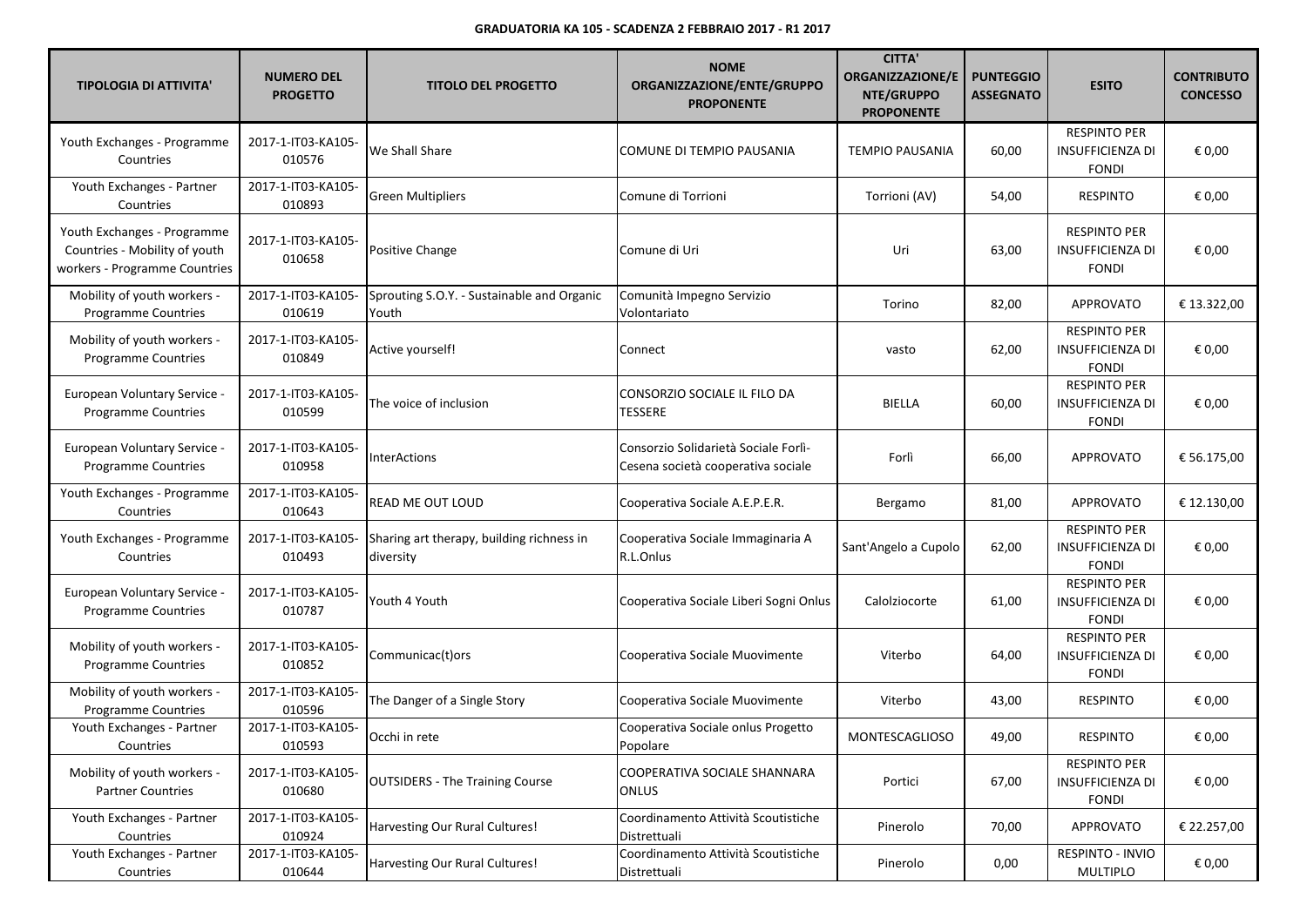| <b>TIPOLOGIA DI ATTIVITA'</b>                                                                 | <b>NUMERO DEL</b><br><b>PROGETTO</b> | <b>TITOLO DEL PROGETTO</b>                             | <b>NOME</b><br>ORGANIZZAZIONE/ENTE/GRUPPO<br><b>PROPONENTE</b>             | <b>CITTA'</b><br><b>ORGANIZZAZIONE/E</b><br>NTE/GRUPPO<br><b>PROPONENTE</b> | <b>PUNTEGGIO</b><br><b>ASSEGNATO</b> | <b>ESITO</b>                                                   | <b>CONTRIBUTO</b><br><b>CONCESSO</b> |
|-----------------------------------------------------------------------------------------------|--------------------------------------|--------------------------------------------------------|----------------------------------------------------------------------------|-----------------------------------------------------------------------------|--------------------------------------|----------------------------------------------------------------|--------------------------------------|
| Youth Exchanges - Programme<br>Countries                                                      | 2017-1-IT03-KA105-<br>010576         | We Shall Share                                         | COMUNE DI TEMPIO PAUSANIA                                                  | <b>TEMPIO PAUSANIA</b>                                                      | 60,00                                | <b>RESPINTO PER</b><br><b>INSUFFICIENZA DI</b><br><b>FONDI</b> | € 0,00                               |
| Youth Exchanges - Partner<br>Countries                                                        | 2017-1-IT03-KA105-<br>010893         | <b>Green Multipliers</b>                               | Comune di Torrioni                                                         | Torrioni (AV)                                                               | 54,00                                | <b>RESPINTO</b>                                                | € 0,00                               |
| Youth Exchanges - Programme<br>Countries - Mobility of youth<br>workers - Programme Countries | 2017-1-IT03-KA105-<br>010658         | Positive Change                                        | Comune di Uri                                                              | Uri                                                                         | 63,00                                | <b>RESPINTO PER</b><br><b>INSUFFICIENZA DI</b><br><b>FONDI</b> | € 0,00                               |
| Mobility of youth workers -<br>Programme Countries                                            | 2017-1-IT03-KA105-<br>010619         | Sprouting S.O.Y. - Sustainable and Organic<br>Youth    | Comunità Impegno Servizio<br>Volontariato                                  | Torino                                                                      | 82,00                                | APPROVATO                                                      | € 13.322,00                          |
| Mobility of youth workers -<br><b>Programme Countries</b>                                     | 2017-1-IT03-KA105-<br>010849         | Active yourself!                                       | Connect                                                                    | vasto                                                                       | 62,00                                | <b>RESPINTO PER</b><br><b>INSUFFICIENZA DI</b><br><b>FONDI</b> | € 0,00                               |
| European Voluntary Service -<br>Programme Countries                                           | 2017-1-IT03-KA105-<br>010599         | The voice of inclusion                                 | CONSORZIO SOCIALE IL FILO DA<br>TESSERE                                    | <b>BIELLA</b>                                                               | 60,00                                | <b>RESPINTO PER</b><br>INSUFFICIENZA DI<br><b>FONDI</b>        | € 0,00                               |
| European Voluntary Service -<br>Programme Countries                                           | 2017-1-IT03-KA105-<br>010958         | <b>InterActions</b>                                    | Consorzio Solidarietà Sociale Forlì-<br>Cesena società cooperativa sociale | Forlì                                                                       | 66,00                                | APPROVATO                                                      | € 56.175,00                          |
| Youth Exchanges - Programme<br>Countries                                                      | 2017-1-IT03-KA105-<br>010643         | READ ME OUT LOUD                                       | Cooperativa Sociale A.E.P.E.R.                                             | Bergamo                                                                     | 81,00                                | APPROVATO                                                      | € 12.130,00                          |
| Youth Exchanges - Programme<br>Countries                                                      | 2017-1-IT03-KA105-<br>010493         | Sharing art therapy, building richness in<br>diversity | Cooperativa Sociale Immaginaria A<br>R.L.Onlus                             | Sant'Angelo a Cupolo                                                        | 62,00                                | <b>RESPINTO PER</b><br><b>INSUFFICIENZA DI</b><br><b>FONDI</b> | € 0,00                               |
| <b>European Voluntary Service -</b><br><b>Programme Countries</b>                             | 2017-1-IT03-KA105-<br>010787         | Youth 4 Youth                                          | Cooperativa Sociale Liberi Sogni Onlus                                     | Calolziocorte                                                               | 61,00                                | <b>RESPINTO PER</b><br><b>INSUFFICIENZA DI</b><br><b>FONDI</b> | € 0,00                               |
| Mobility of youth workers -<br>Programme Countries                                            | 2017-1-IT03-KA105-<br>010852         | Communicac(t) ors                                      | Cooperativa Sociale Muovimente                                             | Viterbo                                                                     | 64,00                                | <b>RESPINTO PER</b><br><b>INSUFFICIENZA DI</b><br><b>FONDI</b> | € 0,00                               |
| Mobility of youth workers -<br>Programme Countries                                            | 2017-1-IT03-KA105-<br>010596         | The Danger of a Single Story                           | Cooperativa Sociale Muovimente                                             | Viterbo                                                                     | 43,00                                | <b>RESPINTO</b>                                                | € 0,00                               |
| Youth Exchanges - Partner<br>Countries                                                        | 2017-1-IT03-KA105-<br>010593         | Occhi in rete                                          | Cooperativa Sociale onlus Progetto<br>Popolare                             | <b>MONTESCAGLIOSO</b>                                                       | 49,00                                | <b>RESPINTO</b>                                                | € 0,00                               |
| Mobility of youth workers -<br><b>Partner Countries</b>                                       | 2017-1-IT03-KA105-<br>010680         | <b>OUTSIDERS - The Training Course</b>                 | COOPERATIVA SOCIALE SHANNARA<br><b>ONLUS</b>                               | Portici                                                                     | 67,00                                | <b>RESPINTO PER</b><br><b>INSUFFICIENZA DI</b><br><b>FONDI</b> | € 0,00                               |
| Youth Exchanges - Partner<br>Countries                                                        | 2017-1-IT03-KA105-<br>010924         | Harvesting Our Rural Cultures!                         | Coordinamento Attività Scoutistiche<br>Distrettuali                        | Pinerolo                                                                    | 70,00                                | <b>APPROVATO</b>                                               | € 22.257,00                          |
| Youth Exchanges - Partner<br>Countries                                                        | 2017-1-IT03-KA105-<br>010644         | Harvesting Our Rural Cultures!                         | Coordinamento Attività Scoutistiche<br>Distrettuali                        | Pinerolo                                                                    | 0,00                                 | RESPINTO - INVIO<br>MULTIPLO                                   | € 0,00                               |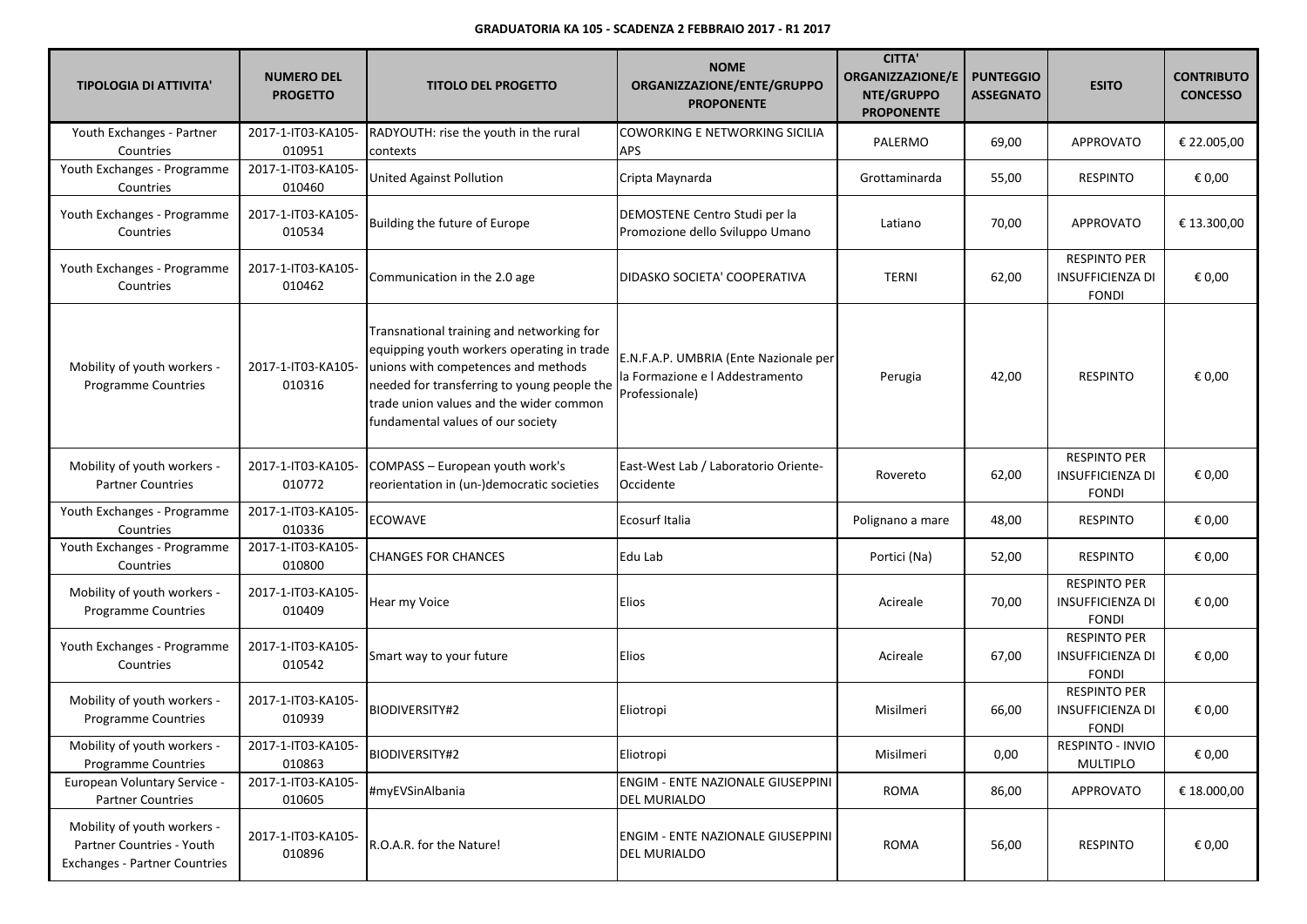| <b>TIPOLOGIA DI ATTIVITA'</b>                                                                    | <b>NUMERO DEL</b><br><b>PROGETTO</b> | <b>TITOLO DEL PROGETTO</b>                                                                                                                                                                                                                                    | <b>NOME</b><br>ORGANIZZAZIONE/ENTE/GRUPPO<br><b>PROPONENTE</b>                             | <b>CITTA'</b><br><b>ORGANIZZAZIONE/E</b><br>NTE/GRUPPO<br><b>PROPONENTE</b> | <b>PUNTEGGIO</b><br><b>ASSEGNATO</b> | <b>ESITO</b>                                                   | <b>CONTRIBUTO</b><br><b>CONCESSO</b> |
|--------------------------------------------------------------------------------------------------|--------------------------------------|---------------------------------------------------------------------------------------------------------------------------------------------------------------------------------------------------------------------------------------------------------------|--------------------------------------------------------------------------------------------|-----------------------------------------------------------------------------|--------------------------------------|----------------------------------------------------------------|--------------------------------------|
| Youth Exchanges - Partner<br>Countries                                                           | 2017-1-IT03-KA105-<br>010951         | RADYOUTH: rise the youth in the rural<br>contexts                                                                                                                                                                                                             | COWORKING E NETWORKING SICILIA<br>APS                                                      | PALERMO                                                                     | 69,00                                | <b>APPROVATO</b>                                               | € 22.005,00                          |
| Youth Exchanges - Programme<br>Countries                                                         | 2017-1-IT03-KA105-<br>010460         | <b>United Against Pollution</b>                                                                                                                                                                                                                               | Cripta Maynarda                                                                            | Grottaminarda                                                               | 55,00                                | <b>RESPINTO</b>                                                | € 0,00                               |
| Youth Exchanges - Programme<br>Countries                                                         | 2017-1-IT03-KA105-<br>010534         | Building the future of Europe                                                                                                                                                                                                                                 | DEMOSTENE Centro Studi per la<br>Promozione dello Sviluppo Umano                           | Latiano                                                                     | 70,00                                | <b>APPROVATO</b>                                               | € 13.300,00                          |
| Youth Exchanges - Programme<br>Countries                                                         | 2017-1-IT03-KA105-<br>010462         | Communication in the 2.0 age                                                                                                                                                                                                                                  | DIDASKO SOCIETA' COOPERATIVA                                                               | TERNI                                                                       | 62,00                                | <b>RESPINTO PER</b><br><b>INSUFFICIENZA DI</b><br><b>FONDI</b> | € 0,00                               |
| Mobility of youth workers -<br><b>Programme Countries</b>                                        | 2017-1-IT03-KA105-<br>010316         | Transnational training and networking for<br>equipping youth workers operating in trade<br>unions with competences and methods<br>needed for transferring to young people the<br>trade union values and the wider common<br>fundamental values of our society | E.N.F.A.P. UMBRIA (Ente Nazionale per<br>la Formazione e l Addestramento<br>Professionale) | Perugia                                                                     | 42,00                                | <b>RESPINTO</b>                                                | € 0,00                               |
| Mobility of youth workers -<br><b>Partner Countries</b>                                          | 2017-1-IT03-KA105-<br>010772         | COMPASS - European youth work's<br>reorientation in (un-)democratic societies                                                                                                                                                                                 | East-West Lab / Laboratorio Oriente-<br>Occidente                                          | Rovereto                                                                    | 62,00                                | <b>RESPINTO PER</b><br><b>INSUFFICIENZA DI</b><br><b>FONDI</b> | € 0,00                               |
| Youth Exchanges - Programme<br>Countries                                                         | 2017-1-IT03-KA105-<br>010336         | <b>ECOWAVE</b>                                                                                                                                                                                                                                                | Ecosurf Italia                                                                             | Polignano a mare                                                            | 48,00                                | <b>RESPINTO</b>                                                | € 0,00                               |
| Youth Exchanges - Programme<br>Countries                                                         | 2017-1-IT03-KA105-<br>010800         | <b>CHANGES FOR CHANCES</b>                                                                                                                                                                                                                                    | Edu Lab                                                                                    | Portici (Na)                                                                | 52,00                                | <b>RESPINTO</b>                                                | € 0,00                               |
| Mobility of youth workers -<br><b>Programme Countries</b>                                        | 2017-1-IT03-KA105-<br>010409         | Hear my Voice                                                                                                                                                                                                                                                 | Elios                                                                                      | Acireale                                                                    | 70,00                                | <b>RESPINTO PER</b><br><b>INSUFFICIENZA DI</b><br><b>FONDI</b> | € 0,00                               |
| Youth Exchanges - Programme<br>Countries                                                         | 2017-1-IT03-KA105-<br>010542         | Smart way to your future                                                                                                                                                                                                                                      | Elios                                                                                      | Acireale                                                                    | 67,00                                | <b>RESPINTO PER</b><br>INSUFFICIENZA DI<br><b>FONDI</b>        | € 0,00                               |
| Mobility of youth workers -<br><b>Programme Countries</b>                                        | 2017-1-IT03-KA105-<br>010939         | <b>BIODIVERSITY#2</b>                                                                                                                                                                                                                                         | Eliotropi                                                                                  | Misilmeri                                                                   | 66,00                                | <b>RESPINTO PER</b><br><b>INSUFFICIENZA DI</b><br><b>FONDI</b> | € 0,00                               |
| Mobility of youth workers -<br><b>Programme Countries</b>                                        | 2017-1-IT03-KA105-<br>010863         | <b>BIODIVERSITY#2</b>                                                                                                                                                                                                                                         | Eliotropi                                                                                  | Misilmeri                                                                   | 0,00                                 | RESPINTO - INVIO<br><b>MULTIPLO</b>                            | € 0,00                               |
| European Voluntary Service -<br><b>Partner Countries</b>                                         | 2017-1-IT03-KA105-<br>010605         | #myEVSinAlbania                                                                                                                                                                                                                                               | ENGIM - ENTE NAZIONALE GIUSEPPINI<br><b>DEL MURIALDO</b>                                   | ROMA                                                                        | 86,00                                | <b>APPROVATO</b>                                               | € 18.000,00                          |
| Mobility of youth workers -<br>Partner Countries - Youth<br><b>Exchanges - Partner Countries</b> | 2017-1-IT03-KA105-<br>010896         | R.O.A.R. for the Nature!                                                                                                                                                                                                                                      | ENGIM - ENTE NAZIONALE GIUSEPPINI<br><b>DEL MURIALDO</b>                                   | <b>ROMA</b>                                                                 | 56,00                                | <b>RESPINTO</b>                                                | € 0,00                               |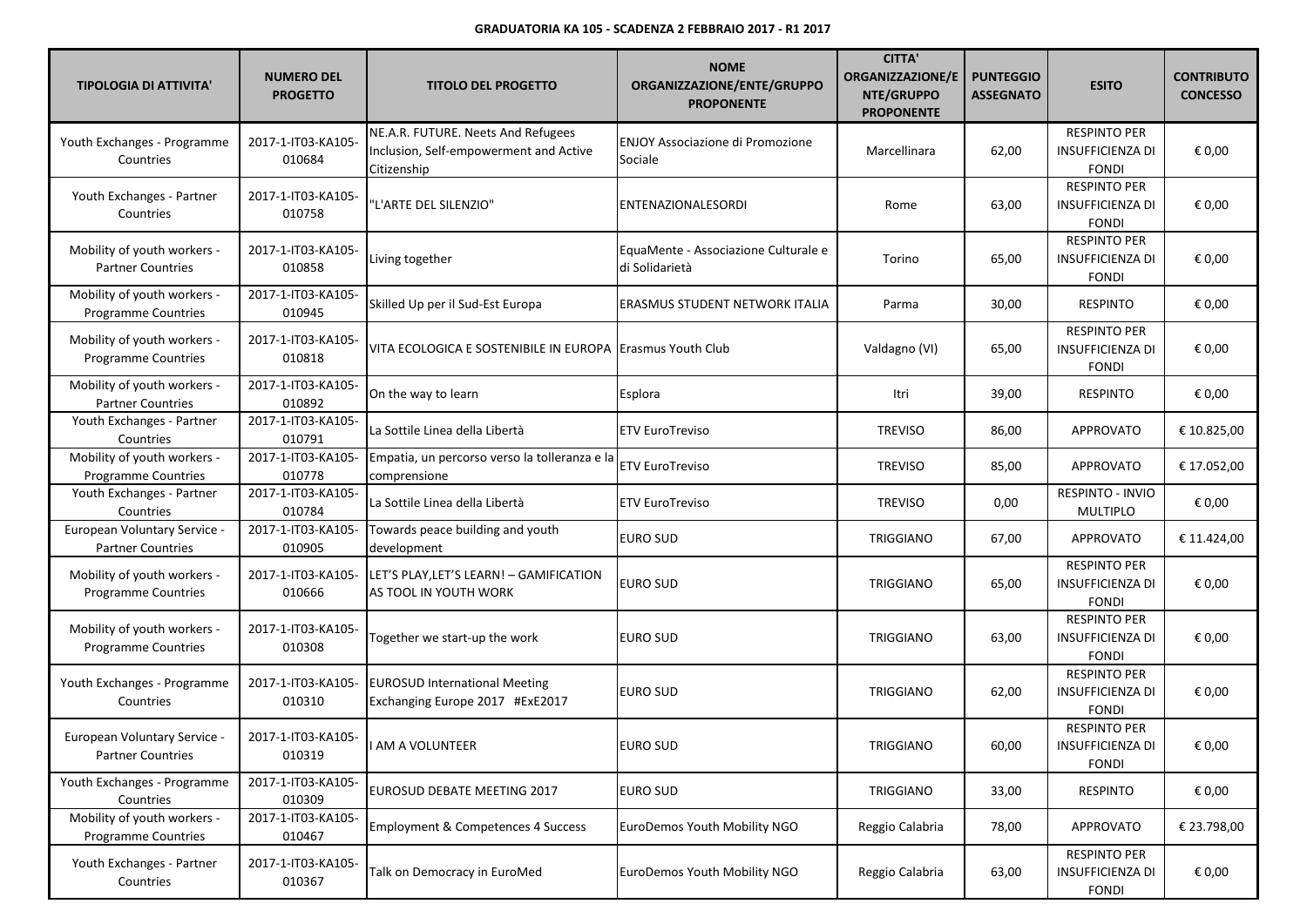| <b>TIPOLOGIA DI ATTIVITA'</b>                             | <b>NUMERO DEL</b><br><b>PROGETTO</b> | <b>TITOLO DEL PROGETTO</b>                                                                  | <b>NOME</b><br>ORGANIZZAZIONE/ENTE/GRUPPO<br><b>PROPONENTE</b> | <b>CITTA'</b><br><b>ORGANIZZAZIONE/E</b><br>NTE/GRUPPO<br><b>PROPONENTE</b> | <b>PUNTEGGIO</b><br><b>ASSEGNATO</b> | <b>ESITO</b>                                                   | <b>CONTRIBUTO</b><br><b>CONCESSO</b> |
|-----------------------------------------------------------|--------------------------------------|---------------------------------------------------------------------------------------------|----------------------------------------------------------------|-----------------------------------------------------------------------------|--------------------------------------|----------------------------------------------------------------|--------------------------------------|
| Youth Exchanges - Programme<br>Countries                  | 2017-1-IT03-KA105-<br>010684         | NE.A.R. FUTURE. Neets And Refugees<br>Inclusion, Self-empowerment and Active<br>Citizenship | <b>ENJOY Associazione di Promozione</b><br>Sociale             | Marcellinara                                                                | 62,00                                | <b>RESPINTO PER</b><br><b>INSUFFICIENZA DI</b><br><b>FONDI</b> | € 0,00                               |
| Youth Exchanges - Partner<br>Countries                    | 2017-1-IT03-KA105-<br>010758         | 'L'ARTE DEL SILENZIO"                                                                       | ENTENAZIONALESORDI                                             | Rome                                                                        | 63,00                                | <b>RESPINTO PER</b><br><b>INSUFFICIENZA DI</b><br><b>FONDI</b> | € 0,00                               |
| Mobility of youth workers -<br><b>Partner Countries</b>   | 2017-1-IT03-KA105-<br>010858         | Living together                                                                             | EquaMente - Associazione Culturale e<br>di Solidarietà         | Torino                                                                      | 65,00                                | <b>RESPINTO PER</b><br><b>INSUFFICIENZA DI</b><br><b>FONDI</b> | € 0,00                               |
| Mobility of youth workers -<br>Programme Countries        | 2017-1-IT03-KA105-<br>010945         | Skilled Up per il Sud-Est Europa                                                            | ERASMUS STUDENT NETWORK ITALIA                                 | Parma                                                                       | 30,00                                | <b>RESPINTO</b>                                                | € 0,00                               |
| Mobility of youth workers -<br>Programme Countries        | 2017-1-IT03-KA105-<br>010818         | VITA ECOLOGICA E SOSTENIBILE IN EUROPA   Erasmus Youth Club                                 |                                                                | Valdagno (VI)                                                               | 65,00                                | <b>RESPINTO PER</b><br><b>INSUFFICIENZA DI</b><br><b>FONDI</b> | € 0,00                               |
| Mobility of youth workers -<br><b>Partner Countries</b>   | 2017-1-IT03-KA105-<br>010892         | On the way to learn                                                                         | Esplora                                                        | Itri                                                                        | 39,00                                | <b>RESPINTO</b>                                                | € 0,00                               |
| Youth Exchanges - Partner<br>Countries                    | 2017-1-IT03-KA105-<br>010791         | La Sottile Linea della Libertà                                                              | <b>ETV EuroTreviso</b>                                         | <b>TREVISO</b>                                                              | 86,00                                | <b>APPROVATO</b>                                               | € 10.825,00                          |
| Mobility of youth workers -<br>Programme Countries        | 2017-1-IT03-KA105-<br>010778         | Empatia, un percorso verso la tolleranza e la<br>comprensione                               | <b>ETV EuroTreviso</b>                                         | <b>TREVISO</b>                                                              | 85,00                                | <b>APPROVATO</b>                                               | € 17.052,00                          |
| Youth Exchanges - Partner<br>Countries                    | 2017-1-IT03-KA105-<br>010784         | La Sottile Linea della Libertà                                                              | <b>ETV EuroTreviso</b>                                         | <b>TREVISO</b>                                                              | 0,00                                 | RESPINTO - INVIO<br>MULTIPLO                                   | € 0,00                               |
| European Voluntary Service -<br><b>Partner Countries</b>  | 2017-1-IT03-KA105-<br>010905         | Towards peace building and youth<br>development                                             | <b>EURO SUD</b>                                                | TRIGGIANO                                                                   | 67,00                                | <b>APPROVATO</b>                                               | € 11.424,00                          |
| Mobility of youth workers -<br><b>Programme Countries</b> | 2017-1-IT03-KA105-<br>010666         | LET'S PLAY, LET'S LEARN! - GAMIFICATION<br>AS TOOL IN YOUTH WORK                            | <b>EURO SUD</b>                                                | TRIGGIANO                                                                   | 65,00                                | <b>RESPINTO PER</b><br><b>INSUFFICIENZA DI</b><br><b>FONDI</b> | € 0,00                               |
| Mobility of youth workers -<br>Programme Countries        | 2017-1-IT03-KA105-<br>010308         | Together we start-up the work                                                               | EURO SUD                                                       | TRIGGIANO                                                                   | 63,00                                | <b>RESPINTO PER</b><br><b>INSUFFICIENZA DI</b><br><b>FONDI</b> | € 0,00                               |
| Youth Exchanges - Programme<br>Countries                  | 2017-1-IT03-KA105-<br>010310         | <b>EUROSUD International Meeting</b><br>Exchanging Europe 2017 #ExE2017                     | <b>EURO SUD</b>                                                | <b>TRIGGIANO</b>                                                            | 62,00                                | <b>RESPINTO PER</b><br><b>INSUFFICIENZA DI</b><br><b>FONDI</b> | € 0,00                               |
| European Voluntary Service -<br><b>Partner Countries</b>  | 2017-1-IT03-KA105-<br>010319         | AM A VOLUNTEER                                                                              | <b>EURO SUD</b>                                                | TRIGGIANO                                                                   | 60,00                                | <b>RESPINTO PER</b><br>INSUFFICIENZA DI<br><b>FONDI</b>        | $\epsilon$ 0,00                      |
| Youth Exchanges - Programme<br>Countries                  | 2017-1-IT03-KA105-<br>010309         | EUROSUD DEBATE MEETING 2017                                                                 | <b>EURO SUD</b>                                                | TRIGGIANO                                                                   | 33,00                                | <b>RESPINTO</b>                                                | € 0,00                               |
| Mobility of youth workers -<br>Programme Countries        | 2017-1-IT03-KA105-<br>010467         | <b>Employment &amp; Competences 4 Success</b>                                               | EuroDemos Youth Mobility NGO                                   | Reggio Calabria                                                             | 78,00                                | <b>APPROVATO</b>                                               | € 23.798,00                          |
| Youth Exchanges - Partner<br>Countries                    | 2017-1-IT03-KA105-<br>010367         | Talk on Democracy in EuroMed                                                                | EuroDemos Youth Mobility NGO                                   | Reggio Calabria                                                             | 63,00                                | <b>RESPINTO PER</b><br><b>INSUFFICIENZA DI</b><br><b>FONDI</b> | € 0,00                               |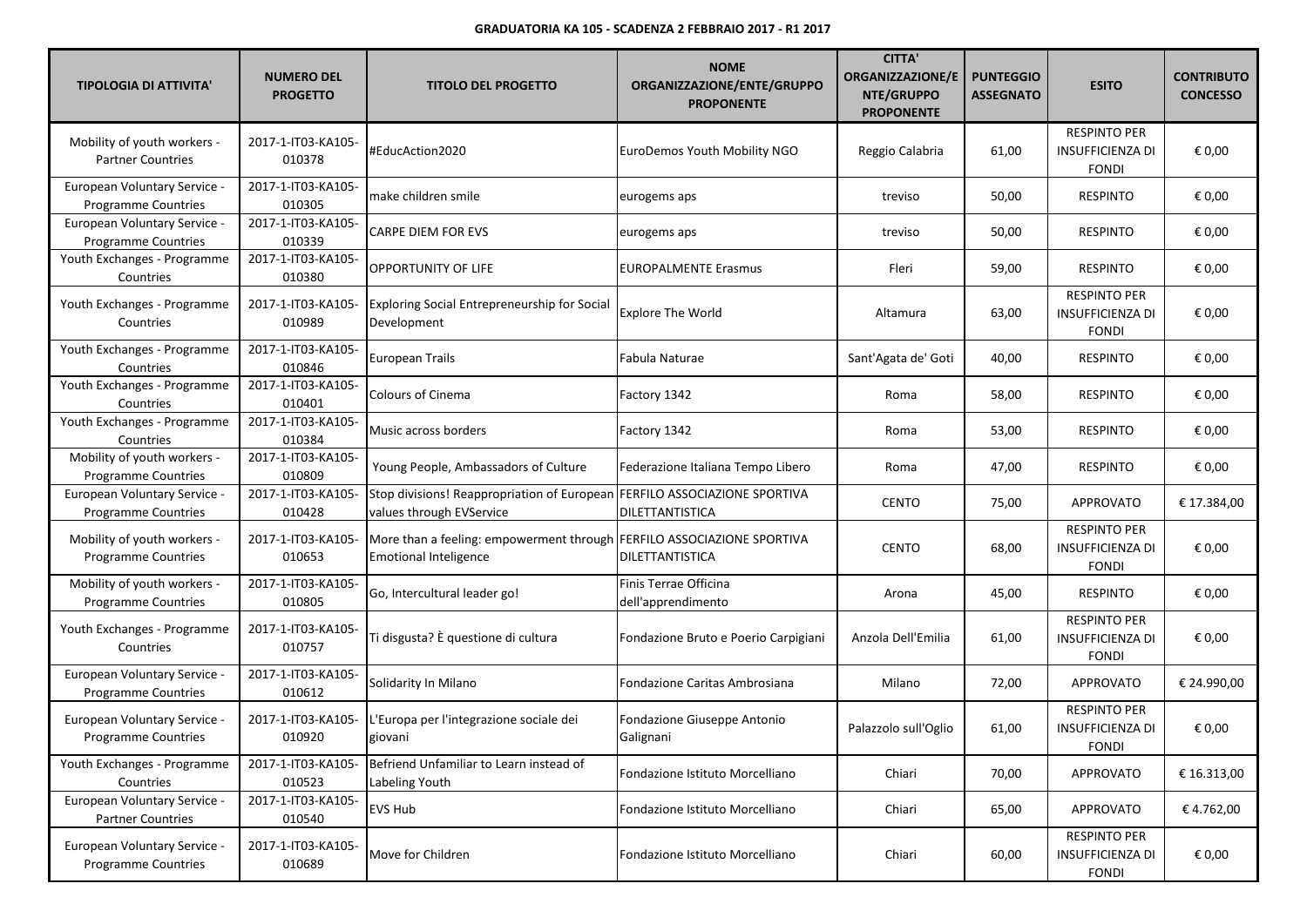| <b>TIPOLOGIA DI ATTIVITA'</b>                              | <b>NUMERO DEL</b><br><b>PROGETTO</b> | <b>TITOLO DEL PROGETTO</b>                                                                             | <b>NOME</b><br>ORGANIZZAZIONE/ENTE/GRUPPO<br><b>PROPONENTE</b> | <b>CITTA'</b><br><b>ORGANIZZAZIONE/E</b><br>NTE/GRUPPO<br><b>PROPONENTE</b> | <b>PUNTEGGIO</b><br><b>ASSEGNATO</b> | <b>ESITO</b>                                                   | <b>CONTRIBUTO</b><br><b>CONCESSO</b> |
|------------------------------------------------------------|--------------------------------------|--------------------------------------------------------------------------------------------------------|----------------------------------------------------------------|-----------------------------------------------------------------------------|--------------------------------------|----------------------------------------------------------------|--------------------------------------|
| Mobility of youth workers -<br><b>Partner Countries</b>    | 2017-1-IT03-KA105-<br>010378         | #EducAction2020                                                                                        | EuroDemos Youth Mobility NGO                                   | Reggio Calabria                                                             | 61,00                                | <b>RESPINTO PER</b><br><b>INSUFFICIENZA DI</b><br><b>FONDI</b> | € 0,00                               |
| European Voluntary Service -<br>Programme Countries        | 2017-1-IT03-KA105-<br>010305         | make children smile                                                                                    | eurogems aps                                                   | treviso                                                                     | 50,00                                | <b>RESPINTO</b>                                                | € 0,00                               |
| European Voluntary Service -<br>Programme Countries        | 2017-1-IT03-KA105-<br>010339         | <b>CARPE DIEM FOR EVS</b>                                                                              | eurogems aps                                                   | treviso                                                                     | 50,00                                | <b>RESPINTO</b>                                                | € 0,00                               |
| Youth Exchanges - Programme<br>Countries                   | 2017-1-IT03-KA105-<br>010380         | OPPORTUNITY OF LIFE                                                                                    | <b>EUROPALMENTE Erasmus</b>                                    | Fleri                                                                       | 59,00                                | <b>RESPINTO</b>                                                | € 0,00                               |
| Youth Exchanges - Programme<br>Countries                   | 2017-1-IT03-KA105-<br>010989         | <b>Exploring Social Entrepreneurship for Social</b><br>Development                                     | <b>Explore The World</b>                                       | Altamura                                                                    | 63,00                                | <b>RESPINTO PER</b><br><b>INSUFFICIENZA DI</b><br><b>FONDI</b> | € 0,00                               |
| Youth Exchanges - Programme<br>Countries                   | 2017-1-IT03-KA105-<br>010846         | European Trails                                                                                        | Fabula Naturae                                                 | Sant'Agata de' Goti                                                         | 40,00                                | <b>RESPINTO</b>                                                | € 0,00                               |
| Youth Exchanges - Programme<br>Countries                   | 2017-1-IT03-KA105-<br>010401         | <b>Colours of Cinema</b>                                                                               | Factory 1342                                                   | Roma                                                                        | 58,00                                | <b>RESPINTO</b>                                                | € 0,00                               |
| Youth Exchanges - Programme<br>Countries                   | 2017-1-IT03-KA105-<br>010384         | Music across borders                                                                                   | Factory 1342                                                   | Roma                                                                        | 53,00                                | <b>RESPINTO</b>                                                | € 0,00                               |
| Mobility of youth workers -<br>Programme Countries         | 2017-1-IT03-KA105-<br>010809         | Young People, Ambassadors of Culture                                                                   | Federazione Italiana Tempo Libero                              | Roma                                                                        | 47,00                                | <b>RESPINTO</b>                                                | € 0,00                               |
| European Voluntary Service -<br><b>Programme Countries</b> | 2017-1-IT03-KA105-<br>010428         | Stop divisions! Reappropriation of European FERFILO ASSOCIAZIONE SPORTIVA<br>values through EVService  | <b>DILETTANTISTICA</b>                                         | <b>CENTO</b>                                                                | 75,00                                | APPROVATO                                                      | € 17.384,00                          |
| Mobility of youth workers -<br><b>Programme Countries</b>  | 2017-1-IT03-KA105-<br>010653         | More than a feeling: empowerment through FERFILO ASSOCIAZIONE SPORTIVA<br><b>Emotional Inteligence</b> | DILETTANTISTICA                                                | <b>CENTO</b>                                                                | 68,00                                | <b>RESPINTO PER</b><br><b>INSUFFICIENZA DI</b><br><b>FONDI</b> | € 0,00                               |
| Mobility of youth workers -<br>Programme Countries         | 2017-1-IT03-KA105-<br>010805         | Go, Intercultural leader go!                                                                           | Finis Terrae Officina<br>dell'apprendimento                    | Arona                                                                       | 45,00                                | <b>RESPINTO</b>                                                | € 0,00                               |
| Youth Exchanges - Programme<br>Countries                   | 2017-1-IT03-KA105-<br>010757         | Ti disgusta? È questione di cultura                                                                    | Fondazione Bruto e Poerio Carpigiani                           | Anzola Dell'Emilia                                                          | 61,00                                | <b>RESPINTO PER</b><br><b>INSUFFICIENZA DI</b><br><b>FONDI</b> | € 0,00                               |
| European Voluntary Service -<br>Programme Countries        | 2017-1-IT03-KA105-<br>010612         | Solidarity In Milano                                                                                   | Fondazione Caritas Ambrosiana                                  | Milano                                                                      | 72,00                                | <b>APPROVATO</b>                                               | € 24.990,00                          |
| European Voluntary Service -<br><b>Programme Countries</b> | 2017-1-IT03-KA105-<br>010920         | L'Europa per l'integrazione sociale dei<br>giovani                                                     | Fondazione Giuseppe Antonio<br>Galignani                       | Palazzolo sull'Oglio                                                        | 61,00                                | <b>RESPINTO PER</b><br>INSUFFICIENZA DI<br><b>FONDI</b>        | € 0,00                               |
| Youth Exchanges - Programme<br>Countries                   | 2017-1-IT03-KA105-<br>010523         | Befriend Unfamiliar to Learn instead of<br>Labeling Youth                                              | Fondazione Istituto Morcelliano                                | Chiari                                                                      | 70,00                                | <b>APPROVATO</b>                                               | € 16.313,00                          |
| European Voluntary Service -<br><b>Partner Countries</b>   | 2017-1-IT03-KA105-<br>010540         | EVS Hub                                                                                                | Fondazione Istituto Morcelliano                                | Chiari                                                                      | 65,00                                | APPROVATO                                                      | €4.762,00                            |
| European Voluntary Service -<br><b>Programme Countries</b> | 2017-1-IT03-KA105-<br>010689         | Move for Children                                                                                      | Fondazione Istituto Morcelliano                                | Chiari                                                                      | 60,00                                | <b>RESPINTO PER</b><br>INSUFFICIENZA DI<br><b>FONDI</b>        | € 0,00                               |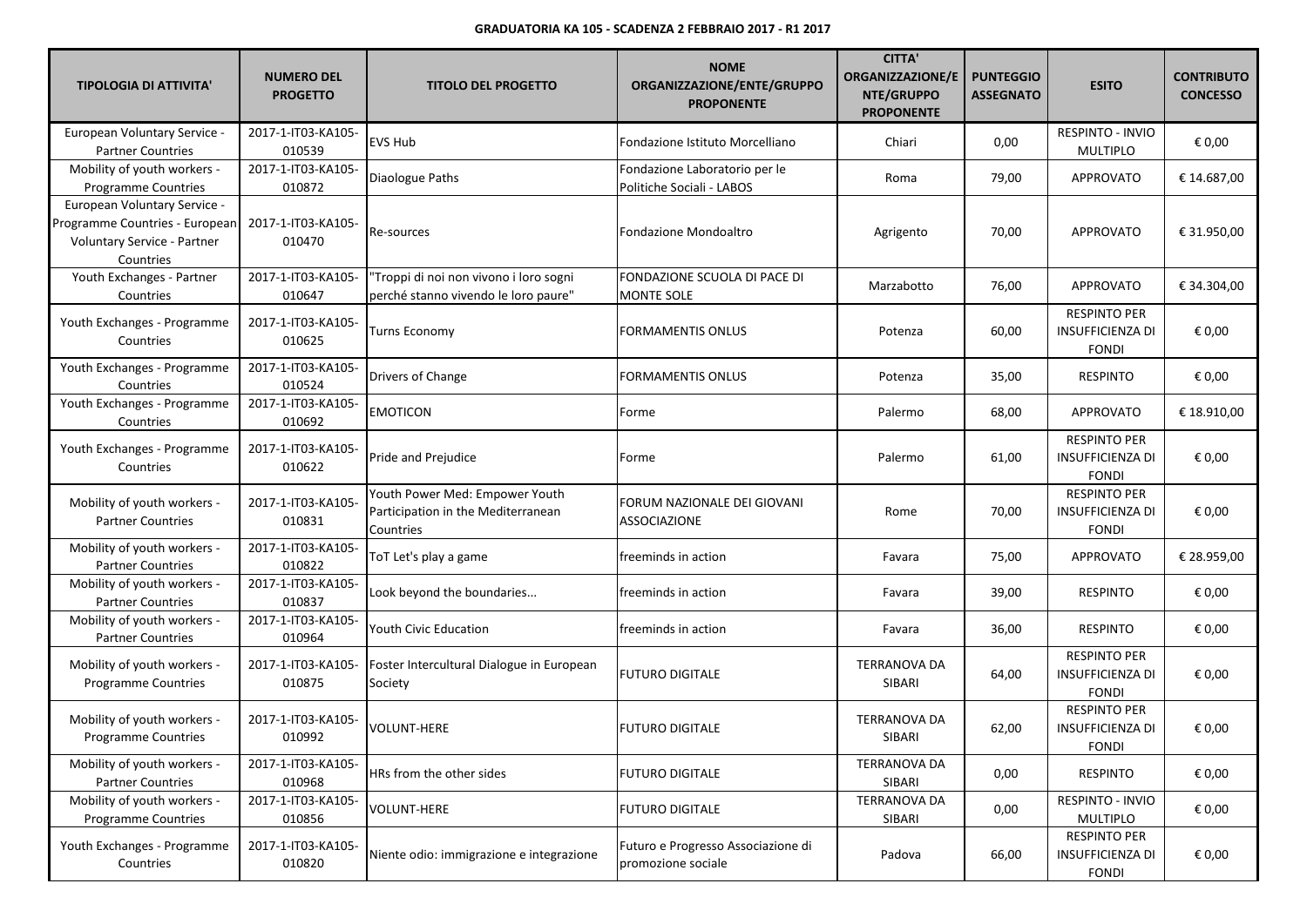| <b>TIPOLOGIA DI ATTIVITA'</b>                                                                              | <b>NUMERO DEL</b><br><b>PROGETTO</b> | <b>TITOLO DEL PROGETTO</b>                                                        | <b>NOME</b><br>ORGANIZZAZIONE/ENTE/GRUPPO<br><b>PROPONENTE</b> | <b>CITTA'</b><br><b>ORGANIZZAZIONE/E</b><br>NTE/GRUPPO<br><b>PROPONENTE</b> | <b>PUNTEGGIO</b><br><b>ASSEGNATO</b> | <b>ESITO</b>                                                   | <b>CONTRIBUTO</b><br><b>CONCESSO</b> |
|------------------------------------------------------------------------------------------------------------|--------------------------------------|-----------------------------------------------------------------------------------|----------------------------------------------------------------|-----------------------------------------------------------------------------|--------------------------------------|----------------------------------------------------------------|--------------------------------------|
| European Voluntary Service -<br><b>Partner Countries</b>                                                   | 2017-1-IT03-KA105-<br>010539         | EVS Hub                                                                           | Fondazione Istituto Morcelliano                                | Chiari                                                                      | 0,00                                 | RESPINTO - INVIO<br><b>MULTIPLO</b>                            | € 0,00                               |
| Mobility of youth workers -<br>Programme Countries                                                         | 2017-1-IT03-KA105-<br>010872         | Diaologue Paths                                                                   | Fondazione Laboratorio per le<br>Politiche Sociali - LABOS     | Roma                                                                        | 79,00                                | <b>APPROVATO</b>                                               | € 14.687,00                          |
| European Voluntary Service -<br>Programme Countries - European<br>Voluntary Service - Partner<br>Countries | 2017-1-IT03-KA105-<br>010470         | Re-sources                                                                        | Fondazione Mondoaltro                                          | Agrigento                                                                   | 70,00                                | <b>APPROVATO</b>                                               | € 31.950,00                          |
| Youth Exchanges - Partner<br>Countries                                                                     | 2017-1-IT03-KA105-<br>010647         | "Troppi di noi non vivono i loro sogni<br>perché stanno vivendo le loro paure"    | FONDAZIONE SCUOLA DI PACE DI<br><b>MONTE SOLE</b>              | Marzabotto                                                                  | 76,00                                | APPROVATO                                                      | € 34.304,00                          |
| Youth Exchanges - Programme<br>Countries                                                                   | 2017-1-IT03-KA105-<br>010625         | Turns Economy                                                                     | <b>FORMAMENTIS ONLUS</b>                                       | Potenza                                                                     | 60,00                                | <b>RESPINTO PER</b><br><b>INSUFFICIENZA DI</b><br><b>FONDI</b> | € 0,00                               |
| Youth Exchanges - Programme<br>Countries                                                                   | 2017-1-IT03-KA105-<br>010524         | Drivers of Change                                                                 | FORMAMENTIS ONLUS                                              | Potenza                                                                     | 35,00                                | <b>RESPINTO</b>                                                | € 0,00                               |
| Youth Exchanges - Programme<br>Countries                                                                   | 2017-1-IT03-KA105-<br>010692         | <b>EMOTICON</b>                                                                   | Forme                                                          | Palermo                                                                     | 68,00                                | <b>APPROVATO</b>                                               | € 18.910,00                          |
| Youth Exchanges - Programme<br>Countries                                                                   | 2017-1-IT03-KA105-<br>010622         | Pride and Prejudice                                                               | Forme                                                          | Palermo                                                                     | 61,00                                | <b>RESPINTO PER</b><br><b>INSUFFICIENZA DI</b><br><b>FONDI</b> | € 0,00                               |
| Mobility of youth workers -<br><b>Partner Countries</b>                                                    | 2017-1-IT03-KA105-<br>010831         | Youth Power Med: Empower Youth<br>Participation in the Mediterranean<br>Countries | FORUM NAZIONALE DEI GIOVANI<br>ASSOCIAZIONE                    | Rome                                                                        | 70,00                                | <b>RESPINTO PER</b><br><b>INSUFFICIENZA DI</b><br><b>FONDI</b> | € 0,00                               |
| Mobility of youth workers -<br><b>Partner Countries</b>                                                    | 2017-1-IT03-KA105-<br>010822         | ToT Let's play a game                                                             | freeminds in action                                            | Favara                                                                      | 75,00                                | APPROVATO                                                      | € 28.959,00                          |
| Mobility of youth workers -<br><b>Partner Countries</b>                                                    | 2017-1-IT03-KA105-<br>010837         | Look beyond the boundaries                                                        | freeminds in action                                            | Favara                                                                      | 39,00                                | <b>RESPINTO</b>                                                | € 0,00                               |
| Mobility of youth workers -<br><b>Partner Countries</b>                                                    | 2017-1-IT03-KA105-<br>010964         | Youth Civic Education                                                             | freeminds in action                                            | Favara                                                                      | 36,00                                | <b>RESPINTO</b>                                                | € 0,00                               |
| Mobility of youth workers -<br>Programme Countries                                                         | 2017-1-IT03-KA105-<br>010875         | Foster Intercultural Dialogue in European<br>Society                              | <b>FUTURO DIGITALE</b>                                         | <b>TERRANOVA DA</b><br>SIBARI                                               | 64,00                                | <b>RESPINTO PER</b><br><b>INSUFFICIENZA DI</b><br><b>FONDI</b> | € 0,00                               |
| Mobility of youth workers -<br><b>Programme Countries</b>                                                  | 2017-1-IT03-KA105-<br>010992         | VOLUNT-HERE                                                                       | <b>FUTURO DIGITALE</b>                                         | <b>TERRANOVA DA</b><br>SIBARI                                               | 62,00                                | <b>RESPINTO PER</b><br><b>INSUFFICIENZA DI</b><br><b>FONDI</b> | € 0,00                               |
| Mobility of youth workers -<br><b>Partner Countries</b>                                                    | 2017-1-IT03-KA105-<br>010968         | HRs from the other sides                                                          | <b>FUTURO DIGITALE</b>                                         | <b>TERRANOVA DA</b><br>SIBARI                                               | 0,00                                 | <b>RESPINTO</b>                                                | € 0,00                               |
| Mobility of youth workers -<br>Programme Countries                                                         | 2017-1-IT03-KA105-<br>010856         | VOLUNT-HERE                                                                       | <b>FUTURO DIGITALE</b>                                         | <b>TERRANOVA DA</b><br>SIBARI                                               | 0,00                                 | RESPINTO - INVIO<br><b>MULTIPLO</b>                            | € 0,00                               |
| Youth Exchanges - Programme<br>Countries                                                                   | 2017-1-IT03-KA105-<br>010820         | Niente odio: immigrazione e integrazione                                          | Futuro e Progresso Associazione di<br>promozione sociale       | Padova                                                                      | 66,00                                | <b>RESPINTO PER</b><br><b>INSUFFICIENZA DI</b><br><b>FONDI</b> | € 0,00                               |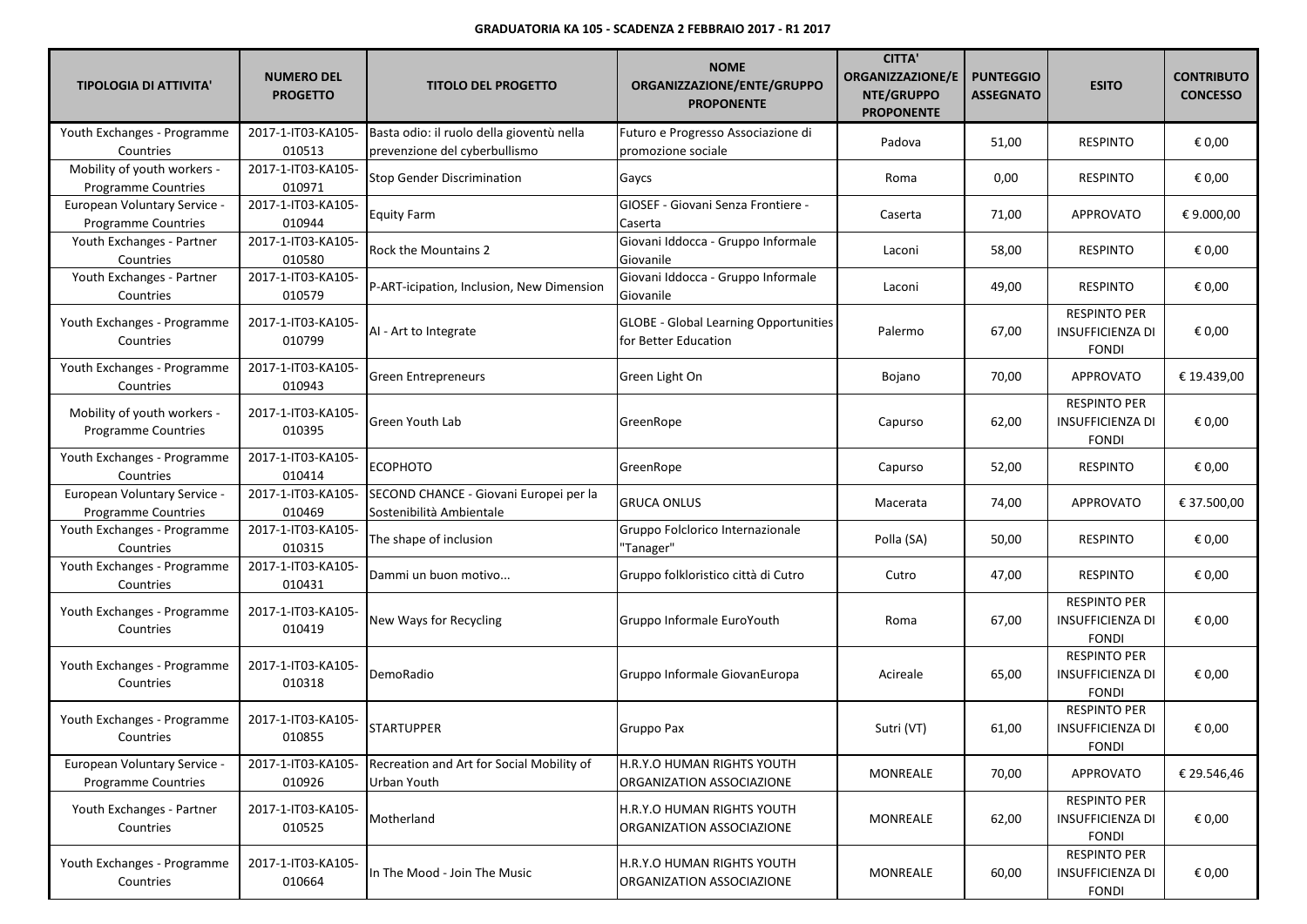| <b>TIPOLOGIA DI ATTIVITA'</b>                              | <b>NUMERO DEL</b><br><b>PROGETTO</b> | <b>TITOLO DEL PROGETTO</b>                                                 | <b>NOME</b><br>ORGANIZZAZIONE/ENTE/GRUPPO<br><b>PROPONENTE</b>       | <b>CITTA'</b><br><b>ORGANIZZAZIONE/E</b><br>NTE/GRUPPO<br><b>PROPONENTE</b> | <b>PUNTEGGIO</b><br><b>ASSEGNATO</b> | <b>ESITO</b>                                                   | <b>CONTRIBUTO</b><br><b>CONCESSO</b> |
|------------------------------------------------------------|--------------------------------------|----------------------------------------------------------------------------|----------------------------------------------------------------------|-----------------------------------------------------------------------------|--------------------------------------|----------------------------------------------------------------|--------------------------------------|
| Youth Exchanges - Programme<br>Countries                   | 2017-1-IT03-KA105-<br>010513         | Basta odio: il ruolo della gioventù nella<br>prevenzione del cyberbullismo | Futuro e Progresso Associazione di<br>promozione sociale             | Padova                                                                      | 51,00                                | <b>RESPINTO</b>                                                | € 0,00                               |
| Mobility of youth workers -<br><b>Programme Countries</b>  | 2017-1-IT03-KA105-<br>010971         | <b>Stop Gender Discrimination</b>                                          | Gaycs                                                                | Roma                                                                        | 0,00                                 | <b>RESPINTO</b>                                                | € 0,00                               |
| European Voluntary Service -<br><b>Programme Countries</b> | 2017-1-IT03-KA105-<br>010944         | <b>Equity Farm</b>                                                         | GIOSEF - Giovani Senza Frontiere -<br>Caserta                        | Caserta                                                                     | 71,00                                | <b>APPROVATO</b>                                               | € 9.000,00                           |
| Youth Exchanges - Partner<br>Countries                     | 2017-1-IT03-KA105-<br>010580         | Rock the Mountains 2                                                       | Giovani Iddocca - Gruppo Informale<br>Giovanile                      | Laconi                                                                      | 58,00                                | <b>RESPINTO</b>                                                | € 0,00                               |
| Youth Exchanges - Partner<br>Countries                     | 2017-1-IT03-KA105-<br>010579         | P-ART-icipation, Inclusion, New Dimension                                  | Giovani Iddocca - Gruppo Informale<br>Giovanile                      | Laconi                                                                      | 49,00                                | <b>RESPINTO</b>                                                | € 0,00                               |
| Youth Exchanges - Programme<br>Countries                   | 2017-1-IT03-KA105-<br>010799         | AI - Art to Integrate                                                      | <b>GLOBE - Global Learning Opportunities</b><br>for Better Education | Palermo                                                                     | 67,00                                | <b>RESPINTO PER</b><br>INSUFFICIENZA DI<br><b>FONDI</b>        | € 0,00                               |
| Youth Exchanges - Programme<br>Countries                   | 2017-1-IT03-KA105-<br>010943         | Green Entrepreneurs                                                        | Green Light On                                                       | Bojano                                                                      | 70,00                                | APPROVATO                                                      | € 19.439,00                          |
| Mobility of youth workers -<br>Programme Countries         | 2017-1-IT03-KA105-<br>010395         | Green Youth Lab                                                            | GreenRope                                                            | Capurso                                                                     | 62,00                                | <b>RESPINTO PER</b><br><b>INSUFFICIENZA DI</b><br><b>FONDI</b> | € 0,00                               |
| Youth Exchanges - Programme<br>Countries                   | 2017-1-IT03-KA105-<br>010414         | <b>ECOPHOTO</b>                                                            | GreenRope                                                            | Capurso                                                                     | 52,00                                | <b>RESPINTO</b>                                                | € 0,00                               |
| European Voluntary Service -<br><b>Programme Countries</b> | 2017-1-IT03-KA105-<br>010469         | SECOND CHANCE - Giovani Europei per la<br>Sostenibilità Ambientale         | <b>GRUCA ONLUS</b>                                                   | Macerata                                                                    | 74,00                                | APPROVATO                                                      | € 37.500,00                          |
| Youth Exchanges - Programme<br>Countries                   | 2017-1-IT03-KA105-<br>010315         | The shape of inclusion                                                     | Gruppo Folclorico Internazionale<br>"Tanager"                        | Polla (SA)                                                                  | 50,00                                | <b>RESPINTO</b>                                                | € 0,00                               |
| Youth Exchanges - Programme<br>Countries                   | 2017-1-IT03-KA105-<br>010431         | Dammi un buon motivo                                                       | Gruppo folkloristico città di Cutro                                  | Cutro                                                                       | 47,00                                | <b>RESPINTO</b>                                                | € 0,00                               |
| Youth Exchanges - Programme<br>Countries                   | 2017-1-IT03-KA105-<br>010419         | New Ways for Recycling                                                     | Gruppo Informale EuroYouth                                           | Roma                                                                        | 67,00                                | <b>RESPINTO PER</b><br>INSUFFICIENZA DI<br><b>FONDI</b>        | € 0,00                               |
| Youth Exchanges - Programme<br>Countries                   | 2017-1-IT03-KA105-<br>010318         | DemoRadio                                                                  | Gruppo Informale GiovanEuropa                                        | Acireale                                                                    | 65,00                                | <b>RESPINTO PER</b><br><b>INSUFFICIENZA DI</b><br><b>FONDI</b> | € 0,00                               |
| Youth Exchanges - Programme<br>Countries                   | 2017-1-IT03-KA105-<br>010855         | <b>STARTUPPER</b>                                                          | Gruppo Pax                                                           | Sutri (VT)                                                                  | 61,00                                | <b>RESPINTO PER</b><br><b>INSUFFICIENZA DI</b><br><b>FONDI</b> | € 0,00                               |
| European Voluntary Service -<br><b>Programme Countries</b> | 2017-1-IT03-KA105-<br>010926         | Recreation and Art for Social Mobility of<br>Urban Youth                   | H.R.Y.O HUMAN RIGHTS YOUTH<br>ORGANIZATION ASSOCIAZIONE              | MONREALE                                                                    | 70,00                                | APPROVATO                                                      | € 29.546,46                          |
| Youth Exchanges - Partner<br>Countries                     | 2017-1-IT03-KA105-<br>010525         | Motherland                                                                 | H.R.Y.O HUMAN RIGHTS YOUTH<br>ORGANIZATION ASSOCIAZIONE              | MONREALE                                                                    | 62,00                                | <b>RESPINTO PER</b><br><b>INSUFFICIENZA DI</b><br><b>FONDI</b> | € 0,00                               |
| Youth Exchanges - Programme<br>Countries                   | 2017-1-IT03-KA105-<br>010664         | In The Mood - Join The Music                                               | H.R.Y.O HUMAN RIGHTS YOUTH<br>ORGANIZATION ASSOCIAZIONE              | MONREALE                                                                    | 60,00                                | <b>RESPINTO PER</b><br><b>INSUFFICIENZA DI</b><br><b>FONDI</b> | € 0,00                               |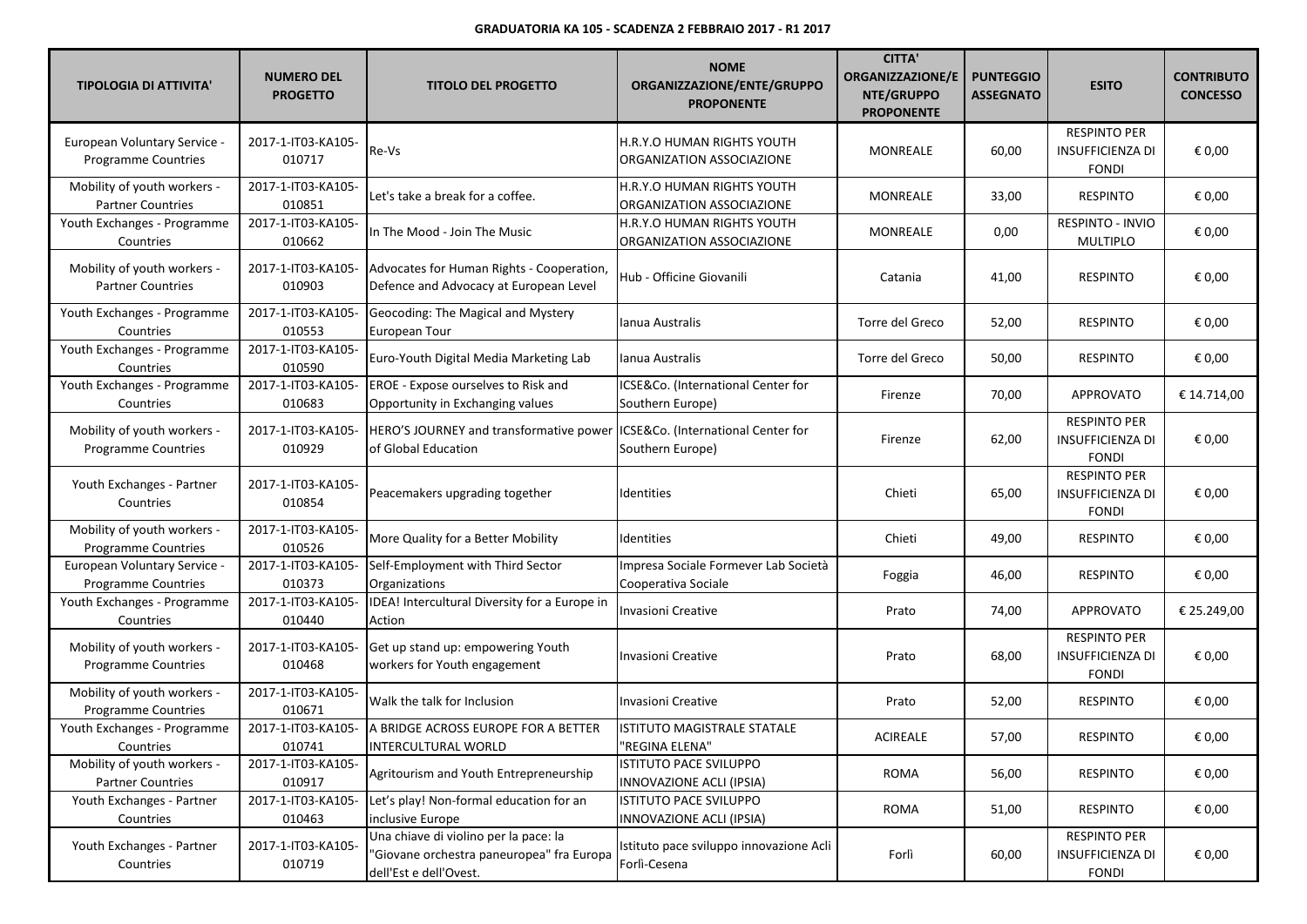| <b>TIPOLOGIA DI ATTIVITA'</b>                             | <b>NUMERO DEL</b><br><b>PROGETTO</b> | <b>TITOLO DEL PROGETTO</b>                                                                                   | <b>NOME</b><br>ORGANIZZAZIONE/ENTE/GRUPPO<br><b>PROPONENTE</b> | <b>CITTA'</b><br><b>ORGANIZZAZIONE/E</b><br>NTE/GRUPPO<br><b>PROPONENTE</b> | <b>PUNTEGGIO</b><br><b>ASSEGNATO</b> | <b>ESITO</b>                                                   | <b>CONTRIBUTO</b><br><b>CONCESSO</b> |
|-----------------------------------------------------------|--------------------------------------|--------------------------------------------------------------------------------------------------------------|----------------------------------------------------------------|-----------------------------------------------------------------------------|--------------------------------------|----------------------------------------------------------------|--------------------------------------|
| European Voluntary Service -<br>Programme Countries       | 2017-1-IT03-KA105-<br>010717         | Re-Vs                                                                                                        | H.R.Y.O HUMAN RIGHTS YOUTH<br>ORGANIZATION ASSOCIAZIONE        | <b>MONREALE</b>                                                             | 60,00                                | <b>RESPINTO PER</b><br><b>INSUFFICIENZA DI</b><br><b>FONDI</b> | € 0,00                               |
| Mobility of youth workers -<br><b>Partner Countries</b>   | 2017-1-IT03-KA105-<br>010851         | Let's take a break for a coffee.                                                                             | H.R.Y.O HUMAN RIGHTS YOUTH<br>ORGANIZATION ASSOCIAZIONE        | <b>MONREALE</b>                                                             | 33,00                                | <b>RESPINTO</b>                                                | € 0,00                               |
| Youth Exchanges - Programme<br>Countries                  | 2017-1-IT03-KA105-<br>010662         | In The Mood - Join The Music                                                                                 | H.R.Y.O HUMAN RIGHTS YOUTH<br>ORGANIZATION ASSOCIAZIONE        | MONREALE                                                                    | 0,00                                 | RESPINTO - INVIO<br><b>MULTIPLO</b>                            | € 0,00                               |
| Mobility of youth workers -<br><b>Partner Countries</b>   | 2017-1-IT03-KA105-<br>010903         | Advocates for Human Rights - Cooperation,<br>Defence and Advocacy at European Level                          | Hub - Officine Giovanili                                       | Catania                                                                     | 41,00                                | <b>RESPINTO</b>                                                | € 0,00                               |
| Youth Exchanges - Programme<br>Countries                  | 2017-1-IT03-KA105-<br>010553         | Geocoding: The Magical and Mystery<br>European Tour                                                          | Ianua Australis                                                | Torre del Greco                                                             | 52,00                                | <b>RESPINTO</b>                                                | € 0,00                               |
| Youth Exchanges - Programme<br>Countries                  | 2017-1-IT03-KA105-<br>010590         | Euro-Youth Digital Media Marketing Lab                                                                       | <b>Ianua Australis</b>                                         | Torre del Greco                                                             | 50,00                                | <b>RESPINTO</b>                                                | € 0,00                               |
| Youth Exchanges - Programme<br>Countries                  | 2017-1-IT03-KA105-<br>010683         | <b>EROE</b> - Expose ourselves to Risk and<br>Opportunity in Exchanging values                               | ICSE&Co. (International Center for<br>Southern Europe)         | Firenze                                                                     | 70,00                                | <b>APPROVATO</b>                                               | € 14.714,00                          |
| Mobility of youth workers -<br>Programme Countries        | 2017-1-IT03-KA105-<br>010929         | HERO'S JOURNEY and transformative power ICSE&Co. (International Center for<br>of Global Education            | Southern Europe)                                               | Firenze                                                                     | 62,00                                | <b>RESPINTO PER</b><br><b>INSUFFICIENZA DI</b><br><b>FONDI</b> | € 0,00                               |
| Youth Exchanges - Partner<br>Countries                    | 2017-1-IT03-KA105-<br>010854         | Peacemakers upgrading together                                                                               | Identities                                                     | Chieti                                                                      | 65,00                                | <b>RESPINTO PER</b><br><b>INSUFFICIENZA DI</b><br><b>FONDI</b> | € 0,00                               |
| Mobility of youth workers -<br><b>Programme Countries</b> | 2017-1-IT03-KA105-<br>010526         | More Quality for a Better Mobility                                                                           | Identities                                                     | Chieti                                                                      | 49,00                                | <b>RESPINTO</b>                                                | € 0,00                               |
| European Voluntary Service -<br>Programme Countries       | 2017-1-IT03-KA105-<br>010373         | Self-Employment with Third Sector<br>Organizations                                                           | Impresa Sociale Formever Lab Società<br>Cooperativa Sociale    | Foggia                                                                      | 46,00                                | <b>RESPINTO</b>                                                | € 0,00                               |
| Youth Exchanges - Programme<br>Countries                  | 2017-1-IT03-KA105-<br>010440         | IDEA! Intercultural Diversity for a Europe in<br>Action                                                      | Invasioni Creative                                             | Prato                                                                       | 74,00                                | <b>APPROVATO</b>                                               | € 25.249,00                          |
| Mobility of youth workers -<br>Programme Countries        | 2017-1-IT03-KA105-<br>010468         | Get up stand up: empowering Youth<br>workers for Youth engagement                                            | Invasioni Creative                                             | Prato                                                                       | 68,00                                | <b>RESPINTO PER</b><br><b>INSUFFICIENZA DI</b><br><b>FONDI</b> | € 0,00                               |
| Mobility of youth workers -<br>Programme Countries        | 2017-1-IT03-KA105-<br>010671         | Walk the talk for Inclusion                                                                                  | <b>Invasioni Creative</b>                                      | Prato                                                                       | 52,00                                | <b>RESPINTO</b>                                                | € 0,00                               |
| Youth Exchanges - Programme<br>Countries                  | 2017-1-IT03-KA105-<br>010741         | A BRIDGE ACROSS EUROPE FOR A BETTER<br>INTERCULTURAL WORLD                                                   | ISTITUTO MAGISTRALE STATALE<br>"REGINA ELENA"                  | <b>ACIREALE</b>                                                             | 57,00                                | <b>RESPINTO</b>                                                | € 0,00                               |
| Mobility of youth workers -<br><b>Partner Countries</b>   | 2017-1-IT03-KA105-<br>010917         | Agritourism and Youth Entrepreneurship                                                                       | ISTITUTO PACE SVILUPPO<br>INNOVAZIONE ACLI (IPSIA)             | <b>ROMA</b>                                                                 | 56,00                                | <b>RESPINTO</b>                                                | € 0,00                               |
| Youth Exchanges - Partner<br>Countries                    | 2017-1-IT03-KA105-<br>010463         | Let's play! Non-formal education for an<br>inclusive Europe                                                  | ISTITUTO PACE SVILUPPO<br>INNOVAZIONE ACLI (IPSIA)             | <b>ROMA</b>                                                                 | 51,00                                | <b>RESPINTO</b>                                                | € 0,00                               |
| Youth Exchanges - Partner<br>Countries                    | 2017-1-IT03-KA105-<br>010719         | Una chiave di violino per la pace: la<br>"Giovane orchestra paneuropea" fra Europa<br>dell'Est e dell'Ovest. | Istituto pace sviluppo innovazione Acli<br>Forlì-Cesena        | Forlì                                                                       | 60,00                                | <b>RESPINTO PER</b><br><b>INSUFFICIENZA DI</b><br><b>FONDI</b> | € 0,00                               |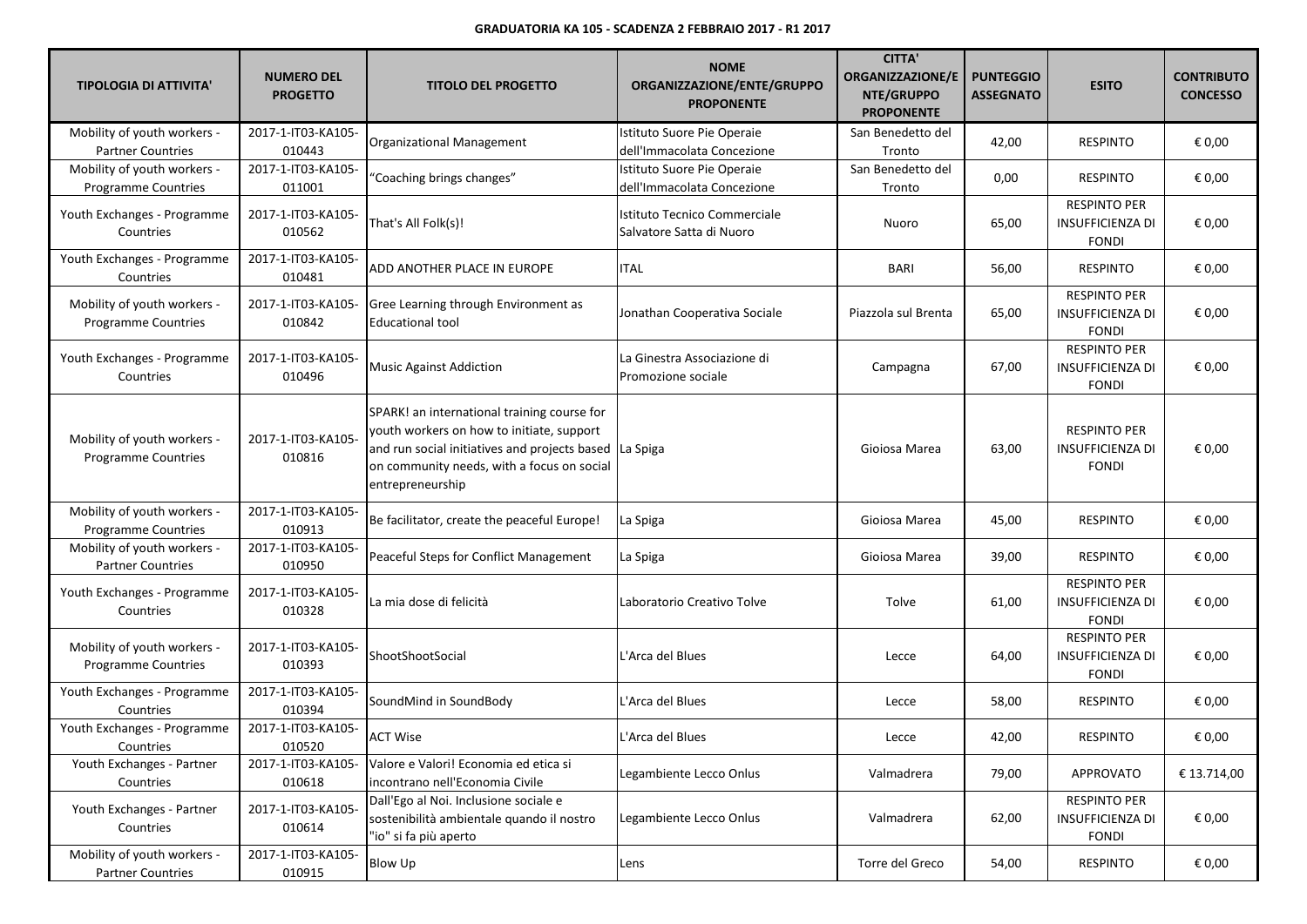| <b>TIPOLOGIA DI ATTIVITA'</b>                             | <b>NUMERO DEL</b><br><b>PROGETTO</b> | <b>TITOLO DEL PROGETTO</b>                                                                                                                                                                                  | <b>NOME</b><br>ORGANIZZAZIONE/ENTE/GRUPPO<br><b>PROPONENTE</b> | <b>CITTA'</b><br><b>ORGANIZZAZIONE/E</b><br>NTE/GRUPPO<br><b>PROPONENTE</b> | <b>PUNTEGGIO</b><br><b>ASSEGNATO</b> | <b>ESITO</b>                                                   | <b>CONTRIBUTO</b><br><b>CONCESSO</b> |
|-----------------------------------------------------------|--------------------------------------|-------------------------------------------------------------------------------------------------------------------------------------------------------------------------------------------------------------|----------------------------------------------------------------|-----------------------------------------------------------------------------|--------------------------------------|----------------------------------------------------------------|--------------------------------------|
| Mobility of youth workers -<br><b>Partner Countries</b>   | 2017-1-IT03-KA105-<br>010443         | Organizational Management                                                                                                                                                                                   | Istituto Suore Pie Operaie<br>dell'Immacolata Concezione       | San Benedetto del<br>Tronto                                                 | 42,00                                | <b>RESPINTO</b>                                                | € 0,00                               |
| Mobility of youth workers -<br><b>Programme Countries</b> | 2017-1-IT03-KA105-<br>011001         | "Coaching brings changes"                                                                                                                                                                                   | Istituto Suore Pie Operaie<br>dell'Immacolata Concezione       | San Benedetto del<br>Tronto                                                 | 0,00                                 | <b>RESPINTO</b>                                                | € 0,00                               |
| Youth Exchanges - Programme<br>Countries                  | 2017-1-IT03-KA105-<br>010562         | That's All Folk(s)!                                                                                                                                                                                         | Istituto Tecnico Commerciale<br>Salvatore Satta di Nuoro       | Nuoro                                                                       | 65,00                                | <b>RESPINTO PER</b><br><b>INSUFFICIENZA DI</b><br><b>FONDI</b> | € 0,00                               |
| Youth Exchanges - Programme<br>Countries                  | 2017-1-IT03-KA105-<br>010481         | ADD ANOTHER PLACE IN EUROPE                                                                                                                                                                                 | ITAL                                                           | <b>BARI</b>                                                                 | 56,00                                | <b>RESPINTO</b>                                                | € 0,00                               |
| Mobility of youth workers -<br>Programme Countries        | 2017-1-IT03-KA105-<br>010842         | Gree Learning through Environment as<br><b>Educational tool</b>                                                                                                                                             | Jonathan Cooperativa Sociale                                   | Piazzola sul Brenta                                                         | 65,00                                | <b>RESPINTO PER</b><br><b>INSUFFICIENZA DI</b><br><b>FONDI</b> | € 0,00                               |
| Youth Exchanges - Programme<br>Countries                  | 2017-1-IT03-KA105-<br>010496         | <b>Music Against Addiction</b>                                                                                                                                                                              | La Ginestra Associazione di<br>Promozione sociale              | Campagna                                                                    | 67,00                                | <b>RESPINTO PER</b><br><b>INSUFFICIENZA DI</b><br><b>FONDI</b> | € 0,00                               |
| Mobility of youth workers -<br><b>Programme Countries</b> | 2017-1-IT03-KA105-<br>010816         | SPARK! an international training course for<br>youth workers on how to initiate, support<br>and run social initiatives and projects based<br>on community needs, with a focus on social<br>entrepreneurship | La Spiga                                                       | Gioiosa Marea                                                               | 63,00                                | <b>RESPINTO PER</b><br><b>INSUFFICIENZA DI</b><br><b>FONDI</b> | € 0,00                               |
| Mobility of youth workers -<br>Programme Countries        | 2017-1-IT03-KA105-<br>010913         | Be facilitator, create the peaceful Europe!                                                                                                                                                                 | La Spiga                                                       | Gioiosa Marea                                                               | 45,00                                | <b>RESPINTO</b>                                                | € 0,00                               |
| Mobility of youth workers -<br><b>Partner Countries</b>   | 2017-1-IT03-KA105-<br>010950         | Peaceful Steps for Conflict Management                                                                                                                                                                      | La Spiga                                                       | Gioiosa Marea                                                               | 39,00                                | <b>RESPINTO</b>                                                | € 0,00                               |
| Youth Exchanges - Programme<br>Countries                  | 2017-1-IT03-KA105-<br>010328         | La mia dose di felicità                                                                                                                                                                                     | Laboratorio Creativo Tolve                                     | Tolve                                                                       | 61,00                                | <b>RESPINTO PER</b><br><b>INSUFFICIENZA DI</b><br><b>FONDI</b> | € 0,00                               |
| Mobility of youth workers -<br>Programme Countries        | 2017-1-IT03-KA105-<br>010393         | ShootShootSocial                                                                                                                                                                                            | L'Arca del Blues                                               | Lecce                                                                       | 64,00                                | <b>RESPINTO PER</b><br><b>INSUFFICIENZA DI</b><br><b>FONDI</b> | € 0,00                               |
| Youth Exchanges - Programme<br>Countries                  | 2017-1-IT03-KA105-<br>010394         | SoundMind in SoundBody                                                                                                                                                                                      | L'Arca del Blues                                               | Lecce                                                                       | 58,00                                | <b>RESPINTO</b>                                                | € 0,00                               |
| Youth Exchanges - Programme<br>Countries                  | 2017-1-IT03-KA105-<br>010520         | <b>ACT Wise</b>                                                                                                                                                                                             | L'Arca del Blues                                               | Lecce                                                                       | 42,00                                | <b>RESPINTO</b>                                                | € 0,00                               |
| Youth Exchanges - Partner<br>Countries                    | 2017-1-IT03-KA105-<br>010618         | Valore e Valori! Economia ed etica si<br>incontrano nell'Economia Civile                                                                                                                                    | Legambiente Lecco Onlus                                        | Valmadrera                                                                  | 79,00                                | <b>APPROVATO</b>                                               | € 13.714,00                          |
| Youth Exchanges - Partner<br>Countries                    | 2017-1-IT03-KA105-<br>010614         | Dall'Ego al Noi. Inclusione sociale e<br>sostenibilità ambientale quando il nostro<br>"io" si fa più aperto                                                                                                 | Legambiente Lecco Onlus                                        | Valmadrera                                                                  | 62,00                                | <b>RESPINTO PER</b><br><b>INSUFFICIENZA DI</b><br><b>FONDI</b> | € 0,00                               |
| Mobility of youth workers -<br><b>Partner Countries</b>   | 2017-1-IT03-KA105-<br>010915         | <b>Blow Up</b>                                                                                                                                                                                              | Lens                                                           | Torre del Greco                                                             | 54,00                                | <b>RESPINTO</b>                                                | € 0,00                               |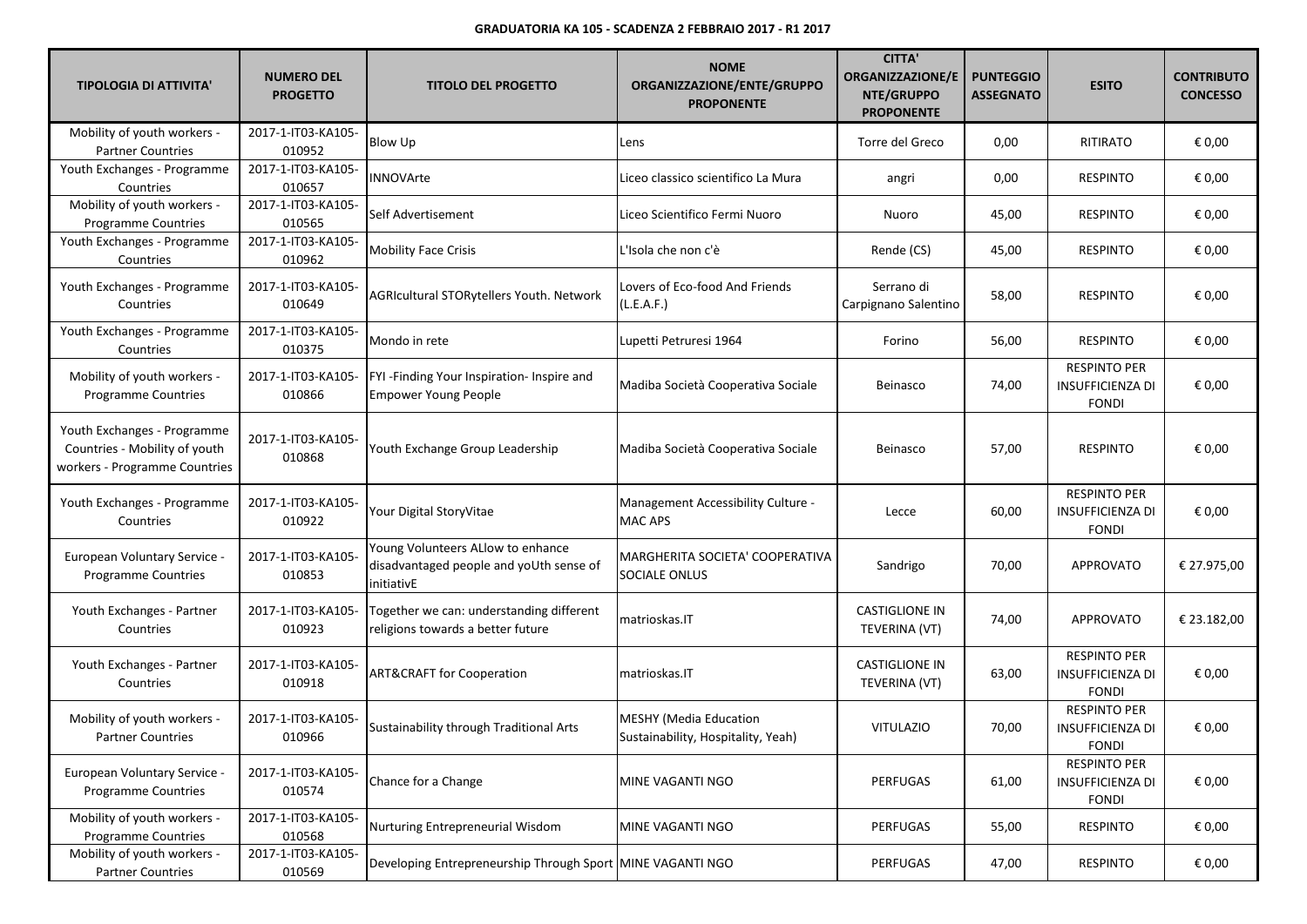| <b>TIPOLOGIA DI ATTIVITA'</b>                                                                 | <b>NUMERO DEL</b><br><b>PROGETTO</b> | <b>TITOLO DEL PROGETTO</b>                                                                 | <b>NOME</b><br>ORGANIZZAZIONE/ENTE/GRUPPO<br><b>PROPONENTE</b>      | <b>CITTA'</b><br><b>ORGANIZZAZIONE/E</b><br>NTE/GRUPPO<br><b>PROPONENTE</b> | <b>PUNTEGGIO</b><br><b>ASSEGNATO</b> | <b>ESITO</b>                                                   | <b>CONTRIBUTO</b><br><b>CONCESSO</b> |
|-----------------------------------------------------------------------------------------------|--------------------------------------|--------------------------------------------------------------------------------------------|---------------------------------------------------------------------|-----------------------------------------------------------------------------|--------------------------------------|----------------------------------------------------------------|--------------------------------------|
| Mobility of youth workers -<br><b>Partner Countries</b>                                       | 2017-1-IT03-KA105-<br>010952         | Blow Up                                                                                    | Lens                                                                | Torre del Greco                                                             | 0,00                                 | <b>RITIRATO</b>                                                | € 0,00                               |
| Youth Exchanges - Programme<br>Countries                                                      | 2017-1-IT03-KA105-<br>010657         | <b>INNOVArte</b>                                                                           | Liceo classico scientifico La Mura                                  | angri                                                                       | 0,00                                 | <b>RESPINTO</b>                                                | € 0,00                               |
| Mobility of youth workers -<br>Programme Countries                                            | 2017-1-IT03-KA105-<br>010565         | Self Advertisement                                                                         | Liceo Scientifico Fermi Nuoro                                       | Nuoro                                                                       | 45,00                                | <b>RESPINTO</b>                                                | € 0,00                               |
| Youth Exchanges - Programme<br>Countries                                                      | 2017-1-IT03-KA105-<br>010962         | <b>Mobility Face Crisis</b>                                                                | L'Isola che non c'è                                                 | Rende (CS)                                                                  | 45,00                                | <b>RESPINTO</b>                                                | € 0,00                               |
| Youth Exchanges - Programme<br>Countries                                                      | 2017-1-IT03-KA105-<br>010649         | AGRIcultural STORytellers Youth. Network                                                   | Lovers of Eco-food And Friends<br>(L.E.A.F.)                        | Serrano di<br>Carpignano Salentino                                          | 58,00                                | <b>RESPINTO</b>                                                | € 0,00                               |
| Youth Exchanges - Programme<br>Countries                                                      | 2017-1-IT03-KA105-<br>010375         | Mondo in rete                                                                              | Lupetti Petruresi 1964                                              | Forino                                                                      | 56,00                                | <b>RESPINTO</b>                                                | € 0,00                               |
| Mobility of youth workers -<br>Programme Countries                                            | 2017-1-IT03-KA105-<br>010866         | FYI - Finding Your Inspiration- Inspire and<br><b>Empower Young People</b>                 | Madiba Società Cooperativa Sociale                                  | Beinasco                                                                    | 74,00                                | <b>RESPINTO PER</b><br><b>INSUFFICIENZA DI</b><br><b>FONDI</b> | € 0,00                               |
| Youth Exchanges - Programme<br>Countries - Mobility of youth<br>workers - Programme Countries | 2017-1-IT03-KA105-<br>010868         | Youth Exchange Group Leadership                                                            | Madiba Società Cooperativa Sociale                                  | Beinasco                                                                    | 57,00                                | <b>RESPINTO</b>                                                | € 0,00                               |
| Youth Exchanges - Programme<br>Countries                                                      | 2017-1-IT03-KA105-<br>010922         | Your Digital StoryVitae                                                                    | Management Accessibility Culture -<br>MAC APS                       | Lecce                                                                       | 60,00                                | <b>RESPINTO PER</b><br><b>INSUFFICIENZA DI</b><br><b>FONDI</b> | € 0,00                               |
| European Voluntary Service -<br><b>Programme Countries</b>                                    | 2017-1-IT03-KA105-<br>010853         | Young Volunteers ALlow to enhance<br>disadvantaged people and yoUth sense of<br>initiativE | MARGHERITA SOCIETA' COOPERATIVA<br>SOCIALE ONLUS                    | Sandrigo                                                                    | 70,00                                | APPROVATO                                                      | € 27.975,00                          |
| Youth Exchanges - Partner<br>Countries                                                        | 2017-1-IT03-KA105-<br>010923         | Together we can: understanding different<br>religions towards a better future              | matrioskas.IT                                                       | <b>CASTIGLIONE IN</b><br>TEVERINA (VT)                                      | 74,00                                | <b>APPROVATO</b>                                               | € 23.182,00                          |
| Youth Exchanges - Partner<br>Countries                                                        | 2017-1-IT03-KA105-<br>010918         | <b>ART&amp;CRAFT for Cooperation</b>                                                       | matrioskas.IT                                                       | <b>CASTIGLIONE IN</b><br>TEVERINA (VT)                                      | 63,00                                | <b>RESPINTO PER</b><br><b>INSUFFICIENZA DI</b><br><b>FONDI</b> | € 0,00                               |
| Mobility of youth workers -<br><b>Partner Countries</b>                                       | 2017-1-IT03-KA105-<br>010966         | Sustainability through Traditional Arts                                                    | <b>MESHY (Media Education</b><br>Sustainability, Hospitality, Yeah) | <b>VITULAZIO</b>                                                            | 70,00                                | <b>RESPINTO PER</b><br>INSUFFICIENZA DI<br><b>FONDI</b>        | € 0,00                               |
| European Voluntary Service -<br><b>Programme Countries</b>                                    | 2017-1-IT03-KA105-<br>010574         | Chance for a Change                                                                        | MINE VAGANTI NGO                                                    | <b>PERFUGAS</b>                                                             | 61,00                                | <b>RESPINTO PER</b><br><b>INSUFFICIENZA DI</b><br><b>FONDI</b> | € 0,00                               |
| Mobility of youth workers -<br>Programme Countries                                            | 2017-1-IT03-KA105-<br>010568         | Nurturing Entrepreneurial Wisdom                                                           | MINE VAGANTI NGO                                                    | PERFUGAS                                                                    | 55,00                                | <b>RESPINTO</b>                                                | € 0,00                               |
| Mobility of youth workers -<br><b>Partner Countries</b>                                       | 2017-1-IT03-KA105-<br>010569         | Developing Entrepreneurship Through Sport MINE VAGANTI NGO                                 |                                                                     | PERFUGAS                                                                    | 47,00                                | <b>RESPINTO</b>                                                | € 0,00                               |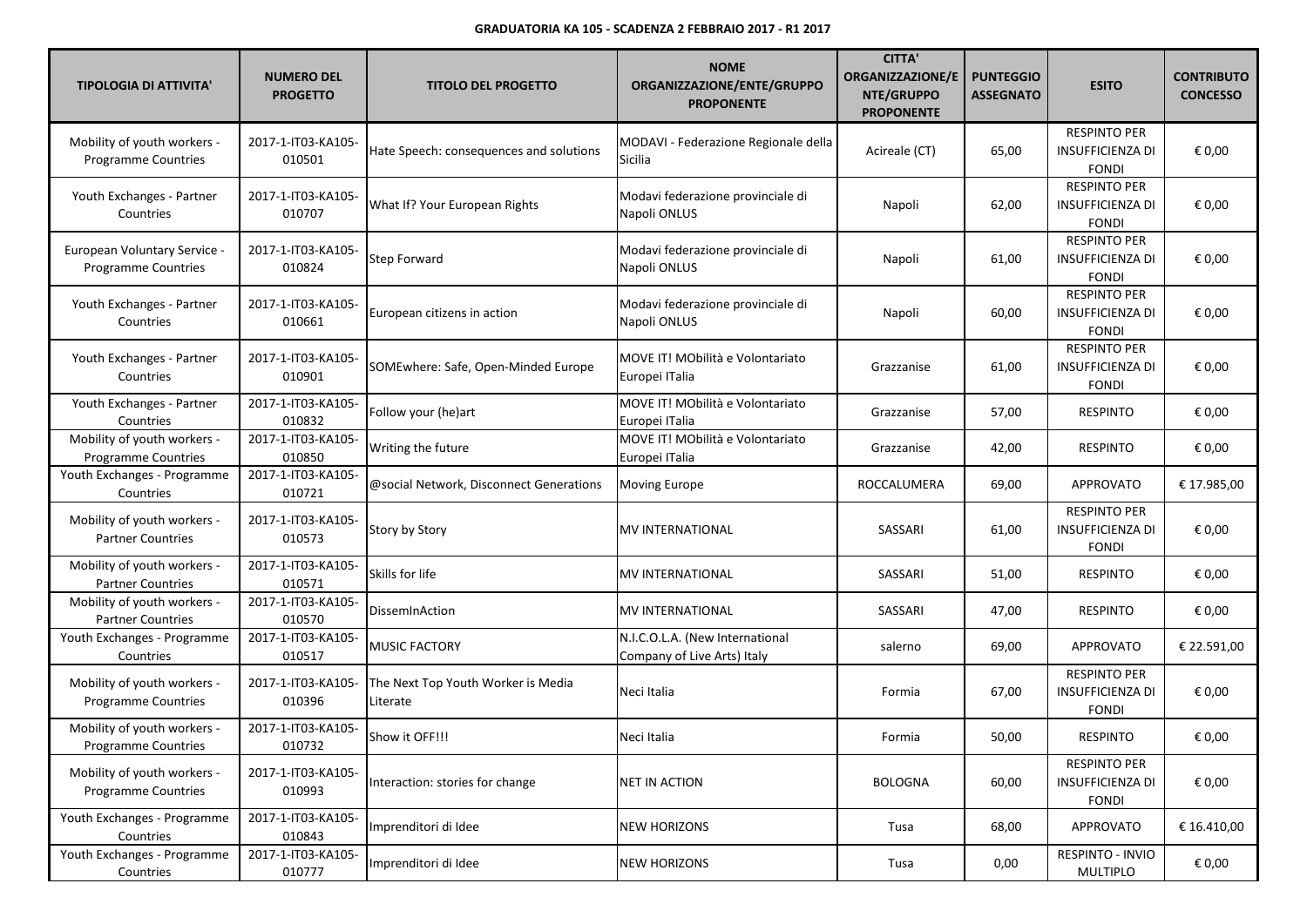| <b>TIPOLOGIA DI ATTIVITA'</b>                              | <b>NUMERO DEL</b><br><b>PROGETTO</b> | <b>TITOLO DEL PROGETTO</b>                     | <b>NOME</b><br>ORGANIZZAZIONE/ENTE/GRUPPO<br><b>PROPONENTE</b> | <b>CITTA'</b><br><b>ORGANIZZAZIONE/E</b><br>NTE/GRUPPO<br><b>PROPONENTE</b> | <b>PUNTEGGIO</b><br><b>ASSEGNATO</b> | <b>ESITO</b>                                                   | <b>CONTRIBUTO</b><br><b>CONCESSO</b> |
|------------------------------------------------------------|--------------------------------------|------------------------------------------------|----------------------------------------------------------------|-----------------------------------------------------------------------------|--------------------------------------|----------------------------------------------------------------|--------------------------------------|
| Mobility of youth workers -<br><b>Programme Countries</b>  | 2017-1-IT03-KA105-<br>010501         | Hate Speech: consequences and solutions        | MODAVI - Federazione Regionale della<br>Sicilia                | Acireale (CT)                                                               | 65,00                                | <b>RESPINTO PER</b><br><b>INSUFFICIENZA DI</b><br><b>FONDI</b> | € 0,00                               |
| Youth Exchanges - Partner<br>Countries                     | 2017-1-IT03-KA105-<br>010707         | What If? Your European Rights                  | Modavi federazione provinciale di<br>Napoli ONLUS              | Napoli                                                                      | 62,00                                | <b>RESPINTO PER</b><br><b>INSUFFICIENZA DI</b><br><b>FONDI</b> | € 0,00                               |
| European Voluntary Service -<br><b>Programme Countries</b> | 2017-1-IT03-KA105-<br>010824         | Step Forward                                   | Modavi federazione provinciale di<br>Napoli ONLUS              | Napoli                                                                      | 61,00                                | <b>RESPINTO PER</b><br><b>INSUFFICIENZA DI</b><br><b>FONDI</b> | € 0,00                               |
| Youth Exchanges - Partner<br>Countries                     | 2017-1-IT03-KA105-<br>010661         | European citizens in action                    | Modavi federazione provinciale di<br>Napoli ONLUS              | Napoli                                                                      | 60,00                                | <b>RESPINTO PER</b><br><b>INSUFFICIENZA DI</b><br><b>FONDI</b> | € 0,00                               |
| Youth Exchanges - Partner<br>Countries                     | 2017-1-IT03-KA105-<br>010901         | SOMEwhere: Safe, Open-Minded Europe            | MOVE IT! MObilità e Volontariato<br>Europei ITalia             | Grazzanise                                                                  | 61,00                                | <b>RESPINTO PER</b><br><b>INSUFFICIENZA DI</b><br><b>FONDI</b> | € 0,00                               |
| Youth Exchanges - Partner<br>Countries                     | 2017-1-IT03-KA105-<br>010832         | Follow your (he)art                            | MOVE IT! MObilità e Volontariato<br>Europei ITalia             | Grazzanise                                                                  | 57,00                                | <b>RESPINTO</b>                                                | € 0,00                               |
| Mobility of youth workers -<br>Programme Countries         | 2017-1-IT03-KA105-<br>010850         | Writing the future                             | MOVE IT! MObilità e Volontariato<br>Europei ITalia             | Grazzanise                                                                  | 42,00                                | <b>RESPINTO</b>                                                | € 0,00                               |
| Youth Exchanges - Programme<br>Countries                   | 2017-1-IT03-KA105-<br>010721         | @social Network, Disconnect Generations        | <b>Moving Europe</b>                                           | ROCCALUMERA                                                                 | 69,00                                | <b>APPROVATO</b>                                               | € 17.985,00                          |
| Mobility of youth workers -<br><b>Partner Countries</b>    | 2017-1-IT03-KA105-<br>010573         | Story by Story                                 | MV INTERNATIONAL                                               | SASSARI                                                                     | 61,00                                | <b>RESPINTO PER</b><br><b>INSUFFICIENZA DI</b><br><b>FONDI</b> | € 0,00                               |
| Mobility of youth workers -<br><b>Partner Countries</b>    | 2017-1-IT03-KA105-<br>010571         | Skills for life                                | MV INTERNATIONAL                                               | SASSARI                                                                     | 51,00                                | <b>RESPINTO</b>                                                | € 0,00                               |
| Mobility of youth workers -<br><b>Partner Countries</b>    | 2017-1-IT03-KA105-<br>010570         | DissemInAction                                 | MV INTERNATIONAL                                               | SASSARI                                                                     | 47,00                                | <b>RESPINTO</b>                                                | € 0,00                               |
| Youth Exchanges - Programme<br>Countries                   | 2017-1-IT03-KA105-<br>010517         | <b>MUSIC FACTORY</b>                           | N.I.C.O.L.A. (New International<br>Company of Live Arts) Italy | salerno                                                                     | 69,00                                | <b>APPROVATO</b>                                               | € 22.591,00                          |
| Mobility of youth workers -<br>Programme Countries         | 2017-1-IT03-KA105-<br>010396         | The Next Top Youth Worker is Media<br>Literate | Neci Italia                                                    | Formia                                                                      | 67,00                                | <b>RESPINTO PER</b><br>INSUFFICIENZA DI<br><b>FONDI</b>        | € 0,00                               |
| Mobility of youth workers -<br>Programme Countries         | 2017-1-IT03-KA105-<br>010732         | Show it OFF!!!                                 | Neci Italia                                                    | Formia                                                                      | 50,00                                | <b>RESPINTO</b>                                                | € 0,00                               |
| Mobility of youth workers -<br><b>Programme Countries</b>  | 2017-1-IT03-KA105-<br>010993         | Interaction: stories for change                | <b>NET IN ACTION</b>                                           | <b>BOLOGNA</b>                                                              | 60,00                                | <b>RESPINTO PER</b><br>INSUFFICIENZA DI<br><b>FONDI</b>        | € 0,00                               |
| Youth Exchanges - Programme<br>Countries                   | 2017-1-IT03-KA105-<br>010843         | Imprenditori di Idee                           | <b>NEW HORIZONS</b>                                            | Tusa                                                                        | 68,00                                | <b>APPROVATO</b>                                               | € 16.410,00                          |
| Youth Exchanges - Programme<br>Countries                   | 2017-1-IT03-KA105-<br>010777         | Imprenditori di Idee                           | <b>NEW HORIZONS</b>                                            | Tusa                                                                        | 0,00                                 | RESPINTO - INVIO<br>MULTIPLO                                   | € 0,00                               |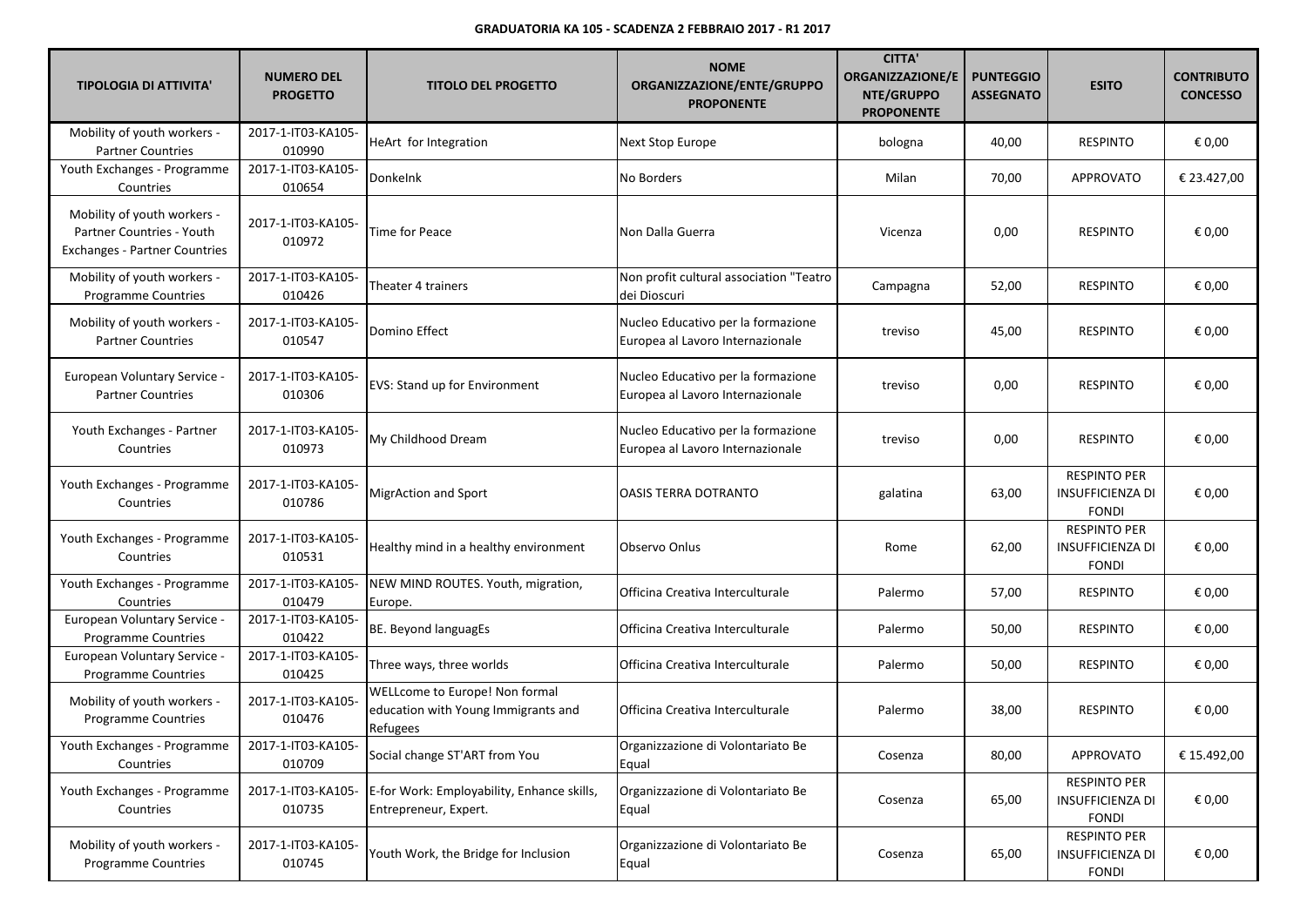| <b>TIPOLOGIA DI ATTIVITA'</b>                                                                    | <b>NUMERO DEL</b><br><b>PROGETTO</b> | <b>TITOLO DEL PROGETTO</b>                                                        | <b>NOME</b><br>ORGANIZZAZIONE/ENTE/GRUPPO<br><b>PROPONENTE</b>         | <b>CITTA'</b><br><b>ORGANIZZAZIONE/E</b><br>NTE/GRUPPO<br><b>PROPONENTE</b> | <b>PUNTEGGIO</b><br><b>ASSEGNATO</b> | <b>ESITO</b>                                                   | <b>CONTRIBUTO</b><br><b>CONCESSO</b> |
|--------------------------------------------------------------------------------------------------|--------------------------------------|-----------------------------------------------------------------------------------|------------------------------------------------------------------------|-----------------------------------------------------------------------------|--------------------------------------|----------------------------------------------------------------|--------------------------------------|
| Mobility of youth workers -<br><b>Partner Countries</b>                                          | 2017-1-IT03-KA105-<br>010990         | HeArt for Integration                                                             | Next Stop Europe                                                       | bologna                                                                     | 40,00                                | <b>RESPINTO</b>                                                | € 0,00                               |
| Youth Exchanges - Programme<br>Countries                                                         | 2017-1-IT03-KA105-<br>010654         | Donkelnk                                                                          | No Borders                                                             | Milan                                                                       | 70,00                                | APPROVATO                                                      | € 23.427,00                          |
| Mobility of youth workers -<br>Partner Countries - Youth<br><b>Exchanges - Partner Countries</b> | 2017-1-IT03-KA105-<br>010972         | Time for Peace                                                                    | Non Dalla Guerra                                                       | Vicenza                                                                     | 0,00                                 | <b>RESPINTO</b>                                                | € 0,00                               |
| Mobility of youth workers -<br><b>Programme Countries</b>                                        | 2017-1-IT03-KA105-<br>010426         | Theater 4 trainers                                                                | Non profit cultural association "Teatro<br>dei Dioscuri                | Campagna                                                                    | 52,00                                | <b>RESPINTO</b>                                                | € 0,00                               |
| Mobility of youth workers -<br><b>Partner Countries</b>                                          | 2017-1-IT03-KA105-<br>010547         | Domino Effect                                                                     | Nucleo Educativo per la formazione<br>Europea al Lavoro Internazionale | treviso                                                                     | 45,00                                | <b>RESPINTO</b>                                                | € 0,00                               |
| <b>European Voluntary Service -</b><br><b>Partner Countries</b>                                  | 2017-1-IT03-KA105-<br>010306         | <b>EVS: Stand up for Environment</b>                                              | Nucleo Educativo per la formazione<br>Europea al Lavoro Internazionale | treviso                                                                     | 0,00                                 | <b>RESPINTO</b>                                                | € 0,00                               |
| Youth Exchanges - Partner<br>Countries                                                           | 2017-1-IT03-KA105-<br>010973         | My Childhood Dream                                                                | Nucleo Educativo per la formazione<br>Europea al Lavoro Internazionale | treviso                                                                     | 0,00                                 | <b>RESPINTO</b>                                                | € 0,00                               |
| Youth Exchanges - Programme<br>Countries                                                         | 2017-1-IT03-KA105-<br>010786         | <b>MigrAction and Sport</b>                                                       | <b>OASIS TERRA DOTRANTO</b>                                            | galatina                                                                    | 63,00                                | <b>RESPINTO PER</b><br><b>INSUFFICIENZA DI</b><br><b>FONDI</b> | € 0,00                               |
| Youth Exchanges - Programme<br>Countries                                                         | 2017-1-IT03-KA105-<br>010531         | Healthy mind in a healthy environment                                             | Observo Onlus                                                          | Rome                                                                        | 62,00                                | <b>RESPINTO PER</b><br><b>INSUFFICIENZA DI</b><br><b>FONDI</b> | € 0,00                               |
| Youth Exchanges - Programme<br>Countries                                                         | 2017-1-IT03-KA105-<br>010479         | NEW MIND ROUTES. Youth, migration,<br>Europe.                                     | Officina Creativa Interculturale                                       | Palermo                                                                     | 57,00                                | <b>RESPINTO</b>                                                | € 0,00                               |
| European Voluntary Service -<br><b>Programme Countries</b>                                       | 2017-1-IT03-KA105-<br>010422         | BE. Beyond languagEs                                                              | Officina Creativa Interculturale                                       | Palermo                                                                     | 50,00                                | <b>RESPINTO</b>                                                | € 0,00                               |
| European Voluntary Service -<br>Programme Countries                                              | 2017-1-IT03-KA105-<br>010425         | Three ways, three worlds                                                          | Officina Creativa Interculturale                                       | Palermo                                                                     | 50,00                                | <b>RESPINTO</b>                                                | € 0,00                               |
| Mobility of youth workers -<br>Programme Countries                                               | 2017-1-IT03-KA105-<br>010476         | WELLcome to Europe! Non formal<br>education with Young Immigrants and<br>Refugees | Officina Creativa Interculturale                                       | Palermo                                                                     | 38,00                                | <b>RESPINTO</b>                                                | € 0,00                               |
| Youth Exchanges - Programme<br>Countries                                                         | 2017-1-IT03-KA105-<br>010709         | Social change ST'ART from You                                                     | Organizzazione di Volontariato Be<br>Equal                             | Cosenza                                                                     | 80,00                                | <b>APPROVATO</b>                                               | € 15.492,00                          |
| Youth Exchanges - Programme<br>Countries                                                         | 2017-1-IT03-KA105-<br>010735         | E-for Work: Employability, Enhance skills,<br>Entrepreneur, Expert.               | Organizzazione di Volontariato Be<br>Equal                             | Cosenza                                                                     | 65,00                                | <b>RESPINTO PER</b><br><b>INSUFFICIENZA DI</b><br><b>FONDI</b> | € 0,00                               |
| Mobility of youth workers -<br><b>Programme Countries</b>                                        | 2017-1-IT03-KA105-<br>010745         | Youth Work, the Bridge for Inclusion                                              | Organizzazione di Volontariato Be<br>Equal                             | Cosenza                                                                     | 65,00                                | <b>RESPINTO PER</b><br><b>INSUFFICIENZA DI</b><br><b>FONDI</b> | € 0,00                               |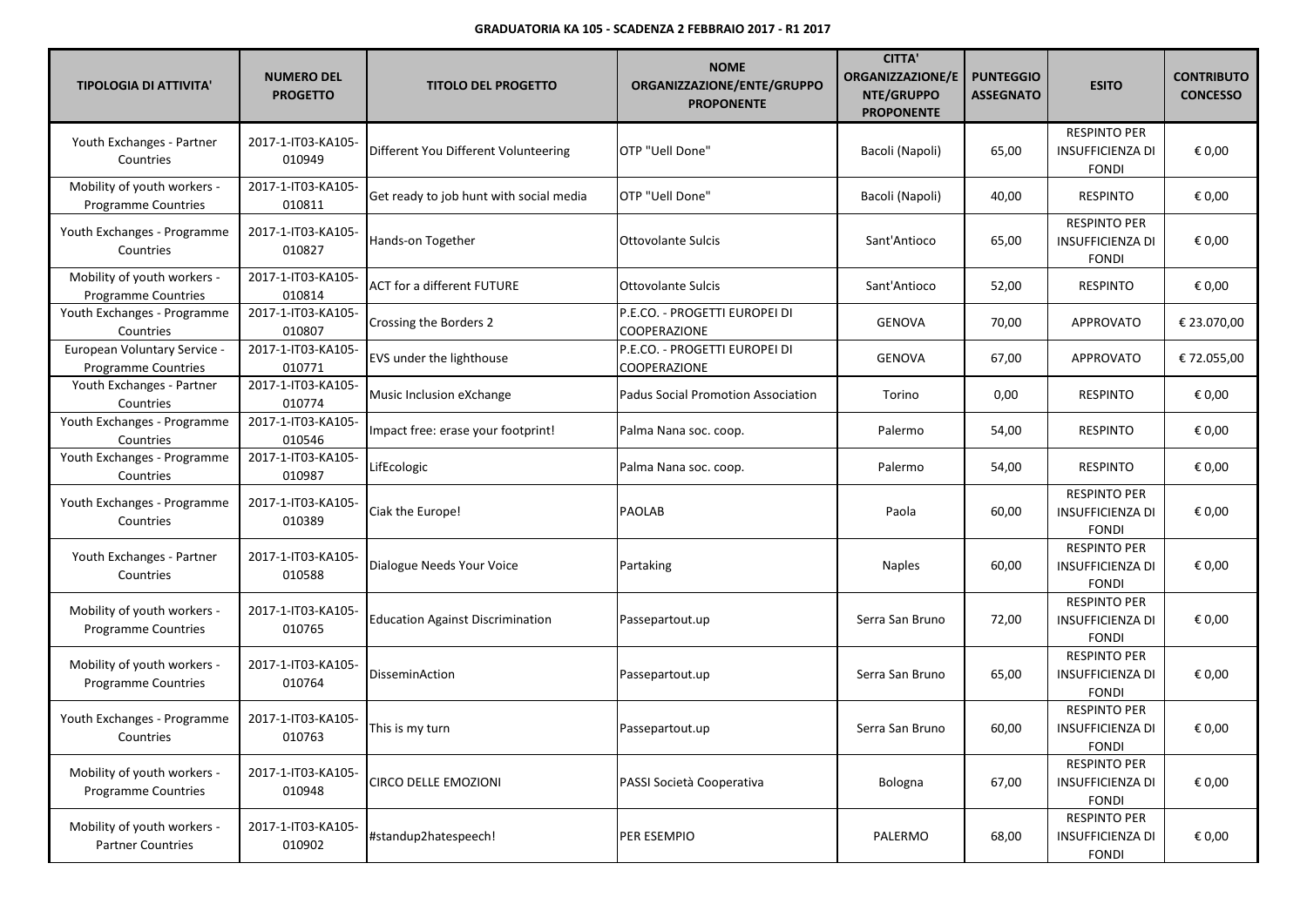| <b>TIPOLOGIA DI ATTIVITA'</b>                              | <b>NUMERO DEL</b><br><b>PROGETTO</b> | <b>TITOLO DEL PROGETTO</b>              | <b>NOME</b><br>ORGANIZZAZIONE/ENTE/GRUPPO<br><b>PROPONENTE</b> | <b>CITTA'</b><br><b>ORGANIZZAZIONE/E</b><br>NTE/GRUPPO<br><b>PROPONENTE</b> | <b>PUNTEGGIO</b><br><b>ASSEGNATO</b> | <b>ESITO</b>                                                   | <b>CONTRIBUTO</b><br><b>CONCESSO</b> |
|------------------------------------------------------------|--------------------------------------|-----------------------------------------|----------------------------------------------------------------|-----------------------------------------------------------------------------|--------------------------------------|----------------------------------------------------------------|--------------------------------------|
| Youth Exchanges - Partner<br>Countries                     | 2017-1-IT03-KA105-<br>010949         | Different You Different Volunteering    | OTP "Uell Done"                                                | Bacoli (Napoli)                                                             | 65,00                                | <b>RESPINTO PER</b><br>INSUFFICIENZA DI<br><b>FONDI</b>        | € 0,00                               |
| Mobility of youth workers -<br>Programme Countries         | 2017-1-IT03-KA105-<br>010811         | Get ready to job hunt with social media | OTP "Uell Done"                                                | Bacoli (Napoli)                                                             | 40,00                                | <b>RESPINTO</b>                                                | € 0,00                               |
| Youth Exchanges - Programme<br>Countries                   | 2017-1-IT03-KA105-<br>010827         | Hands-on Together                       | <b>Ottovolante Sulcis</b>                                      | Sant'Antioco                                                                | 65,00                                | <b>RESPINTO PER</b><br><b>INSUFFICIENZA DI</b><br><b>FONDI</b> | € 0,00                               |
| Mobility of youth workers -<br>Programme Countries         | 2017-1-IT03-KA105-<br>010814         | <b>ACT for a different FUTURE</b>       | <b>Ottovolante Sulcis</b>                                      | Sant'Antioco                                                                | 52,00                                | <b>RESPINTO</b>                                                | € 0,00                               |
| Youth Exchanges - Programme<br>Countries                   | 2017-1-IT03-KA105-<br>010807         | Crossing the Borders 2                  | P.E.CO. - PROGETTI EUROPEI DI<br><b>COOPERAZIONE</b>           | GENOVA                                                                      | 70,00                                | APPROVATO                                                      | € 23.070,00                          |
| European Voluntary Service -<br><b>Programme Countries</b> | 2017-1-IT03-KA105-<br>010771         | <b>EVS</b> under the lighthouse         | P.E.CO. - PROGETTI EUROPEI DI<br>COOPERAZIONE                  | <b>GENOVA</b>                                                               | 67,00                                | <b>APPROVATO</b>                                               | € 72.055,00                          |
| Youth Exchanges - Partner<br>Countries                     | 2017-1-IT03-KA105-<br>010774         | Music Inclusion eXchange                | <b>Padus Social Promotion Association</b>                      | Torino                                                                      | 0,00                                 | <b>RESPINTO</b>                                                | € 0,00                               |
| Youth Exchanges - Programme<br>Countries                   | 2017-1-IT03-KA105-<br>010546         | Impact free: erase your footprint!      | Palma Nana soc. coop.                                          | Palermo                                                                     | 54,00                                | <b>RESPINTO</b>                                                | € 0,00                               |
| Youth Exchanges - Programme<br>Countries                   | 2017-1-IT03-KA105-<br>010987         | LifEcologic                             | Palma Nana soc. coop.                                          | Palermo                                                                     | 54,00                                | <b>RESPINTO</b>                                                | € 0,00                               |
| Youth Exchanges - Programme<br>Countries                   | 2017-1-IT03-KA105-<br>010389         | Ciak the Europe!                        | PAOLAB                                                         | Paola                                                                       | 60,00                                | <b>RESPINTO PER</b><br><b>INSUFFICIENZA DI</b><br><b>FONDI</b> | € 0,00                               |
| Youth Exchanges - Partner<br>Countries                     | 2017-1-IT03-KA105-<br>010588         | Dialogue Needs Your Voice               | Partaking                                                      | <b>Naples</b>                                                               | 60,00                                | <b>RESPINTO PER</b><br><b>INSUFFICIENZA DI</b><br><b>FONDI</b> | € 0,00                               |
| Mobility of youth workers -<br>Programme Countries         | 2017-1-IT03-KA105-<br>010765         | <b>Education Against Discrimination</b> | Passepartout.up                                                | Serra San Bruno                                                             | 72,00                                | <b>RESPINTO PER</b><br><b>INSUFFICIENZA DI</b><br><b>FONDI</b> | € 0,00                               |
| Mobility of youth workers -<br><b>Programme Countries</b>  | 2017-1-IT03-KA105-<br>010764         | <b>DisseminAction</b>                   | Passepartout.up                                                | Serra San Bruno                                                             | 65,00                                | <b>RESPINTO PER</b><br><b>INSUFFICIENZA DI</b><br><b>FONDI</b> | € 0,00                               |
| Youth Exchanges - Programme<br>Countries                   | 2017-1-IT03-KA105-<br>010763         | This is my turn                         | Passepartout.up                                                | Serra San Bruno                                                             | 60,00                                | <b>RESPINTO PER</b><br>INSUFFICIENZA DI<br><b>FONDI</b>        | € 0,00                               |
| Mobility of youth workers -<br>Programme Countries         | 2017-1-IT03-KA105-<br>010948         | <b>CIRCO DELLE EMOZIONI</b>             | PASSI Società Cooperativa                                      | Bologna                                                                     | 67,00                                | <b>RESPINTO PER</b><br>INSUFFICIENZA DI<br><b>FONDI</b>        | € 0,00                               |
| Mobility of youth workers -<br><b>Partner Countries</b>    | 2017-1-IT03-KA105-<br>010902         | #standup2hatespeech!                    | PER ESEMPIO                                                    | PALERMO                                                                     | 68,00                                | <b>RESPINTO PER</b><br>INSUFFICIENZA DI<br><b>FONDI</b>        | € 0,00                               |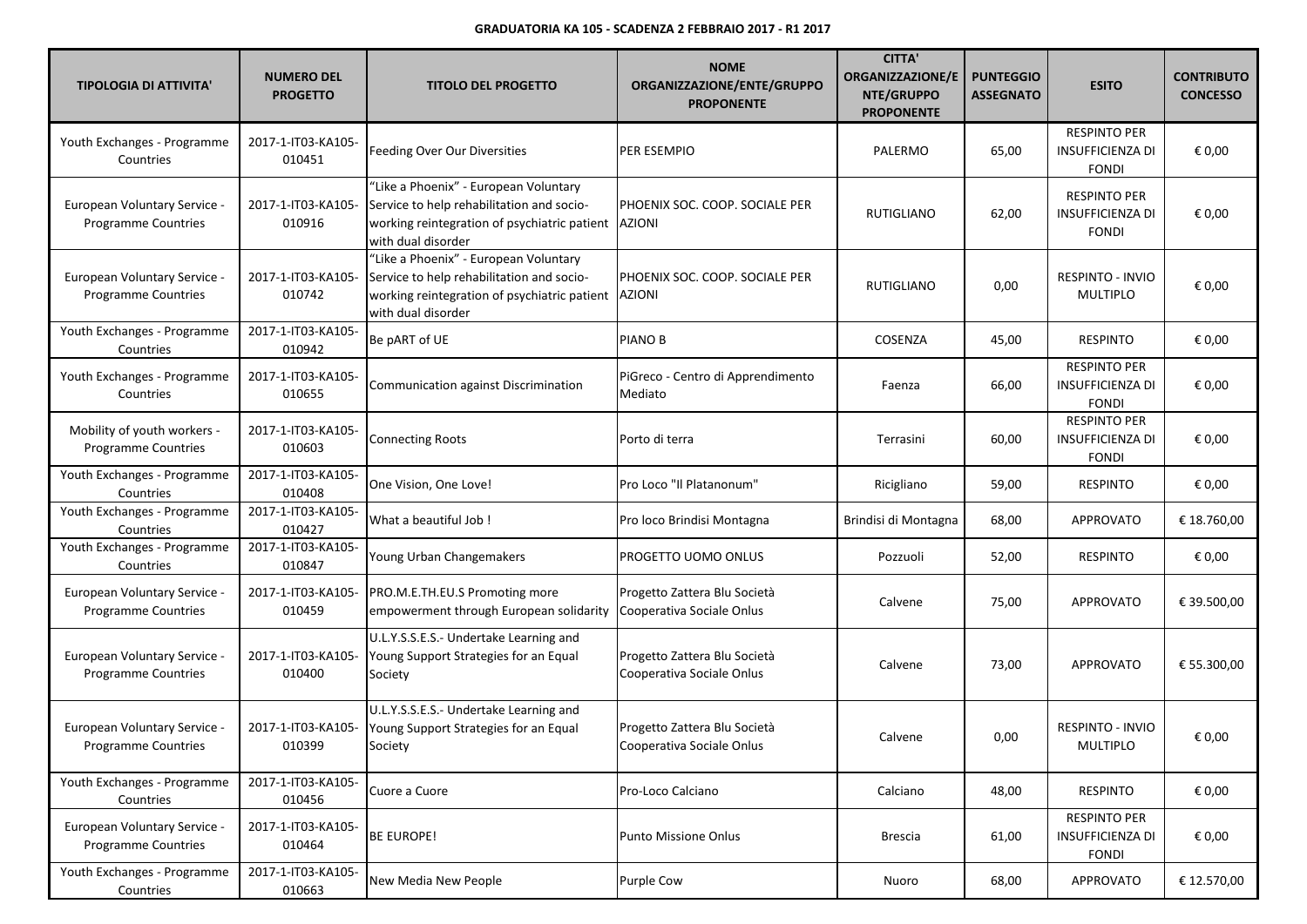| <b>TIPOLOGIA DI ATTIVITA'</b>                                     | <b>NUMERO DEL</b><br><b>PROGETTO</b> | <b>TITOLO DEL PROGETTO</b>                                                                                                                                        | <b>NOME</b><br>ORGANIZZAZIONE/ENTE/GRUPPO<br><b>PROPONENTE</b> | <b>CITTA'</b><br><b>ORGANIZZAZIONE/E</b><br>NTE/GRUPPO<br><b>PROPONENTE</b> | <b>PUNTEGGIO</b><br><b>ASSEGNATO</b> | <b>ESITO</b>                                                   | <b>CONTRIBUTO</b><br><b>CONCESSO</b> |
|-------------------------------------------------------------------|--------------------------------------|-------------------------------------------------------------------------------------------------------------------------------------------------------------------|----------------------------------------------------------------|-----------------------------------------------------------------------------|--------------------------------------|----------------------------------------------------------------|--------------------------------------|
| Youth Exchanges - Programme<br>Countries                          | 2017-1-IT03-KA105-<br>010451         | Feeding Over Our Diversities                                                                                                                                      | PER ESEMPIO                                                    | PALERMO                                                                     | 65,00                                | <b>RESPINTO PER</b><br><b>INSUFFICIENZA DI</b><br><b>FONDI</b> | € 0,00                               |
| European Voluntary Service -<br><b>Programme Countries</b>        | 2017-1-IT03-KA105-<br>010916         | "Like a Phoenix" - European Voluntary<br>Service to help rehabilitation and socio-<br>working reintegration of psychiatric patient   AZIONI<br>with dual disorder | PHOENIX SOC. COOP. SOCIALE PER                                 | <b>RUTIGLIANO</b>                                                           | 62,00                                | <b>RESPINTO PER</b><br><b>INSUFFICIENZA DI</b><br><b>FONDI</b> | € 0,00                               |
| European Voluntary Service -<br><b>Programme Countries</b>        | 2017-1-IT03-KA105-<br>010742         | "Like a Phoenix" - European Voluntary<br>Service to help rehabilitation and socio-<br>working reintegration of psychiatric patient   AZIONI<br>with dual disorder | PHOENIX SOC. COOP. SOCIALE PER                                 | RUTIGLIANO                                                                  | 0,00                                 | <b>RESPINTO - INVIO</b><br><b>MULTIPLO</b>                     | € 0,00                               |
| Youth Exchanges - Programme<br>Countries                          | 2017-1-IT03-KA105-<br>010942         | Be pART of UE                                                                                                                                                     | PIANO B                                                        | COSENZA                                                                     | 45,00                                | <b>RESPINTO</b>                                                | € 0,00                               |
| Youth Exchanges - Programme<br>Countries                          | 2017-1-IT03-KA105-<br>010655         | Communication against Discrimination                                                                                                                              | PiGreco - Centro di Apprendimento<br>Mediato                   | Faenza                                                                      | 66,00                                | <b>RESPINTO PER</b><br><b>INSUFFICIENZA DI</b><br><b>FONDI</b> | € 0,00                               |
| Mobility of youth workers -<br>Programme Countries                | 2017-1-IT03-KA105-<br>010603         | <b>Connecting Roots</b>                                                                                                                                           | Porto di terra                                                 | Terrasini                                                                   | 60,00                                | <b>RESPINTO PER</b><br><b>INSUFFICIENZA DI</b><br><b>FONDI</b> | € 0,00                               |
| Youth Exchanges - Programme<br>Countries                          | 2017-1-IT03-KA105-<br>010408         | One Vision, One Love!                                                                                                                                             | Pro Loco "Il Platanonum"                                       | Ricigliano                                                                  | 59,00                                | RESPINTO                                                       | € 0,00                               |
| Youth Exchanges - Programme<br>Countries                          | 2017-1-IT03-KA105-<br>010427         | What a beautiful Job!                                                                                                                                             | Pro loco Brindisi Montagna                                     | Brindisi di Montagna                                                        | 68,00                                | APPROVATO                                                      | € 18.760,00                          |
| Youth Exchanges - Programme<br>Countries                          | 2017-1-IT03-KA105-<br>010847         | Young Urban Changemakers                                                                                                                                          | PROGETTO UOMO ONLUS                                            | Pozzuoli                                                                    | 52,00                                | <b>RESPINTO</b>                                                | € 0,00                               |
| <b>European Voluntary Service -</b><br><b>Programme Countries</b> | 2017-1-IT03-KA105-<br>010459         | PRO.M.E.TH.EU.S Promoting more<br>empowerment through European solidarity                                                                                         | Progetto Zattera Blu Società<br>Cooperativa Sociale Onlus      | Calvene                                                                     | 75,00                                | APPROVATO                                                      | € 39.500,00                          |
| <b>European Voluntary Service -</b><br>Programme Countries        | 2017-1-IT03-KA105-<br>010400         | U.L.Y.S.S.E.S.- Undertake Learning and<br>Young Support Strategies for an Equal<br>Society                                                                        | Progetto Zattera Blu Società<br>Cooperativa Sociale Onlus      | Calvene                                                                     | 73,00                                | <b>APPROVATO</b>                                               | € 55.300,00                          |
| European Voluntary Service -<br>Programme Countries               | 2017-1-IT03-KA105-<br>010399         | U.L.Y.S.S.E.S.- Undertake Learning and<br>Young Support Strategies for an Equal<br>Society                                                                        | Progetto Zattera Blu Società<br>Cooperativa Sociale Onlus      | Calvene                                                                     | 0,00                                 | RESPINTO - INVIO<br>MULTIPLO                                   | € 0,00                               |
| Youth Exchanges - Programme<br>Countries                          | 2017-1-IT03-KA105-<br>010456         | Cuore a Cuore                                                                                                                                                     | Pro-Loco Calciano                                              | Calciano                                                                    | 48,00                                | <b>RESPINTO</b>                                                | € 0,00                               |
| European Voluntary Service -<br><b>Programme Countries</b>        | 2017-1-IT03-KA105-<br>010464         | <b>BE EUROPE!</b>                                                                                                                                                 | <b>Punto Missione Onlus</b>                                    | <b>Brescia</b>                                                              | 61,00                                | <b>RESPINTO PER</b><br>INSUFFICIENZA DI<br><b>FONDI</b>        | € 0,00                               |
| Youth Exchanges - Programme<br>Countries                          | 2017-1-IT03-KA105-<br>010663         | New Media New People                                                                                                                                              | <b>Purple Cow</b>                                              | Nuoro                                                                       | 68,00                                | <b>APPROVATO</b>                                               | € 12.570,00                          |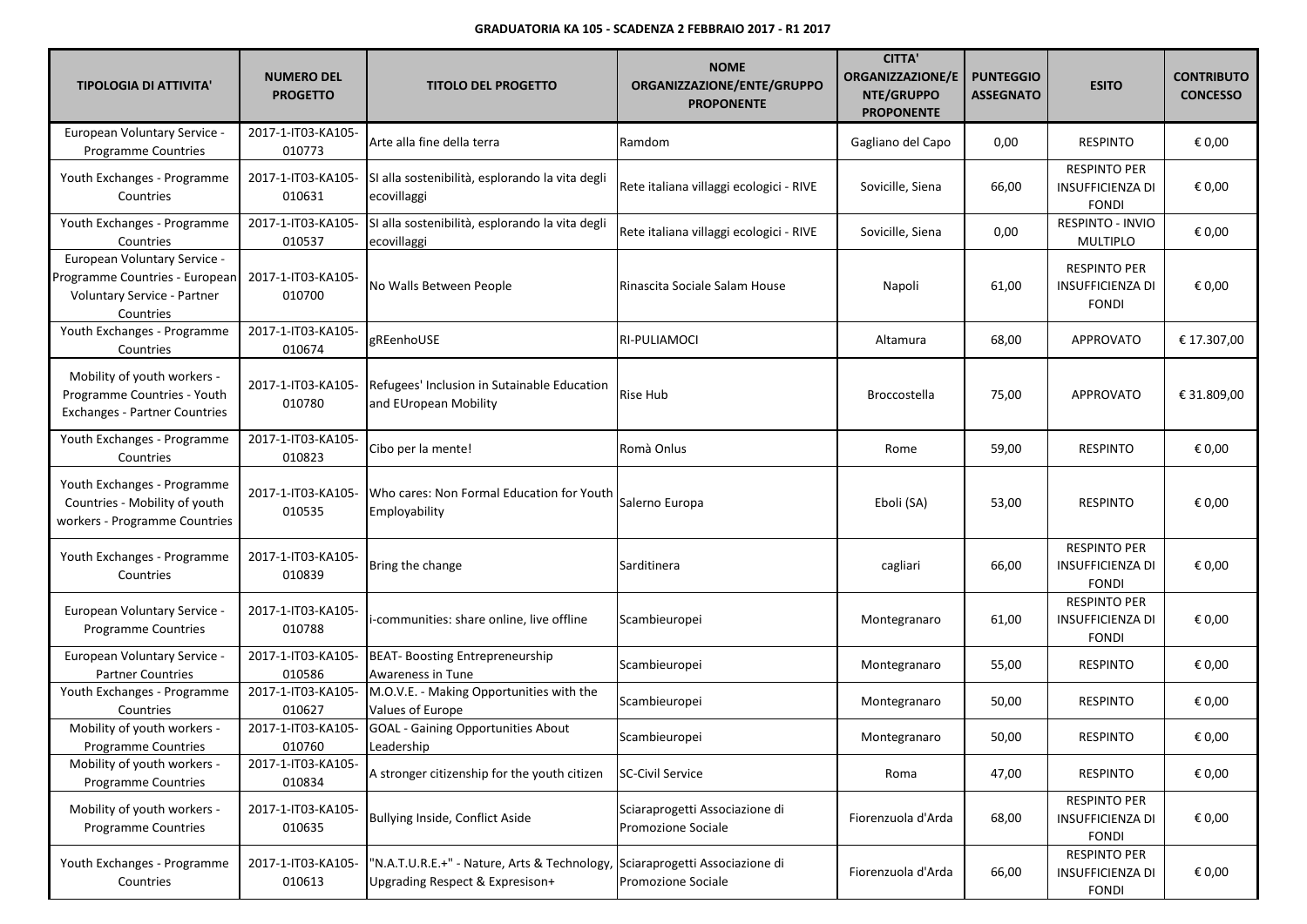| <b>TIPOLOGIA DI ATTIVITA'</b>                                                                                     | <b>NUMERO DEL</b><br><b>PROGETTO</b> | <b>TITOLO DEL PROGETTO</b>                                                      | <b>NOME</b><br>ORGANIZZAZIONE/ENTE/GRUPPO<br><b>PROPONENTE</b> | <b>CITTA'</b><br><b>ORGANIZZAZIONE/E</b><br>NTE/GRUPPO<br><b>PROPONENTE</b> | <b>PUNTEGGIO</b><br><b>ASSEGNATO</b> | <b>ESITO</b>                                                   | <b>CONTRIBUTO</b><br><b>CONCESSO</b> |
|-------------------------------------------------------------------------------------------------------------------|--------------------------------------|---------------------------------------------------------------------------------|----------------------------------------------------------------|-----------------------------------------------------------------------------|--------------------------------------|----------------------------------------------------------------|--------------------------------------|
| European Voluntary Service -<br><b>Programme Countries</b>                                                        | 2017-1-IT03-KA105-<br>010773         | Arte alla fine della terra                                                      | Ramdom                                                         | Gagliano del Capo                                                           | 0,00                                 | <b>RESPINTO</b>                                                | € 0,00                               |
| Youth Exchanges - Programme<br>Countries                                                                          | 2017-1-IT03-KA105-<br>010631         | SI alla sostenibilità, esplorando la vita degli<br>ecovillaggi                  | Rete italiana villaggi ecologici - RIVE                        | Sovicille, Siena                                                            | 66,00                                | <b>RESPINTO PER</b><br><b>INSUFFICIENZA DI</b><br><b>FONDI</b> | € 0,00                               |
| Youth Exchanges - Programme<br>Countries                                                                          | 2017-1-IT03-KA105-<br>010537         | SI alla sostenibilità, esplorando la vita degli<br>ecovillaggi                  | Rete italiana villaggi ecologici - RIVE                        | Sovicille, Siena                                                            | 0,00                                 | RESPINTO - INVIO<br><b>MULTIPLO</b>                            | € 0,00                               |
| European Voluntary Service -<br>Programme Countries - European<br><b>Voluntary Service - Partner</b><br>Countries | 2017-1-IT03-KA105-<br>010700         | No Walls Between People                                                         | Rinascita Sociale Salam House                                  | Napoli                                                                      | 61,00                                | <b>RESPINTO PER</b><br><b>INSUFFICIENZA DI</b><br><b>FONDI</b> | € 0,00                               |
| Youth Exchanges - Programme<br>Countries                                                                          | 2017-1-IT03-KA105-<br>010674         | gREenhoUSE                                                                      | RI-PULIAMOCI                                                   | Altamura                                                                    | 68,00                                | <b>APPROVATO</b>                                               | € 17.307,00                          |
| Mobility of youth workers -<br>Programme Countries - Youth<br>Exchanges - Partner Countries                       | 2017-1-IT03-KA105-<br>010780         | Refugees' Inclusion in Sutainable Education<br>and EUropean Mobility            | Rise Hub                                                       | <b>Broccostella</b>                                                         | 75,00                                | <b>APPROVATO</b>                                               | € 31.809,00                          |
| Youth Exchanges - Programme<br>Countries                                                                          | 2017-1-IT03-KA105-<br>010823         | Cibo per la mente!                                                              | Romà Onlus                                                     | Rome                                                                        | 59,00                                | <b>RESPINTO</b>                                                | € 0,00                               |
| Youth Exchanges - Programme<br>Countries - Mobility of youth<br>workers - Programme Countries                     | 2017-1-IT03-KA105-<br>010535         | Who cares: Non Formal Education for Youth<br>Employability                      | Salerno Europa                                                 | Eboli (SA)                                                                  | 53,00                                | <b>RESPINTO</b>                                                | € 0,00                               |
| Youth Exchanges - Programme<br>Countries                                                                          | 2017-1-IT03-KA105-<br>010839         | Bring the change                                                                | Sarditinera                                                    | cagliari                                                                    | 66,00                                | <b>RESPINTO PER</b><br><b>INSUFFICIENZA DI</b><br><b>FONDI</b> | € 0,00                               |
| European Voluntary Service -<br><b>Programme Countries</b>                                                        | 2017-1-IT03-KA105-<br>010788         | i-communities: share online, live offline                                       | Scambieuropei                                                  | Montegranaro                                                                | 61,00                                | <b>RESPINTO PER</b><br><b>INSUFFICIENZA DI</b><br><b>FONDI</b> | € 0,00                               |
| European Voluntary Service -<br><b>Partner Countries</b>                                                          | 2017-1-IT03-KA105-<br>010586         | BEAT- Boosting Entrepreneurship<br>Awareness in Tune                            | Scambieuropei                                                  | Montegranaro                                                                | 55,00                                | RESPINTO                                                       | € 0,00                               |
| Youth Exchanges - Programme<br>Countries                                                                          | 2017-1-IT03-KA105-<br>010627         | M.O.V.E. - Making Opportunities with the<br>Values of Europe                    | Scambieuropei                                                  | Montegranaro                                                                | 50,00                                | <b>RESPINTO</b>                                                | € 0,00                               |
| Mobility of youth workers -<br>Programme Countries                                                                | 2017-1-IT03-KA105-<br>010760         | <b>GOAL</b> - Gaining Opportunities About<br>Leadership                         | Scambieuropei                                                  | Montegranaro                                                                | 50,00                                | <b>RESPINTO</b>                                                | € 0,00                               |
| Mobility of youth workers -<br><b>Programme Countries</b>                                                         | 2017-1-IT03-KA105-<br>010834         | A stronger citizenship for the youth citizen                                    | <b>SC-Civil Service</b>                                        | Roma                                                                        | 47,00                                | RESPINTO                                                       | € 0,00                               |
| Mobility of youth workers -<br><b>Programme Countries</b>                                                         | 2017-1-IT03-KA105-<br>010635         | Bullying Inside, Conflict Aside                                                 | Sciaraprogetti Associazione di<br>Promozione Sociale           | Fiorenzuola d'Arda                                                          | 68,00                                | <b>RESPINTO PER</b><br><b>INSUFFICIENZA DI</b><br><b>FONDI</b> | € 0,00                               |
| Youth Exchanges - Programme<br>Countries                                                                          | 2017-1-IT03-KA105-<br>010613         | "N.A.T.U.R.E.+" - Nature, Arts & Technology,<br>Upgrading Respect & Expresison+ | Sciaraprogetti Associazione di<br>Promozione Sociale           | Fiorenzuola d'Arda                                                          | 66,00                                | <b>RESPINTO PER</b><br><b>INSUFFICIENZA DI</b><br><b>FONDI</b> | € 0,00                               |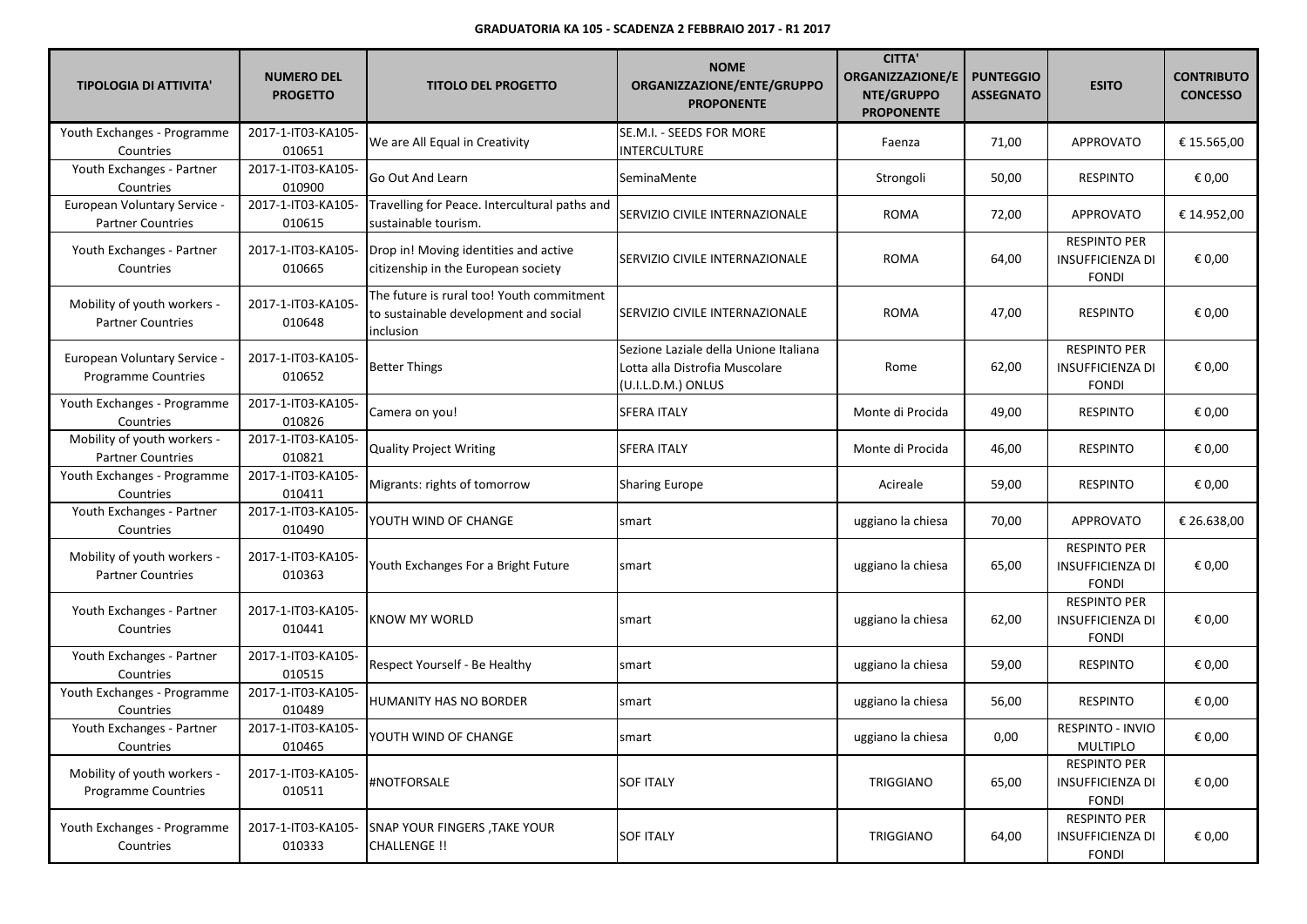| <b>TIPOLOGIA DI ATTIVITA'</b>                             | <b>NUMERO DEL</b><br><b>PROGETTO</b> | <b>TITOLO DEL PROGETTO</b>                                                                      | <b>NOME</b><br>ORGANIZZAZIONE/ENTE/GRUPPO<br><b>PROPONENTE</b>                                | <b>CITTA'</b><br><b>ORGANIZZAZIONE/E</b><br>NTE/GRUPPO<br><b>PROPONENTE</b> | <b>PUNTEGGIO</b><br><b>ASSEGNATO</b> | <b>ESITO</b>                                                   | <b>CONTRIBUTO</b><br><b>CONCESSO</b> |
|-----------------------------------------------------------|--------------------------------------|-------------------------------------------------------------------------------------------------|-----------------------------------------------------------------------------------------------|-----------------------------------------------------------------------------|--------------------------------------|----------------------------------------------------------------|--------------------------------------|
| Youth Exchanges - Programme<br>Countries                  | 2017-1-IT03-KA105-<br>010651         | We are All Equal in Creativity                                                                  | SE.M.I. - SEEDS FOR MORE<br><b>INTERCULTURE</b>                                               | Faenza                                                                      | 71,00                                | <b>APPROVATO</b>                                               | € 15.565,00                          |
| Youth Exchanges - Partner<br>Countries                    | 2017-1-IT03-KA105-<br>010900         | Go Out And Learn                                                                                | SeminaMente                                                                                   | Strongoli                                                                   | 50,00                                | <b>RESPINTO</b>                                                | € 0,00                               |
| European Voluntary Service -<br><b>Partner Countries</b>  | 2017-1-IT03-KA105-<br>010615         | Travelling for Peace. Intercultural paths and<br>sustainable tourism.                           | SERVIZIO CIVILE INTERNAZIONALE                                                                | ROMA                                                                        | 72,00                                | APPROVATO                                                      | € 14.952,00                          |
| Youth Exchanges - Partner<br>Countries                    | 2017-1-IT03-KA105-<br>010665         | Drop in! Moving identities and active<br>citizenship in the European society                    | SERVIZIO CIVILE INTERNAZIONALE                                                                | <b>ROMA</b>                                                                 | 64,00                                | <b>RESPINTO PER</b><br><b>INSUFFICIENZA DI</b><br><b>FONDI</b> | € 0,00                               |
| Mobility of youth workers -<br><b>Partner Countries</b>   | 2017-1-IT03-KA105-<br>010648         | The future is rural too! Youth commitment<br>to sustainable development and social<br>inclusion | SERVIZIO CIVILE INTERNAZIONALE                                                                | <b>ROMA</b>                                                                 | 47,00                                | <b>RESPINTO</b>                                                | € 0,00                               |
| European Voluntary Service -<br>Programme Countries       | 2017-1-IT03-KA105-<br>010652         | <b>Better Things</b>                                                                            | Sezione Laziale della Unione Italiana<br>Lotta alla Distrofia Muscolare<br>(U.I.L.D.M.) ONLUS | Rome                                                                        | 62,00                                | <b>RESPINTO PER</b><br><b>INSUFFICIENZA DI</b><br><b>FONDI</b> | € 0,00                               |
| Youth Exchanges - Programme<br>Countries                  | 2017-1-IT03-KA105-<br>010826         | Camera on you!                                                                                  | <b>SFERA ITALY</b>                                                                            | Monte di Procida                                                            | 49,00                                | <b>RESPINTO</b>                                                | € 0,00                               |
| Mobility of youth workers -<br><b>Partner Countries</b>   | 2017-1-IT03-KA105-<br>010821         | <b>Quality Project Writing</b>                                                                  | <b>SFERA ITALY</b>                                                                            | Monte di Procida                                                            | 46,00                                | <b>RESPINTO</b>                                                | € 0,00                               |
| Youth Exchanges - Programme<br>Countries                  | 2017-1-IT03-KA105-<br>010411         | Migrants: rights of tomorrow                                                                    | <b>Sharing Europe</b>                                                                         | Acireale                                                                    | 59,00                                | <b>RESPINTO</b>                                                | € 0,00                               |
| Youth Exchanges - Partner<br>Countries                    | 2017-1-IT03-KA105-<br>010490         | YOUTH WIND OF CHANGE                                                                            | smart                                                                                         | uggiano la chiesa                                                           | 70,00                                | <b>APPROVATO</b>                                               | € 26.638,00                          |
| Mobility of youth workers -<br><b>Partner Countries</b>   | 2017-1-IT03-KA105-<br>010363         | Youth Exchanges For a Bright Future                                                             | smart                                                                                         | uggiano la chiesa                                                           | 65,00                                | <b>RESPINTO PER</b><br><b>INSUFFICIENZA DI</b><br><b>FONDI</b> | € 0,00                               |
| Youth Exchanges - Partner<br>Countries                    | 2017-1-IT03-KA105-<br>010441         | KNOW MY WORLD                                                                                   | smart                                                                                         | uggiano la chiesa                                                           | 62,00                                | <b>RESPINTO PER</b><br><b>INSUFFICIENZA DI</b><br><b>FONDI</b> | € 0,00                               |
| Youth Exchanges - Partner<br>Countries                    | 2017-1-IT03-KA105-<br>010515         | Respect Yourself - Be Healthy                                                                   | smart                                                                                         | uggiano la chiesa                                                           | 59,00                                | <b>RESPINTO</b>                                                | € 0,00                               |
| Youth Exchanges - Programme<br>Countries                  | 2017-1-IT03-KA105-<br>010489         | HUMANITY HAS NO BORDER                                                                          | smart                                                                                         | uggiano la chiesa                                                           | 56,00                                | <b>RESPINTO</b>                                                | € 0,00                               |
| Youth Exchanges - Partner<br>Countries                    | 2017-1-IT03-KA105-<br>010465         | YOUTH WIND OF CHANGE                                                                            | smart                                                                                         | uggiano la chiesa                                                           | 0,00                                 | RESPINTO - INVIO<br>MULTIPLO                                   | € 0,00                               |
| Mobility of youth workers -<br><b>Programme Countries</b> | 2017-1-IT03-KA105-<br>010511         | #NOTFORSALE                                                                                     | <b>SOF ITALY</b>                                                                              | TRIGGIANO                                                                   | 65,00                                | <b>RESPINTO PER</b><br><b>INSUFFICIENZA DI</b><br><b>FONDI</b> | € 0,00                               |
| Youth Exchanges - Programme<br>Countries                  | 2017-1-IT03-KA105-<br>010333         | <b>SNAP YOUR FINGERS, TAKE YOUR</b><br>CHALLENGE !!                                             | <b>SOF ITALY</b>                                                                              | TRIGGIANO                                                                   | 64,00                                | <b>RESPINTO PER</b><br><b>INSUFFICIENZA DI</b><br><b>FONDI</b> | € 0,00                               |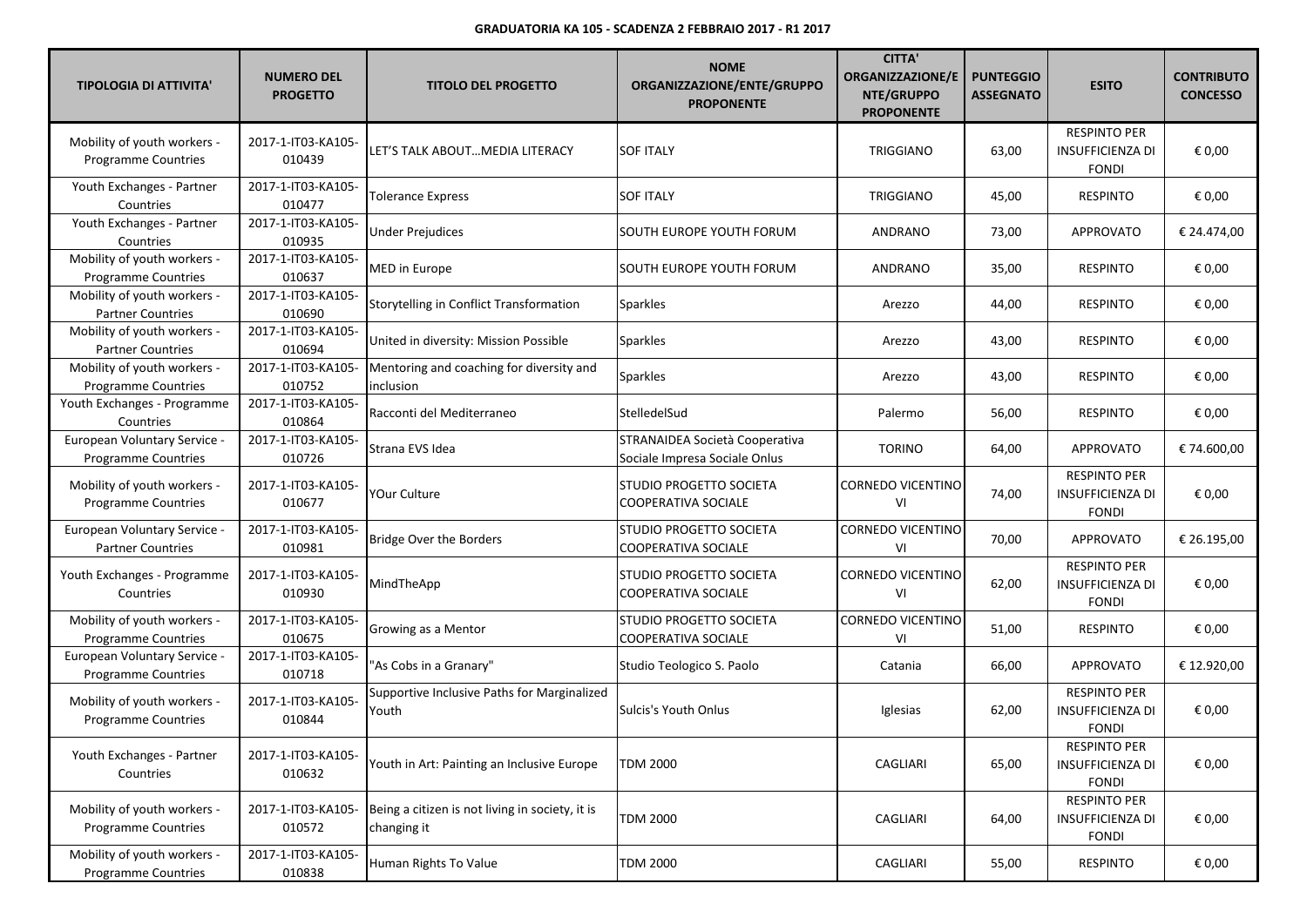| <b>TIPOLOGIA DI ATTIVITA'</b>                             | <b>NUMERO DEL</b><br><b>PROGETTO</b> | <b>TITOLO DEL PROGETTO</b>                                     | <b>NOME</b><br>ORGANIZZAZIONE/ENTE/GRUPPO<br><b>PROPONENTE</b>  | <b>CITTA'</b><br><b>ORGANIZZAZIONE/E</b><br>NTE/GRUPPO<br><b>PROPONENTE</b> | <b>PUNTEGGIO</b><br><b>ASSEGNATO</b> | <b>ESITO</b>                                                   | <b>CONTRIBUTO</b><br><b>CONCESSO</b> |
|-----------------------------------------------------------|--------------------------------------|----------------------------------------------------------------|-----------------------------------------------------------------|-----------------------------------------------------------------------------|--------------------------------------|----------------------------------------------------------------|--------------------------------------|
| Mobility of youth workers -<br><b>Programme Countries</b> | 2017-1-IT03-KA105-<br>010439         | LET'S TALK ABOUTMEDIA LITERACY                                 | <b>SOF ITALY</b>                                                | TRIGGIANO                                                                   | 63,00                                | <b>RESPINTO PER</b><br><b>INSUFFICIENZA DI</b><br><b>FONDI</b> | € 0,00                               |
| Youth Exchanges - Partner<br>Countries                    | 2017-1-IT03-KA105-<br>010477         | <b>Tolerance Express</b>                                       | <b>SOF ITALY</b>                                                | TRIGGIANO                                                                   | 45,00                                | <b>RESPINTO</b>                                                | € 0,00                               |
| Youth Exchanges - Partner<br>Countries                    | 2017-1-IT03-KA105-<br>010935         | <b>Under Prejudices</b>                                        | SOUTH EUROPE YOUTH FORUM                                        | ANDRANO                                                                     | 73,00                                | <b>APPROVATO</b>                                               | € 24.474,00                          |
| Mobility of youth workers -<br><b>Programme Countries</b> | 2017-1-IT03-KA105-<br>010637         | MED in Europe                                                  | SOUTH EUROPE YOUTH FORUM                                        | ANDRANO                                                                     | 35,00                                | <b>RESPINTO</b>                                                | € 0,00                               |
| Mobility of youth workers -<br><b>Partner Countries</b>   | 2017-1-IT03-KA105-<br>010690         | Storytelling in Conflict Transformation                        | <b>Sparkles</b>                                                 | Arezzo                                                                      | 44,00                                | <b>RESPINTO</b>                                                | € 0,00                               |
| Mobility of youth workers -<br><b>Partner Countries</b>   | 2017-1-IT03-KA105-<br>010694         | United in diversity: Mission Possible                          | <b>Sparkles</b>                                                 | Arezzo                                                                      | 43,00                                | <b>RESPINTO</b>                                                | € 0,00                               |
| Mobility of youth workers -<br><b>Programme Countries</b> | 2017-1-IT03-KA105-<br>010752         | Mentoring and coaching for diversity and<br>inclusion          | <b>Sparkles</b>                                                 | Arezzo                                                                      | 43,00                                | <b>RESPINTO</b>                                                | € 0,00                               |
| Youth Exchanges - Programme<br>Countries                  | 2017-1-IT03-KA105-<br>010864         | Racconti del Mediterraneo                                      | StelledelSud                                                    | Palermo                                                                     | 56,00                                | <b>RESPINTO</b>                                                | € 0,00                               |
| European Voluntary Service -<br>Programme Countries       | 2017-1-IT03-KA105-<br>010726         | Strana EVS Idea                                                | STRANAIDEA Società Cooperativa<br>Sociale Impresa Sociale Onlus | <b>TORINO</b>                                                               | 64,00                                | <b>APPROVATO</b>                                               | € 74.600,00                          |
| Mobility of youth workers -<br>Programme Countries        | 2017-1-IT03-KA105-<br>010677         | YOur Culture                                                   | STUDIO PROGETTO SOCIETA<br>COOPERATIVA SOCIALE                  | <b>CORNEDO VICENTINO</b><br>VI                                              | 74,00                                | <b>RESPINTO PER</b><br><b>INSUFFICIENZA DI</b><br><b>FONDI</b> | € 0,00                               |
| European Voluntary Service -<br><b>Partner Countries</b>  | 2017-1-IT03-KA105-<br>010981         | <b>Bridge Over the Borders</b>                                 | STUDIO PROGETTO SOCIETA<br><b>COOPERATIVA SOCIALE</b>           | <b>CORNEDO VICENTINO</b><br>VI                                              | 70,00                                | <b>APPROVATO</b>                                               | € 26.195,00                          |
| Youth Exchanges - Programme<br>Countries                  | 2017-1-IT03-KA105-<br>010930         | MindTheApp                                                     | STUDIO PROGETTO SOCIETA<br><b>COOPERATIVA SOCIALE</b>           | <b>CORNEDO VICENTINO</b><br>VI                                              | 62,00                                | <b>RESPINTO PER</b><br><b>INSUFFICIENZA DI</b><br><b>FONDI</b> | € 0,00                               |
| Mobility of youth workers -<br><b>Programme Countries</b> | 2017-1-IT03-KA105-<br>010675         | Growing as a Mentor                                            | STUDIO PROGETTO SOCIETA<br>COOPERATIVA SOCIALE                  | <b>CORNEDO VICENTINO</b><br>VI                                              | 51,00                                | <b>RESPINTO</b>                                                | € 0,00                               |
| European Voluntary Service -<br>Programme Countries       | 2017-1-IT03-KA105-<br>010718         | "As Cobs in a Granary"                                         | Studio Teologico S. Paolo                                       | Catania                                                                     | 66,00                                | <b>APPROVATO</b>                                               | € 12.920,00                          |
| Mobility of youth workers -<br><b>Programme Countries</b> | 2017-1-IT03-KA105-<br>010844         | Supportive Inclusive Paths for Marginalized<br>Youth           | <b>Sulcis's Youth Onlus</b>                                     | Iglesias                                                                    | 62,00                                | <b>RESPINTO PER</b><br><b>INSUFFICIENZA DI</b><br><b>FONDI</b> | € 0,00                               |
| Youth Exchanges - Partner<br>Countries                    | 2017-1-IT03-KA105-<br>010632         | Youth in Art: Painting an Inclusive Europe                     | <b>TDM 2000</b>                                                 | CAGLIARI                                                                    | 65,00                                | <b>RESPINTO PER</b><br><b>INSUFFICIENZA DI</b><br><b>FONDI</b> | € 0,00                               |
| Mobility of youth workers -<br>Programme Countries        | 2017-1-IT03-KA105-<br>010572         | Being a citizen is not living in society, it is<br>changing it | <b>TDM 2000</b>                                                 | CAGLIARI                                                                    | 64,00                                | <b>RESPINTO PER</b><br><b>INSUFFICIENZA DI</b><br><b>FONDI</b> | € 0,00                               |
| Mobility of youth workers -<br>Programme Countries        | 2017-1-IT03-KA105-<br>010838         | Human Rights To Value                                          | TDM 2000                                                        | CAGLIARI                                                                    | 55,00                                | <b>RESPINTO</b>                                                | € 0,00                               |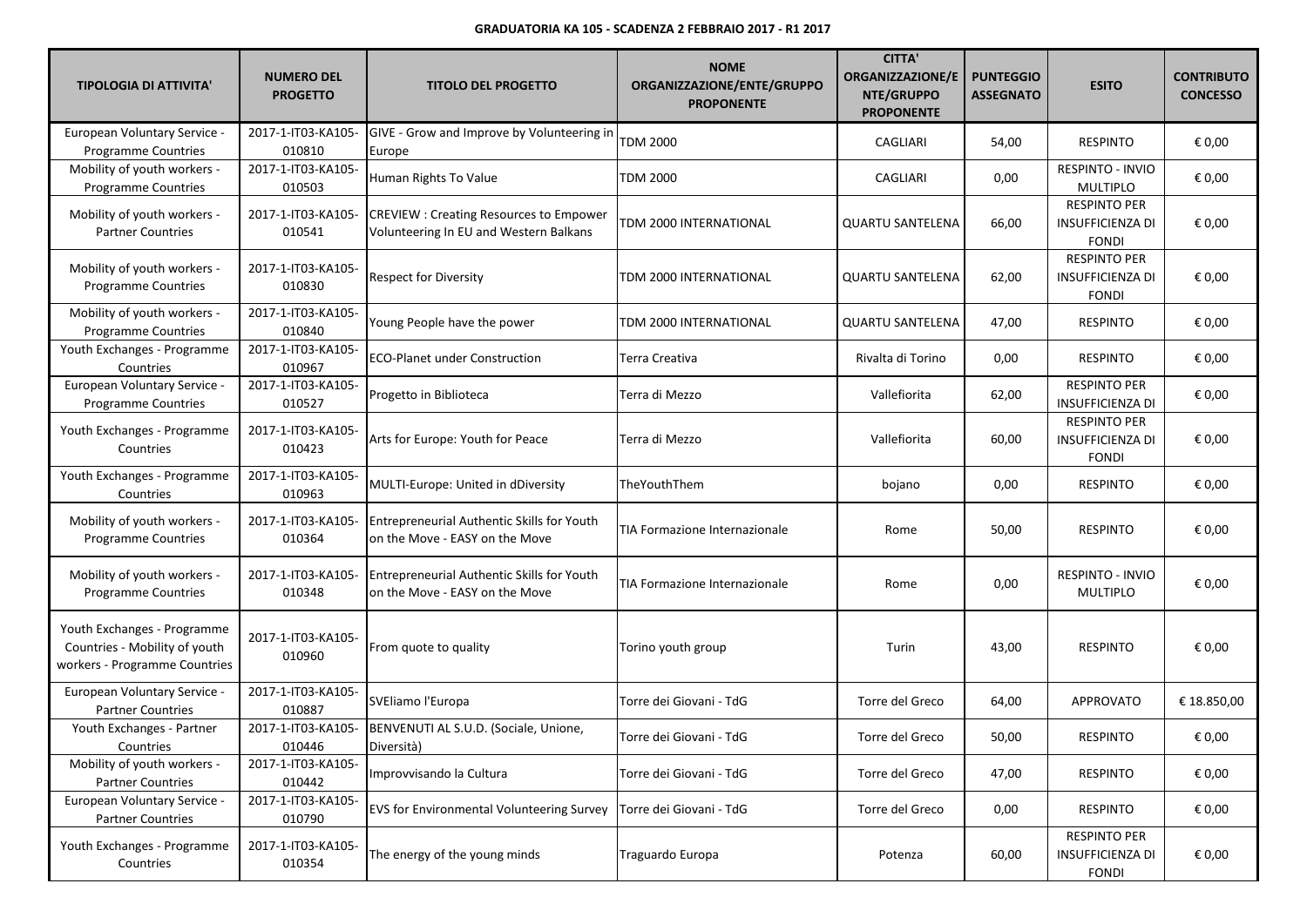| <b>TIPOLOGIA DI ATTIVITA'</b>                                                                 | <b>NUMERO DEL</b><br><b>PROGETTO</b> | <b>TITOLO DEL PROGETTO</b>                                                              | <b>NOME</b><br>ORGANIZZAZIONE/ENTE/GRUPPO<br><b>PROPONENTE</b> | <b>CITTA'</b><br><b>ORGANIZZAZIONE/E</b><br>NTE/GRUPPO<br><b>PROPONENTE</b> | <b>PUNTEGGIO</b><br><b>ASSEGNATO</b> | <b>ESITO</b>                                                   | <b>CONTRIBUTO</b><br><b>CONCESSO</b> |
|-----------------------------------------------------------------------------------------------|--------------------------------------|-----------------------------------------------------------------------------------------|----------------------------------------------------------------|-----------------------------------------------------------------------------|--------------------------------------|----------------------------------------------------------------|--------------------------------------|
| European Voluntary Service -<br><b>Programme Countries</b>                                    | 2017-1-IT03-KA105-<br>010810         | GIVE - Grow and Improve by Volunteering in<br>Europe                                    | <b>TDM 2000</b>                                                | CAGLIARI                                                                    | 54,00                                | <b>RESPINTO</b>                                                | € 0,00                               |
| Mobility of youth workers -<br><b>Programme Countries</b>                                     | 2017-1-IT03-KA105-<br>010503         | Human Rights To Value                                                                   | TDM 2000                                                       | CAGLIARI                                                                    | 0,00                                 | <b>RESPINTO - INVIO</b><br><b>MULTIPLO</b>                     | € 0,00                               |
| Mobility of youth workers -<br><b>Partner Countries</b>                                       | 2017-1-IT03-KA105-<br>010541         | <b>CREVIEW: Creating Resources to Empower</b><br>Volunteering In EU and Western Balkans | TDM 2000 INTERNATIONAL                                         | <b>QUARTU SANTELENA</b>                                                     | 66,00                                | <b>RESPINTO PER</b><br><b>INSUFFICIENZA DI</b><br><b>FONDI</b> | € 0,00                               |
| Mobility of youth workers -<br><b>Programme Countries</b>                                     | 2017-1-IT03-KA105-<br>010830         | <b>Respect for Diversity</b>                                                            | TDM 2000 INTERNATIONAL                                         | <b>QUARTU SANTELENA</b>                                                     | 62,00                                | <b>RESPINTO PER</b><br><b>INSUFFICIENZA DI</b><br><b>FONDI</b> | € 0,00                               |
| Mobility of youth workers -<br><b>Programme Countries</b>                                     | 2017-1-IT03-KA105-<br>010840         | Young People have the power                                                             | TDM 2000 INTERNATIONAL                                         | <b>QUARTU SANTELENA</b>                                                     | 47,00                                | <b>RESPINTO</b>                                                | € 0,00                               |
| Youth Exchanges - Programme<br>Countries                                                      | 2017-1-IT03-KA105-<br>010967         | <b>ECO-Planet under Construction</b>                                                    | Terra Creativa                                                 | Rivalta di Torino                                                           | 0,00                                 | <b>RESPINTO</b>                                                | € 0,00                               |
| European Voluntary Service -<br>Programme Countries                                           | 2017-1-IT03-KA105-<br>010527         | Progetto in Biblioteca                                                                  | Terra di Mezzo                                                 | Vallefiorita                                                                | 62,00                                | <b>RESPINTO PER</b><br><b>INSUFFICIENZA DI</b>                 | € 0,00                               |
| Youth Exchanges - Programme<br>Countries                                                      | 2017-1-IT03-KA105-<br>010423         | Arts for Europe: Youth for Peace                                                        | Terra di Mezzo                                                 | Vallefiorita                                                                | 60,00                                | <b>RESPINTO PER</b><br><b>INSUFFICIENZA DI</b><br><b>FONDI</b> | € 0,00                               |
| Youth Exchanges - Programme<br>Countries                                                      | 2017-1-IT03-KA105-<br>010963         | MULTI-Europe: United in dDiversity                                                      | TheYouthThem                                                   | bojano                                                                      | 0,00                                 | <b>RESPINTO</b>                                                | € 0,00                               |
| Mobility of youth workers -<br>Programme Countries                                            | 2017-1-IT03-KA105-<br>010364         | <b>Entrepreneurial Authentic Skills for Youth</b><br>on the Move - EASY on the Move     | TIA Formazione Internazionale                                  | Rome                                                                        | 50,00                                | <b>RESPINTO</b>                                                | € 0,00                               |
| Mobility of youth workers -<br>Programme Countries                                            | 2017-1-IT03-KA105-<br>010348         | <b>Entrepreneurial Authentic Skills for Youth</b><br>on the Move - EASY on the Move     | TIA Formazione Internazionale                                  | Rome                                                                        | 0,00                                 | <b>RESPINTO - INVIO</b><br><b>MULTIPLO</b>                     | € 0,00                               |
| Youth Exchanges - Programme<br>Countries - Mobility of youth<br>workers - Programme Countries | 2017-1-IT03-KA105-<br>010960         | From quote to quality                                                                   | Torino youth group                                             | Turin                                                                       | 43,00                                | <b>RESPINTO</b>                                                | € 0,00                               |
| European Voluntary Service -<br><b>Partner Countries</b>                                      | 2017-1-IT03-KA105-<br>010887         | SVEliamo l'Europa                                                                       | Torre dei Giovani - TdG                                        | Torre del Greco                                                             | 64,00                                | <b>APPROVATO</b>                                               | € 18.850,00                          |
| Youth Exchanges - Partner<br>Countries                                                        | 2017-1-IT03-KA105-<br>010446         | BENVENUTI AL S.U.D. (Sociale, Unione,<br>Diversità)                                     | Torre dei Giovani - TdG                                        | Torre del Greco                                                             | 50,00                                | <b>RESPINTO</b>                                                | € 0,00                               |
| Mobility of youth workers -<br><b>Partner Countries</b>                                       | 2017-1-IT03-KA105-<br>010442         | Improvvisando la Cultura                                                                | Torre dei Giovani - TdG                                        | Torre del Greco                                                             | 47,00                                | <b>RESPINTO</b>                                                | € 0,00                               |
| European Voluntary Service -<br><b>Partner Countries</b>                                      | 2017-1-IT03-KA105-<br>010790         | <b>EVS for Environmental Volunteering Survey</b>                                        | Torre dei Giovani - TdG                                        | Torre del Greco                                                             | 0,00                                 | <b>RESPINTO</b>                                                | € 0,00                               |
| Youth Exchanges - Programme<br>Countries                                                      | 2017-1-IT03-KA105-<br>010354         | The energy of the young minds                                                           | Traguardo Europa                                               | Potenza                                                                     | 60,00                                | <b>RESPINTO PER</b><br><b>INSUFFICIENZA DI</b><br><b>FONDI</b> | € 0,00                               |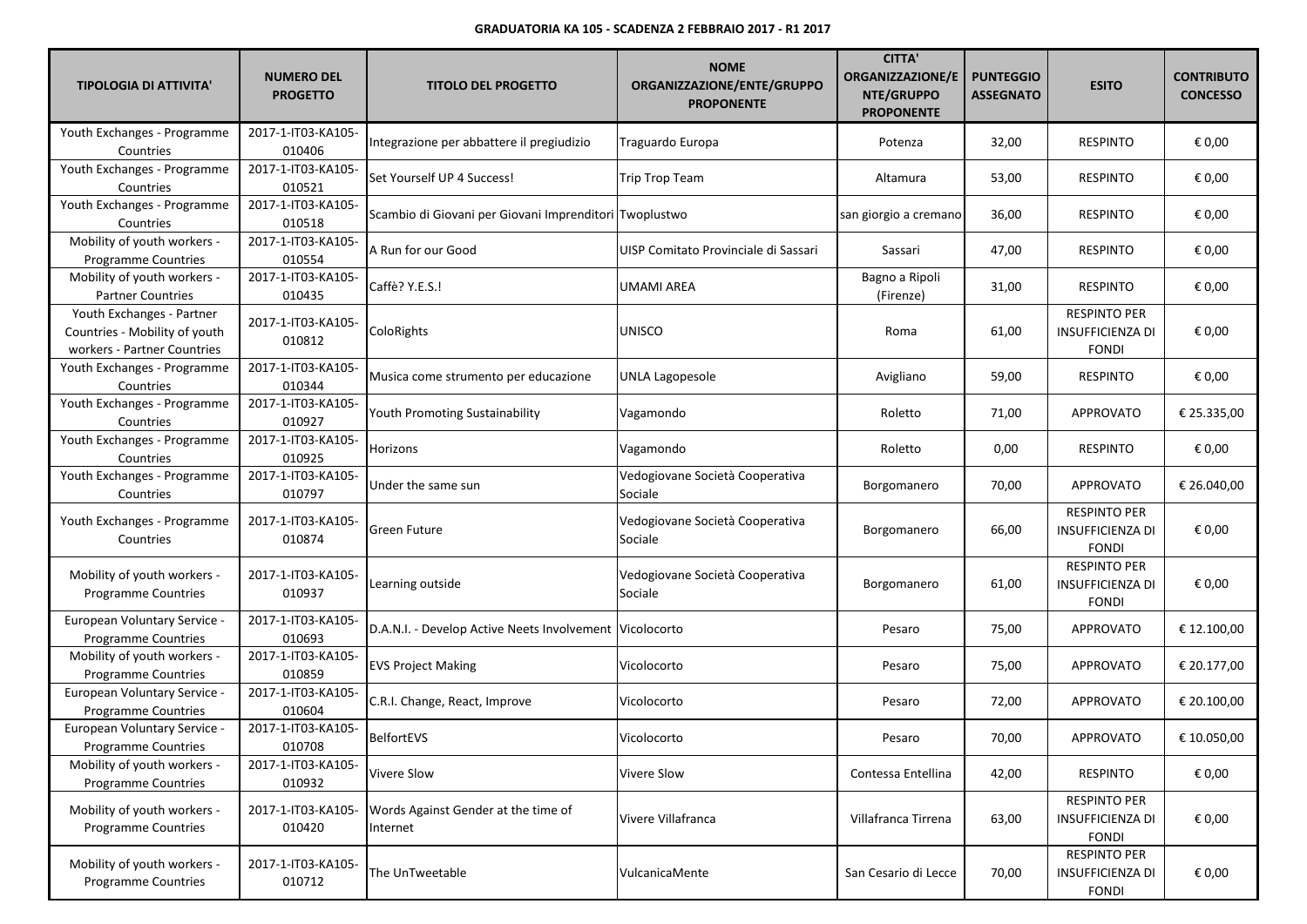| <b>TIPOLOGIA DI ATTIVITA'</b>                                                             | <b>NUMERO DEL</b><br><b>PROGETTO</b> | <b>TITOLO DEL PROGETTO</b>                              | <b>NOME</b><br>ORGANIZZAZIONE/ENTE/GRUPPO<br><b>PROPONENTE</b> | <b>CITTA'</b><br><b>ORGANIZZAZIONE/E</b><br>NTE/GRUPPO<br><b>PROPONENTE</b> | <b>PUNTEGGIO</b><br><b>ASSEGNATO</b> | <b>ESITO</b>                                                   | <b>CONTRIBUTO</b><br><b>CONCESSO</b> |
|-------------------------------------------------------------------------------------------|--------------------------------------|---------------------------------------------------------|----------------------------------------------------------------|-----------------------------------------------------------------------------|--------------------------------------|----------------------------------------------------------------|--------------------------------------|
| Youth Exchanges - Programme<br>Countries                                                  | 2017-1-IT03-KA105-<br>010406         | Integrazione per abbattere il pregiudizio               | Traguardo Europa                                               | Potenza                                                                     | 32,00                                | <b>RESPINTO</b>                                                | € 0,00                               |
| Youth Exchanges - Programme<br>Countries                                                  | 2017-1-IT03-KA105-<br>010521         | Set Yourself UP 4 Success!                              | Trip Trop Team                                                 | Altamura                                                                    | 53,00                                | <b>RESPINTO</b>                                                | € 0,00                               |
| Youth Exchanges - Programme<br>Countries                                                  | 2017-1-IT03-KA105-<br>010518         | Scambio di Giovani per Giovani Imprenditori Twoplustwo  |                                                                | san giorgio a cremano                                                       | 36,00                                | <b>RESPINTO</b>                                                | € 0,00                               |
| Mobility of youth workers -<br><b>Programme Countries</b>                                 | 2017-1-IT03-KA105-<br>010554         | A Run for our Good                                      | UISP Comitato Provinciale di Sassari                           | Sassari                                                                     | 47,00                                | <b>RESPINTO</b>                                                | € 0,00                               |
| Mobility of youth workers -<br><b>Partner Countries</b>                                   | 2017-1-IT03-KA105-<br>010435         | Caffè? Y.E.S.!                                          | <b>UMAMI AREA</b>                                              | Bagno a Ripoli<br>(Firenze)                                                 | 31,00                                | <b>RESPINTO</b>                                                | € 0,00                               |
| Youth Exchanges - Partner<br>Countries - Mobility of youth<br>workers - Partner Countries | 2017-1-IT03-KA105-<br>010812         | ColoRights                                              | <b>UNISCO</b>                                                  | Roma                                                                        | 61,00                                | <b>RESPINTO PER</b><br>INSUFFICIENZA DI<br><b>FONDI</b>        | € 0,00                               |
| Youth Exchanges - Programme<br>Countries                                                  | 2017-1-IT03-KA105-<br>010344         | Musica come strumento per educazione                    | <b>UNLA Lagopesole</b>                                         | Avigliano                                                                   | 59,00                                | <b>RESPINTO</b>                                                | € 0,00                               |
| Youth Exchanges - Programme<br>Countries                                                  | 2017-1-IT03-KA105-<br>010927         | <b>Youth Promoting Sustainability</b>                   | Vagamondo                                                      | Roletto                                                                     | 71,00                                | APPROVATO                                                      | € 25.335,00                          |
| Youth Exchanges - Programme<br>Countries                                                  | 2017-1-IT03-KA105-<br>010925         | Horizons                                                | Vagamondo                                                      | Roletto                                                                     | 0,00                                 | <b>RESPINTO</b>                                                | € 0,00                               |
| Youth Exchanges - Programme<br>Countries                                                  | 2017-1-IT03-KA105-<br>010797         | Under the same sun                                      | Vedogiovane Società Cooperativa<br>Sociale                     | Borgomanero                                                                 | 70,00                                | APPROVATO                                                      | € 26.040,00                          |
| Youth Exchanges - Programme<br>Countries                                                  | 2017-1-IT03-KA105-<br>010874         | <b>Green Future</b>                                     | Vedogiovane Società Cooperativa<br>Sociale                     | Borgomanero                                                                 | 66,00                                | <b>RESPINTO PER</b><br><b>INSUFFICIENZA DI</b><br><b>FONDI</b> | € 0,00                               |
| Mobility of youth workers -<br><b>Programme Countries</b>                                 | 2017-1-IT03-KA105-<br>010937         | Learning outside                                        | Vedogiovane Società Cooperativa<br>Sociale                     | Borgomanero                                                                 | 61,00                                | <b>RESPINTO PER</b><br>INSUFFICIENZA DI<br><b>FONDI</b>        | € 0,00                               |
| European Voluntary Service -<br><b>Programme Countries</b>                                | 2017-1-IT03-KA105-<br>010693         | D.A.N.I. - Develop Active Neets Involvement Vicolocorto |                                                                | Pesaro                                                                      | 75,00                                | APPROVATO                                                      | € 12.100,00                          |
| Mobility of youth workers -<br><b>Programme Countries</b>                                 | 2017-1-IT03-KA105-<br>010859         | <b>EVS Project Making</b>                               | Vicolocorto                                                    | Pesaro                                                                      | 75,00                                | APPROVATO                                                      | € 20.177,00                          |
| European Voluntary Service -<br>Programme Countries                                       | 2017-1-IT03-KA105-<br>010604         | C.R.I. Change, React, Improve                           | Vicolocorto                                                    | Pesaro                                                                      | 72,00                                | APPROVATO                                                      | € 20.100,00                          |
| European Voluntary Service -<br>Programme Countries                                       | 2017-1-IT03-KA105-<br>010708         | BelfortEVS                                              | Vicolocorto                                                    | Pesaro                                                                      | 70,00                                | APPROVATO                                                      | € 10.050,00                          |
| Mobility of youth workers -<br><b>Programme Countries</b>                                 | 2017-1-IT03-KA105-<br>010932         | <b>Vivere Slow</b>                                      | <b>Vivere Slow</b>                                             | Contessa Entellina                                                          | 42,00                                | <b>RESPINTO</b>                                                | € 0,00                               |
| Mobility of youth workers -<br><b>Programme Countries</b>                                 | 2017-1-IT03-KA105-<br>010420         | Words Against Gender at the time of<br>Internet         | Vivere Villafranca                                             | Villafranca Tirrena                                                         | 63,00                                | <b>RESPINTO PER</b><br><b>INSUFFICIENZA DI</b><br><b>FONDI</b> | € 0,00                               |
| Mobility of youth workers -<br><b>Programme Countries</b>                                 | 2017-1-IT03-KA105-<br>010712         | The UnTweetable                                         | VulcanicaMente                                                 | San Cesario di Lecce                                                        | 70,00                                | <b>RESPINTO PER</b><br><b>INSUFFICIENZA DI</b><br><b>FONDI</b> | € 0,00                               |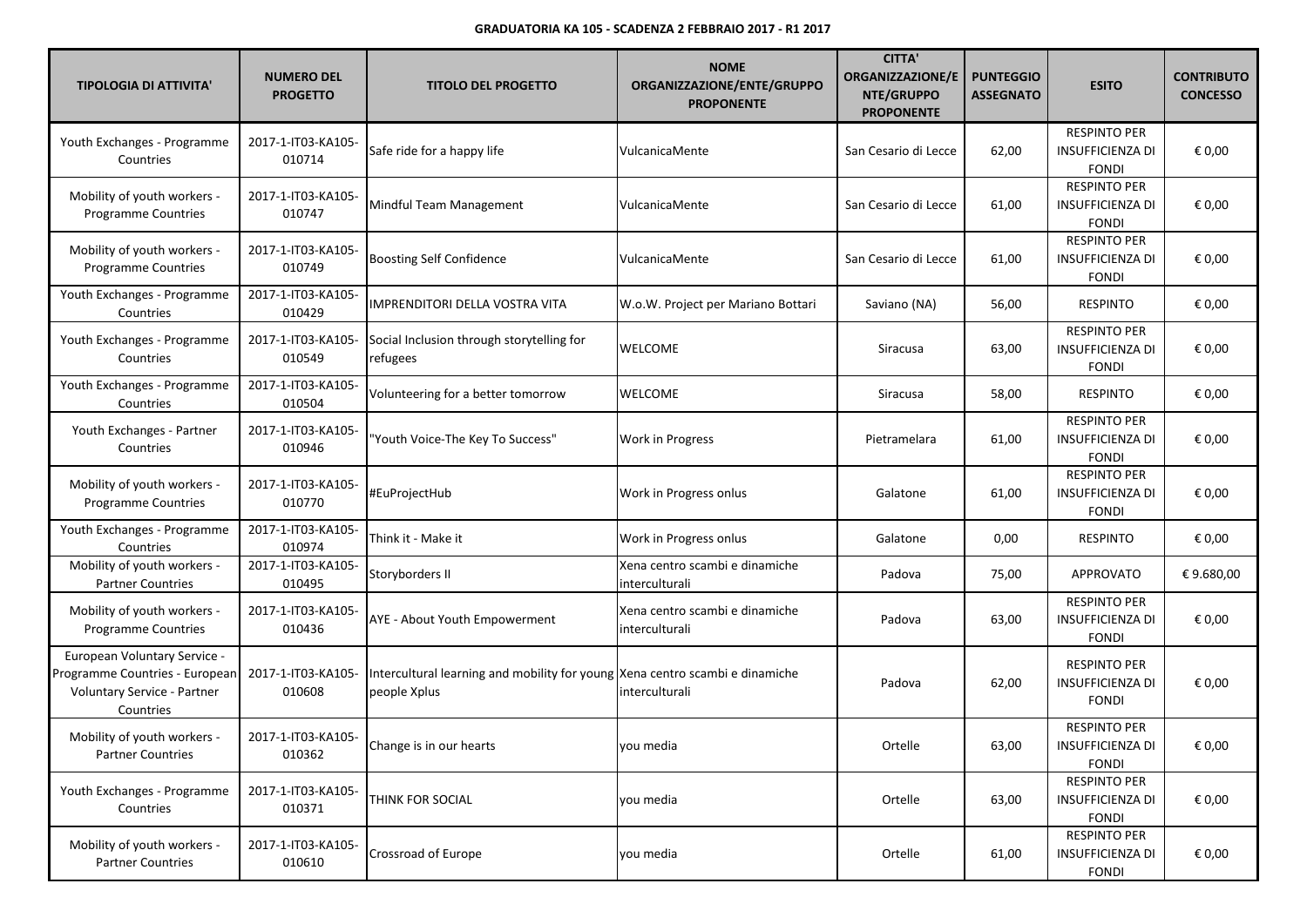| <b>TIPOLOGIA DI ATTIVITA'</b>                                                                              | <b>NUMERO DEL</b><br><b>PROGETTO</b> | <b>TITOLO DEL PROGETTO</b>                                                                   | <b>NOME</b><br>ORGANIZZAZIONE/ENTE/GRUPPO<br><b>PROPONENTE</b> | <b>CITTA'</b><br><b>ORGANIZZAZIONE/E</b><br>NTE/GRUPPO<br><b>PROPONENTE</b> | <b>PUNTEGGIO</b><br><b>ASSEGNATO</b> | <b>ESITO</b>                                                   | <b>CONTRIBUTO</b><br><b>CONCESSO</b> |
|------------------------------------------------------------------------------------------------------------|--------------------------------------|----------------------------------------------------------------------------------------------|----------------------------------------------------------------|-----------------------------------------------------------------------------|--------------------------------------|----------------------------------------------------------------|--------------------------------------|
| Youth Exchanges - Programme<br>Countries                                                                   | 2017-1-IT03-KA105-<br>010714         | Safe ride for a happy life                                                                   | VulcanicaMente                                                 | San Cesario di Lecce                                                        | 62,00                                | <b>RESPINTO PER</b><br><b>INSUFFICIENZA DI</b><br><b>FONDI</b> | € 0,00                               |
| Mobility of youth workers -<br>Programme Countries                                                         | 2017-1-IT03-KA105-<br>010747         | Mindful Team Management                                                                      | VulcanicaMente                                                 | San Cesario di Lecce                                                        | 61,00                                | <b>RESPINTO PER</b><br><b>INSUFFICIENZA DI</b><br><b>FONDI</b> | € 0,00                               |
| Mobility of youth workers -<br>Programme Countries                                                         | 2017-1-IT03-KA105-<br>010749         | <b>Boosting Self Confidence</b>                                                              | VulcanicaMente                                                 | San Cesario di Lecce                                                        | 61,00                                | <b>RESPINTO PER</b><br><b>INSUFFICIENZA DI</b><br><b>FONDI</b> | € 0,00                               |
| Youth Exchanges - Programme<br>Countries                                                                   | 2017-1-IT03-KA105-<br>010429         | IMPRENDITORI DELLA VOSTRA VITA                                                               | W.o.W. Project per Mariano Bottari                             | Saviano (NA)                                                                | 56,00                                | <b>RESPINTO</b>                                                | € 0,00                               |
| Youth Exchanges - Programme<br>Countries                                                                   | 2017-1-IT03-KA105-<br>010549         | Social Inclusion through storytelling for<br>refugees                                        | <b>WELCOME</b>                                                 | Siracusa                                                                    | 63,00                                | <b>RESPINTO PER</b><br><b>INSUFFICIENZA DI</b><br><b>FONDI</b> | € 0,00                               |
| Youth Exchanges - Programme<br>Countries                                                                   | 2017-1-IT03-KA105-<br>010504         | Volunteering for a better tomorrow                                                           | <b>WELCOME</b>                                                 | Siracusa                                                                    | 58,00                                | <b>RESPINTO</b>                                                | € 0,00                               |
| Youth Exchanges - Partner<br>Countries                                                                     | 2017-1-IT03-KA105-<br>010946         | 'Youth Voice-The Key To Success"                                                             | <b>Work in Progress</b>                                        | Pietramelara                                                                | 61,00                                | <b>RESPINTO PER</b><br><b>INSUFFICIENZA DI</b><br><b>FONDI</b> | € 0,00                               |
| Mobility of youth workers -<br>Programme Countries                                                         | 2017-1-IT03-KA105-<br>010770         | #EuProjectHub                                                                                | Work in Progress onlus                                         | Galatone                                                                    | 61,00                                | <b>RESPINTO PER</b><br><b>INSUFFICIENZA DI</b><br><b>FONDI</b> | € 0,00                               |
| Youth Exchanges - Programme<br>Countries                                                                   | 2017-1-IT03-KA105-<br>010974         | Think it - Make it                                                                           | Work in Progress onlus                                         | Galatone                                                                    | 0,00                                 | <b>RESPINTO</b>                                                | € 0,00                               |
| Mobility of youth workers -<br><b>Partner Countries</b>                                                    | 2017-1-IT03-KA105-<br>010495         | Storyborders II                                                                              | Xena centro scambi e dinamiche<br>interculturali               | Padova                                                                      | 75,00                                | <b>APPROVATO</b>                                               | €9.680,00                            |
| Mobility of youth workers -<br><b>Programme Countries</b>                                                  | 2017-1-IT03-KA105-<br>010436         | AYE - About Youth Empowerment                                                                | Xena centro scambi e dinamiche<br>interculturali               | Padova                                                                      | 63,00                                | <b>RESPINTO PER</b><br><b>INSUFFICIENZA DI</b><br><b>FONDI</b> | € 0,00                               |
| European Voluntary Service -<br>Programme Countries - European<br>Voluntary Service - Partner<br>Countries | 2017-1-IT03-KA105-<br>010608         | Intercultural learning and mobility for young Xena centro scambi e dinamiche<br>people Xplus | interculturali                                                 | Padova                                                                      | 62,00                                | <b>RESPINTO PER</b><br><b>INSUFFICIENZA DI</b><br><b>FONDI</b> | € 0,00                               |
| Mobility of youth workers -<br><b>Partner Countries</b>                                                    | 2017-1-IT03-KA105-<br>010362         | Change is in our hearts                                                                      | you media                                                      | Ortelle                                                                     | 63,00                                | <b>RESPINTO PER</b><br>INSUFFICIENZA DI<br><b>FONDI</b>        | € 0,00                               |
| Youth Exchanges - Programme<br>Countries                                                                   | 2017-1-IT03-KA105-<br>010371         | THINK FOR SOCIAL                                                                             | you media                                                      | Ortelle                                                                     | 63,00                                | <b>RESPINTO PER</b><br>INSUFFICIENZA DI<br><b>FONDI</b>        | € 0,00                               |
| Mobility of youth workers -<br><b>Partner Countries</b>                                                    | 2017-1-IT03-KA105-<br>010610         | Crossroad of Europe                                                                          | vou media                                                      | Ortelle                                                                     | 61,00                                | <b>RESPINTO PER</b><br><b>INSUFFICIENZA DI</b><br>FONDI        | € 0,00                               |